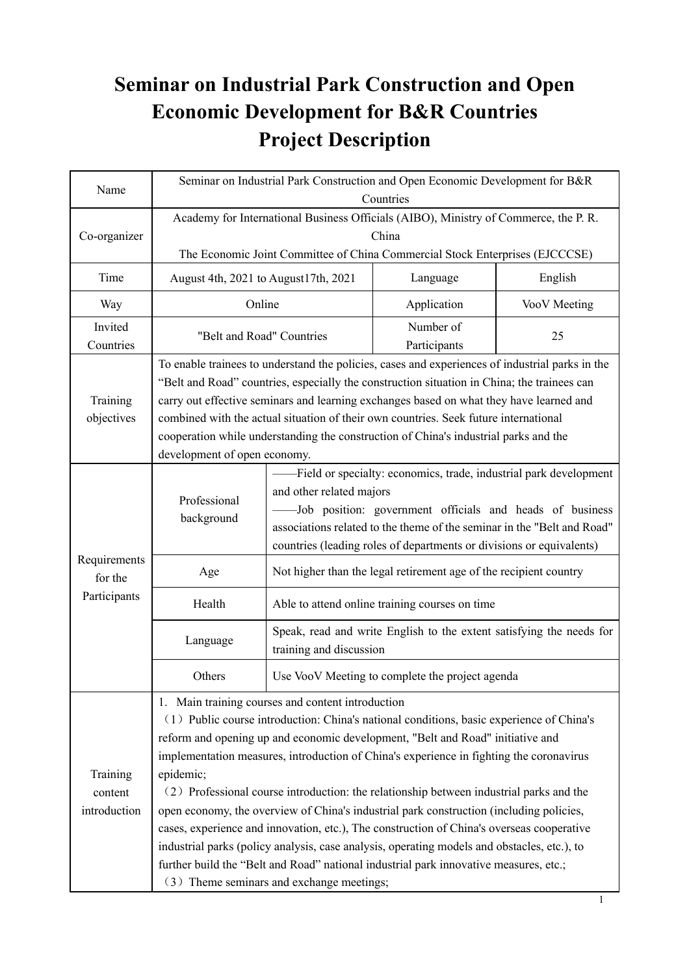# **Seminar on Industrial Park Construction and Open Economic Development for B&R Countries Project Description**

| Name                                | Seminar on Industrial Park Construction and Open Economic Development for B&R<br>Countries                                                                                                                                                                                                                                                                                                                                                                                                                                                                                                                                                                                                                                                                                                                                                                      |                                                                                                                                                                                                                                                                                                                |                                                                   |              |  |
|-------------------------------------|-----------------------------------------------------------------------------------------------------------------------------------------------------------------------------------------------------------------------------------------------------------------------------------------------------------------------------------------------------------------------------------------------------------------------------------------------------------------------------------------------------------------------------------------------------------------------------------------------------------------------------------------------------------------------------------------------------------------------------------------------------------------------------------------------------------------------------------------------------------------|----------------------------------------------------------------------------------------------------------------------------------------------------------------------------------------------------------------------------------------------------------------------------------------------------------------|-------------------------------------------------------------------|--------------|--|
| Co-organizer                        | Academy for International Business Officials (AIBO), Ministry of Commerce, the P. R.<br>China<br>The Economic Joint Committee of China Commercial Stock Enterprises (EJCCCSE)                                                                                                                                                                                                                                                                                                                                                                                                                                                                                                                                                                                                                                                                                   |                                                                                                                                                                                                                                                                                                                |                                                                   |              |  |
| Time                                | August 4th, 2021 to August 17th, 2021                                                                                                                                                                                                                                                                                                                                                                                                                                                                                                                                                                                                                                                                                                                                                                                                                           |                                                                                                                                                                                                                                                                                                                | Language                                                          | English      |  |
| Way                                 | Online<br>Application                                                                                                                                                                                                                                                                                                                                                                                                                                                                                                                                                                                                                                                                                                                                                                                                                                           |                                                                                                                                                                                                                                                                                                                |                                                                   | VooV Meeting |  |
| Invited<br>Countries                | "Belt and Road" Countries                                                                                                                                                                                                                                                                                                                                                                                                                                                                                                                                                                                                                                                                                                                                                                                                                                       |                                                                                                                                                                                                                                                                                                                | Number of<br>Participants                                         | 25           |  |
| Training<br>objectives              | To enable trainees to understand the policies, cases and experiences of industrial parks in the<br>"Belt and Road" countries, especially the construction situation in China; the trainees can<br>carry out effective seminars and learning exchanges based on what they have learned and<br>combined with the actual situation of their own countries. Seek future international<br>cooperation while understanding the construction of China's industrial parks and the<br>development of open economy.                                                                                                                                                                                                                                                                                                                                                       |                                                                                                                                                                                                                                                                                                                |                                                                   |              |  |
|                                     | Professional<br>background                                                                                                                                                                                                                                                                                                                                                                                                                                                                                                                                                                                                                                                                                                                                                                                                                                      | -Field or specialty: economics, trade, industrial park development<br>and other related majors<br>-Job position: government officials and heads of business<br>associations related to the theme of the seminar in the "Belt and Road"<br>countries (leading roles of departments or divisions or equivalents) |                                                                   |              |  |
| Requirements<br>for the             | Age                                                                                                                                                                                                                                                                                                                                                                                                                                                                                                                                                                                                                                                                                                                                                                                                                                                             |                                                                                                                                                                                                                                                                                                                | Not higher than the legal retirement age of the recipient country |              |  |
| Participants                        | Health                                                                                                                                                                                                                                                                                                                                                                                                                                                                                                                                                                                                                                                                                                                                                                                                                                                          |                                                                                                                                                                                                                                                                                                                | Able to attend online training courses on time                    |              |  |
|                                     | Language                                                                                                                                                                                                                                                                                                                                                                                                                                                                                                                                                                                                                                                                                                                                                                                                                                                        | Speak, read and write English to the extent satisfying the needs for<br>training and discussion                                                                                                                                                                                                                |                                                                   |              |  |
|                                     | Others                                                                                                                                                                                                                                                                                                                                                                                                                                                                                                                                                                                                                                                                                                                                                                                                                                                          | Use VooV Meeting to complete the project agenda                                                                                                                                                                                                                                                                |                                                                   |              |  |
| Training<br>content<br>introduction | 1. Main training courses and content introduction<br>(1) Public course introduction: China's national conditions, basic experience of China's<br>reform and opening up and economic development, "Belt and Road" initiative and<br>implementation measures, introduction of China's experience in fighting the coronavirus<br>epidemic;<br>(2) Professional course introduction: the relationship between industrial parks and the<br>open economy, the overview of China's industrial park construction (including policies,<br>cases, experience and innovation, etc.), The construction of China's overseas cooperative<br>industrial parks (policy analysis, case analysis, operating models and obstacles, etc.), to<br>further build the "Belt and Road" national industrial park innovative measures, etc.;<br>(3) Theme seminars and exchange meetings; |                                                                                                                                                                                                                                                                                                                |                                                                   |              |  |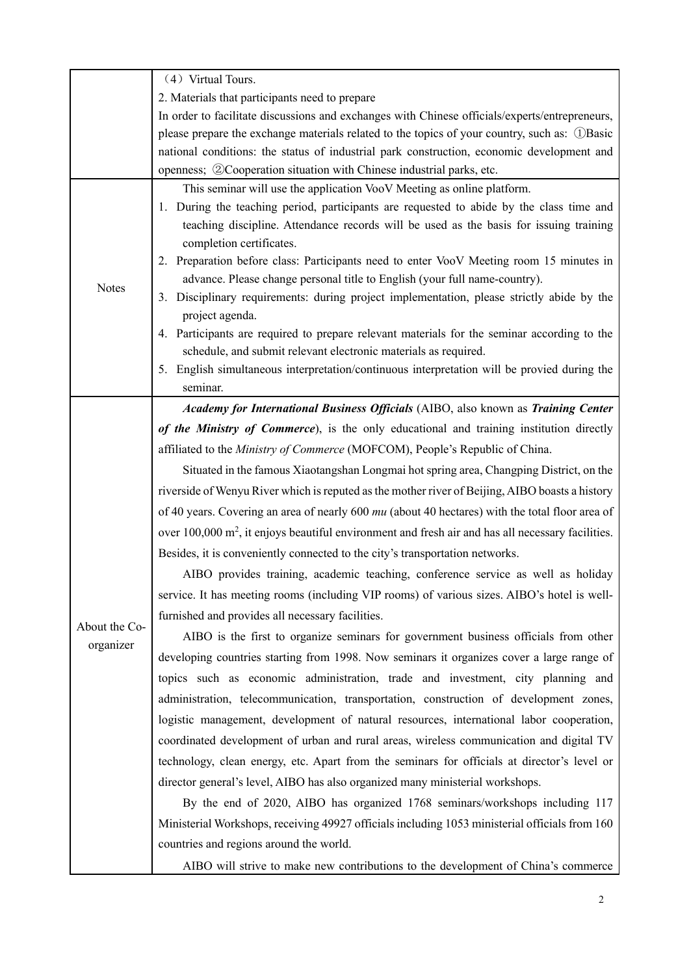|               | (4) Virtual Tours.                                                                                            |  |  |  |  |
|---------------|---------------------------------------------------------------------------------------------------------------|--|--|--|--|
|               | 2. Materials that participants need to prepare                                                                |  |  |  |  |
|               | In order to facilitate discussions and exchanges with Chinese officials/experts/entrepreneurs,                |  |  |  |  |
|               | please prepare the exchange materials related to the topics of your country, such as: ①Basic                  |  |  |  |  |
|               | national conditions: the status of industrial park construction, economic development and                     |  |  |  |  |
|               | openness; ②Cooperation situation with Chinese industrial parks, etc.                                          |  |  |  |  |
|               | This seminar will use the application VooV Meeting as online platform.                                        |  |  |  |  |
|               | 1. During the teaching period, participants are requested to abide by the class time and                      |  |  |  |  |
|               | teaching discipline. Attendance records will be used as the basis for issuing training                        |  |  |  |  |
|               | completion certificates.                                                                                      |  |  |  |  |
|               | 2. Preparation before class: Participants need to enter VooV Meeting room 15 minutes in                       |  |  |  |  |
| <b>Notes</b>  | advance. Please change personal title to English (your full name-country).                                    |  |  |  |  |
|               | 3. Disciplinary requirements: during project implementation, please strictly abide by the                     |  |  |  |  |
|               | project agenda.                                                                                               |  |  |  |  |
|               | 4. Participants are required to prepare relevant materials for the seminar according to the                   |  |  |  |  |
|               | schedule, and submit relevant electronic materials as required.                                               |  |  |  |  |
|               | 5. English simultaneous interpretation/continuous interpretation will be provied during the<br>seminar.       |  |  |  |  |
|               |                                                                                                               |  |  |  |  |
|               | Academy for International Business Officials (AIBO, also known as Training Center                             |  |  |  |  |
|               | of the Ministry of Commerce), is the only educational and training institution directly                       |  |  |  |  |
|               | affiliated to the Ministry of Commerce (MOFCOM), People's Republic of China.                                  |  |  |  |  |
|               | Situated in the famous Xiaotangshan Longmai hot spring area, Changping District, on the                       |  |  |  |  |
|               | riverside of Wenyu River which is reputed as the mother river of Beijing, AIBO boasts a history               |  |  |  |  |
|               | of 40 years. Covering an area of nearly 600 $mu$ (about 40 hectares) with the total floor area of             |  |  |  |  |
|               | over 100,000 m <sup>2</sup> , it enjoys beautiful environment and fresh air and has all necessary facilities. |  |  |  |  |
|               | Besides, it is conveniently connected to the city's transportation networks.                                  |  |  |  |  |
|               | AIBO provides training, academic teaching, conference service as well as holiday                              |  |  |  |  |
|               | service. It has meeting rooms (including VIP rooms) of various sizes. AIBO's hotel is well-                   |  |  |  |  |
|               | furnished and provides all necessary facilities.                                                              |  |  |  |  |
| About the Co- | AIBO is the first to organize seminars for government business officials from other                           |  |  |  |  |
| organizer     |                                                                                                               |  |  |  |  |
|               | developing countries starting from 1998. Now seminars it organizes cover a large range of                     |  |  |  |  |
|               | topics such as economic administration, trade and investment, city planning and                               |  |  |  |  |
|               | administration, telecommunication, transportation, construction of development zones,                         |  |  |  |  |
|               | logistic management, development of natural resources, international labor cooperation,                       |  |  |  |  |
|               | coordinated development of urban and rural areas, wireless communication and digital TV                       |  |  |  |  |
|               | technology, clean energy, etc. Apart from the seminars for officials at director's level or                   |  |  |  |  |
|               | director general's level, AIBO has also organized many ministerial workshops.                                 |  |  |  |  |
|               | By the end of 2020, AIBO has organized 1768 seminars/workshops including 117                                  |  |  |  |  |
|               | Ministerial Workshops, receiving 49927 officials including 1053 ministerial officials from 160                |  |  |  |  |
|               | countries and regions around the world.                                                                       |  |  |  |  |
|               |                                                                                                               |  |  |  |  |
|               | AIBO will strive to make new contributions to the development of China's commerce                             |  |  |  |  |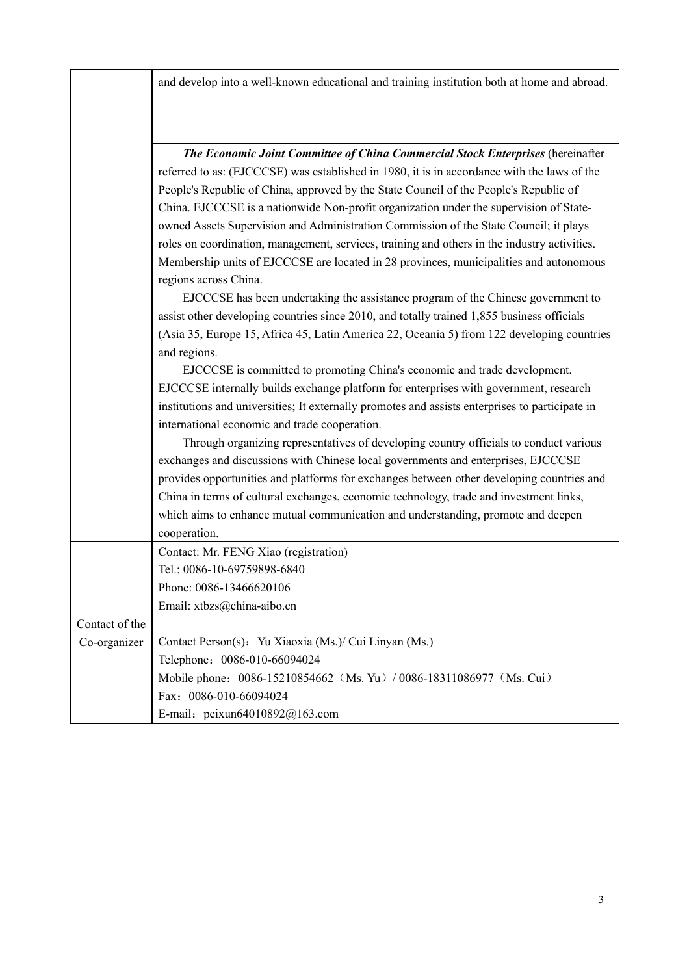and develop into a well-known educational and training institution both at home and abroad.

|                | The Economic Joint Committee of China Commercial Stock Enterprises (hereinafter                 |  |  |  |
|----------------|-------------------------------------------------------------------------------------------------|--|--|--|
|                | referred to as: (EJCCCSE) was established in 1980, it is in accordance with the laws of the     |  |  |  |
|                | People's Republic of China, approved by the State Council of the People's Republic of           |  |  |  |
|                | China. EJCCCSE is a nationwide Non-profit organization under the supervision of State-          |  |  |  |
|                | owned Assets Supervision and Administration Commission of the State Council; it plays           |  |  |  |
|                | roles on coordination, management, services, training and others in the industry activities.    |  |  |  |
|                | Membership units of EJCCCSE are located in 28 provinces, municipalities and autonomous          |  |  |  |
|                | regions across China.                                                                           |  |  |  |
|                | EJCCCSE has been undertaking the assistance program of the Chinese government to                |  |  |  |
|                | assist other developing countries since 2010, and totally trained 1,855 business officials      |  |  |  |
|                | (Asia 35, Europe 15, Africa 45, Latin America 22, Oceania 5) from 122 developing countries      |  |  |  |
|                | and regions.                                                                                    |  |  |  |
|                | EJCCCSE is committed to promoting China's economic and trade development.                       |  |  |  |
|                | EJCCCSE internally builds exchange platform for enterprises with government, research           |  |  |  |
|                | institutions and universities; It externally promotes and assists enterprises to participate in |  |  |  |
|                | international economic and trade cooperation.                                                   |  |  |  |
|                | Through organizing representatives of developing country officials to conduct various           |  |  |  |
|                | exchanges and discussions with Chinese local governments and enterprises, EJCCCSE               |  |  |  |
|                | provides opportunities and platforms for exchanges between other developing countries and       |  |  |  |
|                | China in terms of cultural exchanges, economic technology, trade and investment links,          |  |  |  |
|                | which aims to enhance mutual communication and understanding, promote and deepen                |  |  |  |
|                | cooperation.                                                                                    |  |  |  |
|                | Contact: Mr. FENG Xiao (registration)                                                           |  |  |  |
|                | Tel.: 0086-10-69759898-6840                                                                     |  |  |  |
|                | Phone: 0086-13466620106                                                                         |  |  |  |
|                | Email: xtbzs@china-aibo.cn                                                                      |  |  |  |
| Contact of the |                                                                                                 |  |  |  |
| Co-organizer   | Contact Person(s): Yu Xiaoxia (Ms.)/ Cui Linyan (Ms.)                                           |  |  |  |
|                | Telephone: 0086-010-66094024                                                                    |  |  |  |
|                | Mobile phone: 0086-15210854662 (Ms. Yu) / 0086-18311086977 (Ms. Cui)                            |  |  |  |
|                | Fax: 0086-010-66094024                                                                          |  |  |  |
|                | E-mail: peixun64010892@163.com                                                                  |  |  |  |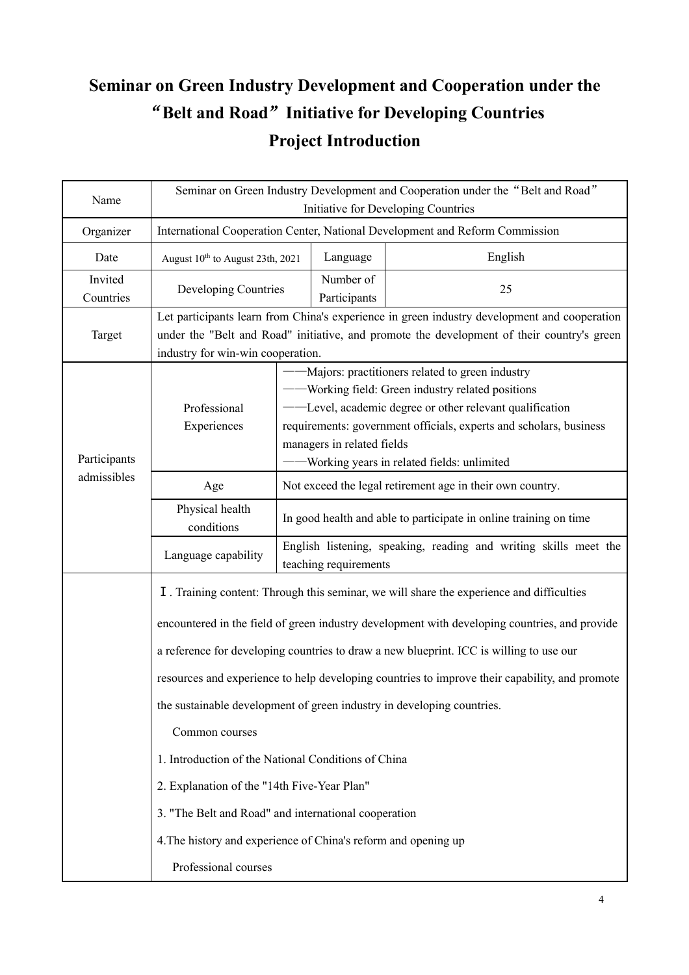# **Seminar on Green Industry Development and Cooperation under the** "**Belt and Road**"**Initiative for Developing Countries Project Introduction**

| Name                 | Seminar on Green Industry Development and Cooperation under the "Belt and Road"<br>Initiative for Developing Countries                                                                                                                                                                                                                                                                                                                                                                                                                                                                                                                                                                                                                     |                                                                                                                                                                                                                                                                                                                      |  |  |  |
|----------------------|--------------------------------------------------------------------------------------------------------------------------------------------------------------------------------------------------------------------------------------------------------------------------------------------------------------------------------------------------------------------------------------------------------------------------------------------------------------------------------------------------------------------------------------------------------------------------------------------------------------------------------------------------------------------------------------------------------------------------------------------|----------------------------------------------------------------------------------------------------------------------------------------------------------------------------------------------------------------------------------------------------------------------------------------------------------------------|--|--|--|
| Organizer            | International Cooperation Center, National Development and Reform Commission                                                                                                                                                                                                                                                                                                                                                                                                                                                                                                                                                                                                                                                               |                                                                                                                                                                                                                                                                                                                      |  |  |  |
| Date                 | August 10 <sup>th</sup> to August 23th, 2021                                                                                                                                                                                                                                                                                                                                                                                                                                                                                                                                                                                                                                                                                               | Language<br>English                                                                                                                                                                                                                                                                                                  |  |  |  |
| Invited<br>Countries | Developing Countries                                                                                                                                                                                                                                                                                                                                                                                                                                                                                                                                                                                                                                                                                                                       | Number of<br>25<br>Participants                                                                                                                                                                                                                                                                                      |  |  |  |
| Target               | industry for win-win cooperation.                                                                                                                                                                                                                                                                                                                                                                                                                                                                                                                                                                                                                                                                                                          | Let participants learn from China's experience in green industry development and cooperation<br>under the "Belt and Road" initiative, and promote the development of their country's green                                                                                                                           |  |  |  |
| Participants         | Professional<br>Experiences                                                                                                                                                                                                                                                                                                                                                                                                                                                                                                                                                                                                                                                                                                                | - Majors: practitioners related to green industry<br>- Working field: Green industry related positions<br>-Level, academic degree or other relevant qualification<br>requirements: government officials, experts and scholars, business<br>managers in related fields<br>-Working years in related fields: unlimited |  |  |  |
| admissibles          | Age                                                                                                                                                                                                                                                                                                                                                                                                                                                                                                                                                                                                                                                                                                                                        | Not exceed the legal retirement age in their own country.                                                                                                                                                                                                                                                            |  |  |  |
|                      | Physical health<br>conditions                                                                                                                                                                                                                                                                                                                                                                                                                                                                                                                                                                                                                                                                                                              | In good health and able to participate in online training on time                                                                                                                                                                                                                                                    |  |  |  |
|                      | Language capability                                                                                                                                                                                                                                                                                                                                                                                                                                                                                                                                                                                                                                                                                                                        | English listening, speaking, reading and writing skills meet the<br>teaching requirements                                                                                                                                                                                                                            |  |  |  |
|                      | I. Training content: Through this seminar, we will share the experience and difficulties<br>encountered in the field of green industry development with developing countries, and provide<br>a reference for developing countries to draw a new blueprint. ICC is willing to use our<br>resources and experience to help developing countries to improve their capability, and promote<br>the sustainable development of green industry in developing countries.<br>Common courses<br>1. Introduction of the National Conditions of China<br>2. Explanation of the "14th Five-Year Plan"<br>3. "The Belt and Road" and international cooperation<br>4. The history and experience of China's reform and opening up<br>Professional courses |                                                                                                                                                                                                                                                                                                                      |  |  |  |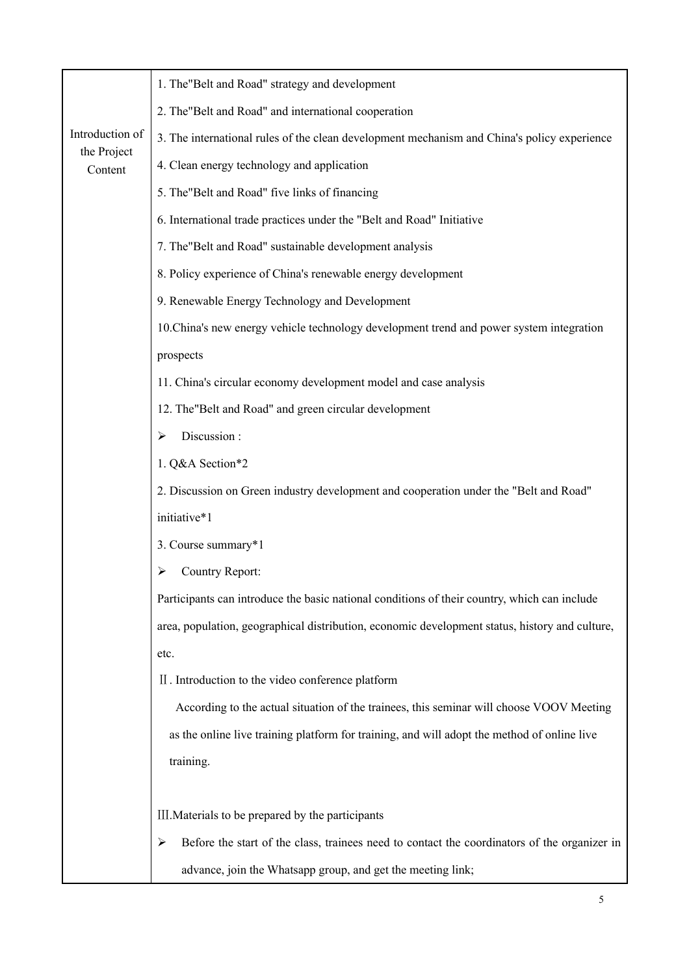|                        | 1. The "Belt and Road" strategy and development                                                   |  |  |  |  |
|------------------------|---------------------------------------------------------------------------------------------------|--|--|--|--|
|                        | 2. The "Belt and Road" and international cooperation                                              |  |  |  |  |
| Introduction of        | 3. The international rules of the clean development mechanism and China's policy experience       |  |  |  |  |
| the Project<br>Content | 4. Clean energy technology and application                                                        |  |  |  |  |
|                        | 5. The "Belt and Road" five links of financing                                                    |  |  |  |  |
|                        | 6. International trade practices under the "Belt and Road" Initiative                             |  |  |  |  |
|                        | 7. The "Belt and Road" sustainable development analysis                                           |  |  |  |  |
|                        | 8. Policy experience of China's renewable energy development                                      |  |  |  |  |
|                        | 9. Renewable Energy Technology and Development                                                    |  |  |  |  |
|                        | 10. China's new energy vehicle technology development trend and power system integration          |  |  |  |  |
|                        | prospects                                                                                         |  |  |  |  |
|                        | 11. China's circular economy development model and case analysis                                  |  |  |  |  |
|                        | 12. The "Belt and Road" and green circular development                                            |  |  |  |  |
|                        | Discussion:<br>➤                                                                                  |  |  |  |  |
|                        | 1. Q&A Section*2                                                                                  |  |  |  |  |
|                        | 2. Discussion on Green industry development and cooperation under the "Belt and Road"             |  |  |  |  |
|                        | initiative*1                                                                                      |  |  |  |  |
|                        | 3. Course summary*1                                                                               |  |  |  |  |
|                        | <b>Country Report:</b>                                                                            |  |  |  |  |
|                        | Participants can introduce the basic national conditions of their country, which can include      |  |  |  |  |
|                        | area, population, geographical distribution, economic development status, history and culture,    |  |  |  |  |
|                        | etc.                                                                                              |  |  |  |  |
|                        | II. Introduction to the video conference platform                                                 |  |  |  |  |
|                        | According to the actual situation of the trainees, this seminar will choose VOOV Meeting          |  |  |  |  |
|                        | as the online live training platform for training, and will adopt the method of online live       |  |  |  |  |
|                        | training.                                                                                         |  |  |  |  |
|                        |                                                                                                   |  |  |  |  |
|                        | III. Materials to be prepared by the participants                                                 |  |  |  |  |
|                        | Before the start of the class, trainees need to contact the coordinators of the organizer in<br>≻ |  |  |  |  |
|                        | advance, join the Whatsapp group, and get the meeting link;                                       |  |  |  |  |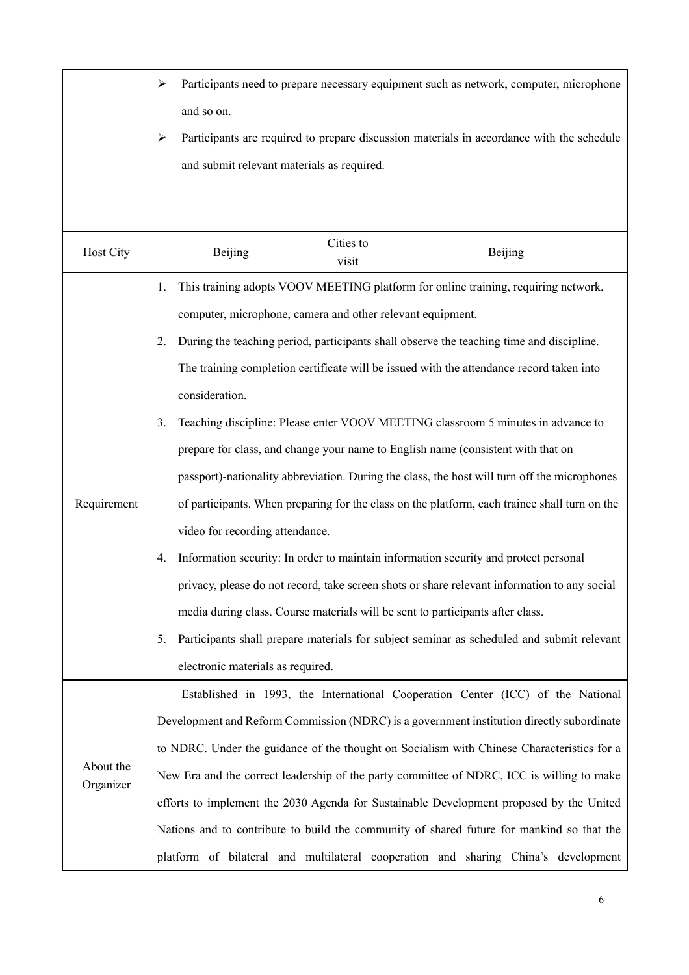|                                                                                                              | Participants need to prepare necessary equipment such as network, computer, microphone<br>➤            |  |                                                                                           |  |  |
|--------------------------------------------------------------------------------------------------------------|--------------------------------------------------------------------------------------------------------|--|-------------------------------------------------------------------------------------------|--|--|
|                                                                                                              | and so on.                                                                                             |  |                                                                                           |  |  |
|                                                                                                              | Participants are required to prepare discussion materials in accordance with the schedule<br>≻         |  |                                                                                           |  |  |
|                                                                                                              | and submit relevant materials as required.                                                             |  |                                                                                           |  |  |
|                                                                                                              |                                                                                                        |  |                                                                                           |  |  |
|                                                                                                              |                                                                                                        |  |                                                                                           |  |  |
| Host City                                                                                                    | Cities to<br>Beijing<br>Beijing<br>visit                                                               |  |                                                                                           |  |  |
|                                                                                                              | 1.                                                                                                     |  | This training adopts VOOV MEETING platform for online training, requiring network,        |  |  |
|                                                                                                              | computer, microphone, camera and other relevant equipment.                                             |  |                                                                                           |  |  |
|                                                                                                              | 2.                                                                                                     |  | During the teaching period, participants shall observe the teaching time and discipline.  |  |  |
|                                                                                                              |                                                                                                        |  | The training completion certificate will be issued with the attendance record taken into  |  |  |
|                                                                                                              | consideration.                                                                                         |  |                                                                                           |  |  |
|                                                                                                              | 3.                                                                                                     |  | Teaching discipline: Please enter VOOV MEETING classroom 5 minutes in advance to          |  |  |
|                                                                                                              |                                                                                                        |  | prepare for class, and change your name to English name (consistent with that on          |  |  |
| passport)-nationality abbreviation. During the class, the host will turn off the microphones                 |                                                                                                        |  |                                                                                           |  |  |
| Requirement<br>of participants. When preparing for the class on the platform, each trainee shall turn on the |                                                                                                        |  |                                                                                           |  |  |
|                                                                                                              | video for recording attendance.                                                                        |  |                                                                                           |  |  |
|                                                                                                              | Information security: In order to maintain information security and protect personal<br>4.             |  |                                                                                           |  |  |
|                                                                                                              | privacy, please do not record, take screen shots or share relevant information to any social           |  |                                                                                           |  |  |
|                                                                                                              |                                                                                                        |  | media during class. Course materials will be sent to participants after class.            |  |  |
|                                                                                                              | 5.                                                                                                     |  | Participants shall prepare materials for subject seminar as scheduled and submit relevant |  |  |
|                                                                                                              | electronic materials as required.                                                                      |  |                                                                                           |  |  |
|                                                                                                              |                                                                                                        |  | Established in 1993, the International Cooperation Center (ICC) of the National           |  |  |
|                                                                                                              |                                                                                                        |  | Development and Reform Commission (NDRC) is a government institution directly subordinate |  |  |
|                                                                                                              | to NDRC. Under the guidance of the thought on Socialism with Chinese Characteristics for a             |  |                                                                                           |  |  |
| Organizer                                                                                                    | About the<br>New Era and the correct leadership of the party committee of NDRC, ICC is willing to make |  |                                                                                           |  |  |
| efforts to implement the 2030 Agenda for Sustainable Development proposed by the United                      |                                                                                                        |  |                                                                                           |  |  |
|                                                                                                              | Nations and to contribute to build the community of shared future for mankind so that the              |  |                                                                                           |  |  |
|                                                                                                              | platform of bilateral and multilateral cooperation and sharing China's development                     |  |                                                                                           |  |  |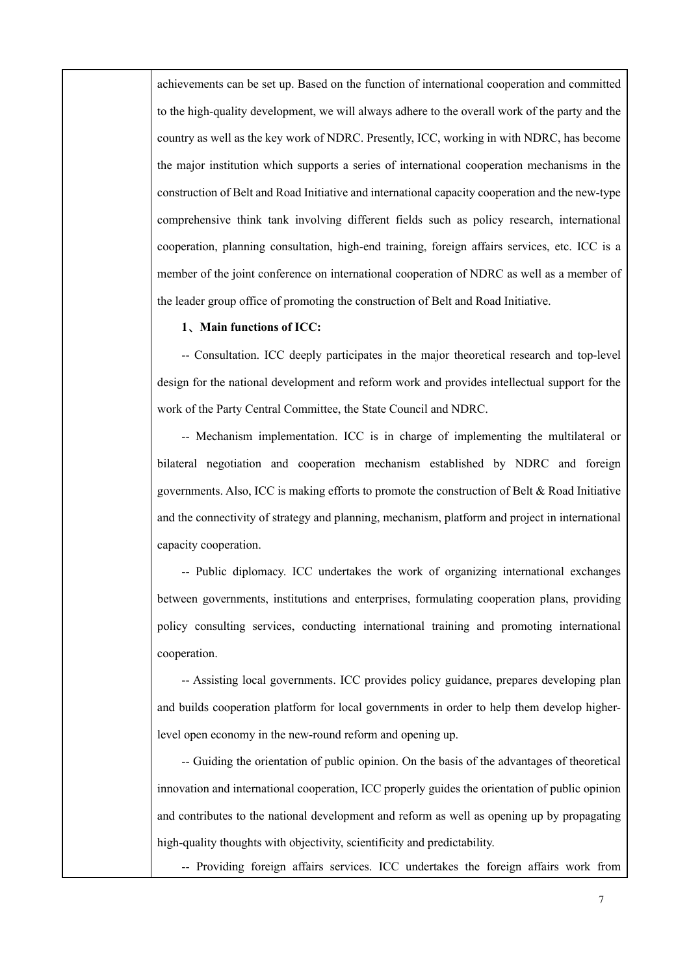achievements can be set up. Based on the function of international cooperation and committed to the high-quality development, we will always adhere to the overall work of the party and the country as well as the key work of NDRC. Presently, ICC, working in with NDRC, has become the major institution which supports a series of international cooperation mechanisms in the construction of Belt and Road Initiative and international capacity cooperation and the new-type comprehensive think tank involving different fields such as policy research, international cooperation, planning consultation, high-end training, foreign affairs services, etc. ICC is a member of the joint conference on international cooperation of NDRC as well as a member of the leader group office of promoting the construction of Belt and Road Initiative.

#### **1、Main functions of ICC:**

-- Consultation. ICC deeply participates in the major theoretical research and top-level design for the national development and reform work and provides intellectual support for the work of the Party Central Committee, the State Council and NDRC.

-- Mechanism implementation. ICC is in charge of implementing the multilateral or bilateral negotiation and cooperation mechanism established by NDRC and foreign governments. Also, ICC is making efforts to promote the construction of Belt & Road Initiative and the connectivity of strategy and planning, mechanism, platform and project in international capacity cooperation.

-- Public diplomacy. ICC undertakes the work of organizing international exchanges between governments, institutions and enterprises, formulating cooperation plans, providing policy consulting services, conducting international training and promoting international cooperation.

-- Assisting local governments. ICC provides policy guidance, prepares developing plan and builds cooperation platform for local governments in order to help them develop higherlevel open economy in the new-round reform and opening up.

-- Guiding the orientation of public opinion. On the basis of the advantages of theoretical innovation and international cooperation, ICC properly guides the orientation of public opinion and contributes to the national development and reform as well as opening up by propagating high-quality thoughts with objectivity, scientificity and predictability.

-- Providing foreign affairs services. ICC undertakes the foreign affairs work from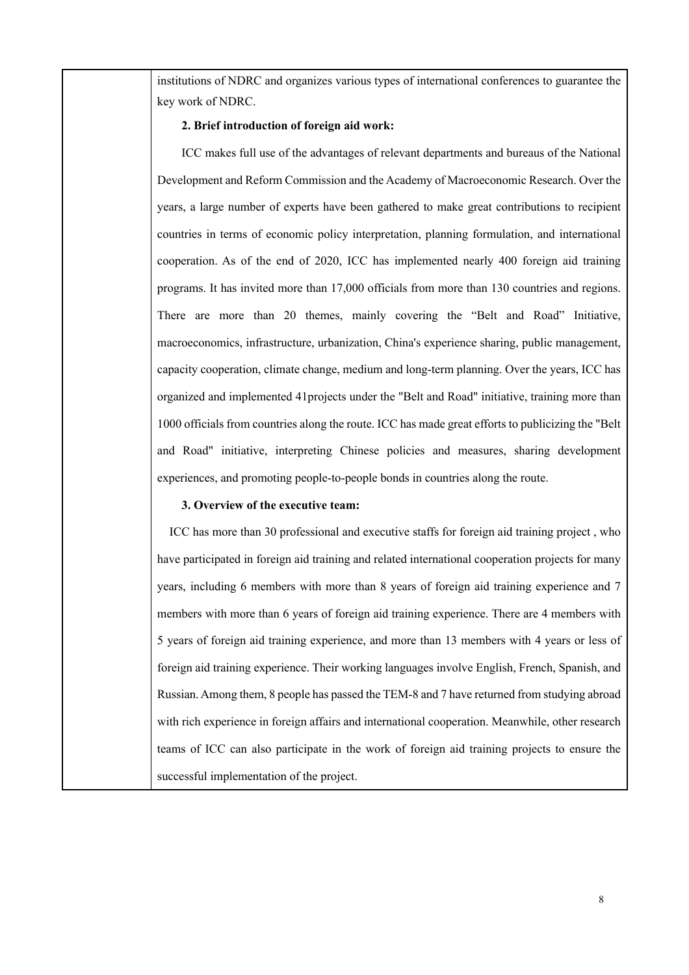institutions of NDRC and organizes various types of international conferences to guarantee the key work of NDRC.

#### **2. Brief introduction of foreign aid work:**

ICC makes full use of the advantages of relevant departments and bureaus of the National Development and Reform Commission and the Academy of Macroeconomic Research. Over the years, a large number of experts have been gathered to make great contributions to recipient countries in terms of economic policy interpretation, planning formulation, and international cooperation. As of the end of 2020, ICC has implemented nearly 400 foreign aid training programs. It has invited more than 17,000 officials from more than 130 countries and regions. There are more than 20 themes, mainly covering the "Belt and Road" Initiative, macroeconomics, infrastructure, urbanization, China's experience sharing, public management, capacity cooperation, climate change, medium and long-term planning. Over the years, ICC has organized and implemented 41projects under the "Belt and Road" initiative, training more than 1000 officials from countries along the route. ICC has made great efforts to publicizing the "Belt and Road" initiative, interpreting Chinese policies and measures, sharing development experiences, and promoting people-to-people bonds in countries along the route.

#### **3. Overview of the executive team:**

ICC has more than 30 professional and executive staffs for foreign aid training project , who have participated in foreign aid training and related international cooperation projects for many years, including 6 members with more than 8 years of foreign aid training experience and 7 members with more than 6 years of foreign aid training experience. There are 4 members with 5 years of foreign aid training experience, and more than 13 members with 4 years or less of foreign aid training experience. Their working languages involve English, French, Spanish, and Russian. Among them, 8 people has passed the TEM-8 and 7 have returned from studying abroad with rich experience in foreign affairs and international cooperation. Meanwhile, other research teams of ICC can also participate in the work of foreign aid training projects to ensure the successful implementation of the project.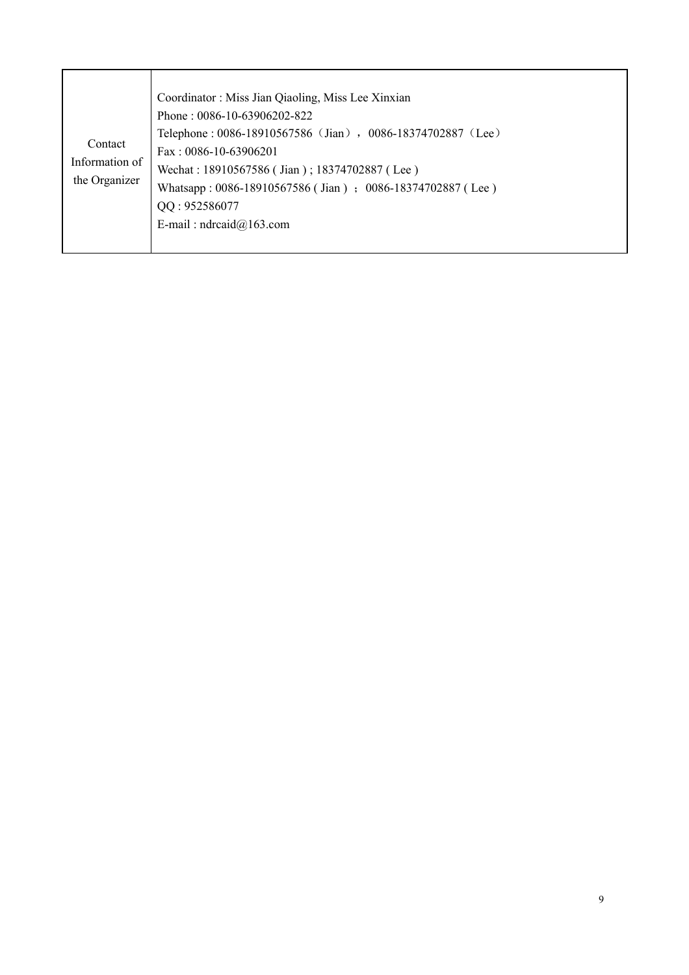| Contact<br>Information of<br>the Organizer | Coordinator: Miss Jian Qiaoling, Miss Lee Xinxian<br>Phone: $0086-10-63906202-822$<br>Telephone: 0086-18910567586 (Jian), 0086-18374702887 (Lee)<br>Fax: $0086-10-63906201$<br>Wechat: 18910567586 (Jian); 18374702887 (Lee)<br>Whatsapp: 0086-18910567586 (Jian); 0086-18374702887 (Lee)<br>QQ: 952586077<br>E-mail: $ndread@163.com$ |
|--------------------------------------------|----------------------------------------------------------------------------------------------------------------------------------------------------------------------------------------------------------------------------------------------------------------------------------------------------------------------------------------|
|--------------------------------------------|----------------------------------------------------------------------------------------------------------------------------------------------------------------------------------------------------------------------------------------------------------------------------------------------------------------------------------------|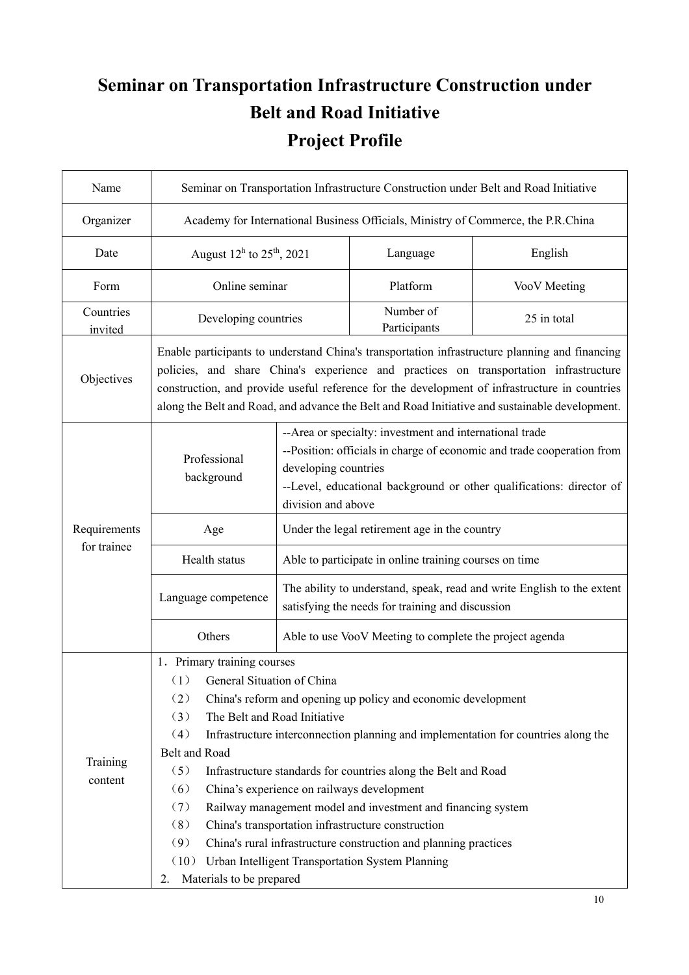# **Seminar on Transportation Infrastructure Construction under Belt and Road Initiative Project Profile**

| Name                 | Seminar on Transportation Infrastructure Construction under Belt and Road Initiative                                                                                                                                                                                                                                                                                                       |                                                                                                                                                                                                                                                         |                                                        |                                                                        |  |
|----------------------|--------------------------------------------------------------------------------------------------------------------------------------------------------------------------------------------------------------------------------------------------------------------------------------------------------------------------------------------------------------------------------------------|---------------------------------------------------------------------------------------------------------------------------------------------------------------------------------------------------------------------------------------------------------|--------------------------------------------------------|------------------------------------------------------------------------|--|
| Organizer            | Academy for International Business Officials, Ministry of Commerce, the P.R.China                                                                                                                                                                                                                                                                                                          |                                                                                                                                                                                                                                                         |                                                        |                                                                        |  |
| Date                 | August $12^h$ to $25^h$ , 2021                                                                                                                                                                                                                                                                                                                                                             |                                                                                                                                                                                                                                                         | Language                                               | English                                                                |  |
| Form                 | Online seminar                                                                                                                                                                                                                                                                                                                                                                             |                                                                                                                                                                                                                                                         | Platform                                               | VooV Meeting                                                           |  |
| Countries<br>invited | Developing countries                                                                                                                                                                                                                                                                                                                                                                       |                                                                                                                                                                                                                                                         | Number of<br>Participants                              | 25 in total                                                            |  |
| Objectives           | Enable participants to understand China's transportation infrastructure planning and financing<br>policies, and share China's experience and practices on transportation infrastructure<br>construction, and provide useful reference for the development of infrastructure in countries<br>along the Belt and Road, and advance the Belt and Road Initiative and sustainable development. |                                                                                                                                                                                                                                                         |                                                        |                                                                        |  |
|                      | Professional<br>background                                                                                                                                                                                                                                                                                                                                                                 | --Area or specialty: investment and international trade<br>--Position: officials in charge of economic and trade cooperation from<br>developing countries<br>--Level, educational background or other qualifications: director of<br>division and above |                                                        |                                                                        |  |
| Requirements         | Age                                                                                                                                                                                                                                                                                                                                                                                        | Under the legal retirement age in the country                                                                                                                                                                                                           |                                                        |                                                                        |  |
| for trainee          | Health status                                                                                                                                                                                                                                                                                                                                                                              |                                                                                                                                                                                                                                                         | Able to participate in online training courses on time |                                                                        |  |
|                      | Language competence                                                                                                                                                                                                                                                                                                                                                                        |                                                                                                                                                                                                                                                         | satisfying the needs for training and discussion       | The ability to understand, speak, read and write English to the extent |  |
|                      | Others                                                                                                                                                                                                                                                                                                                                                                                     | Able to use VooV Meeting to complete the project agenda                                                                                                                                                                                                 |                                                        |                                                                        |  |
|                      | 1. Primary training courses                                                                                                                                                                                                                                                                                                                                                                |                                                                                                                                                                                                                                                         |                                                        |                                                                        |  |
|                      | General Situation of China<br>(1)<br>(2)<br>China's reform and opening up policy and economic development                                                                                                                                                                                                                                                                                  |                                                                                                                                                                                                                                                         |                                                        |                                                                        |  |
|                      | The Belt and Road Initiative<br>(3)                                                                                                                                                                                                                                                                                                                                                        |                                                                                                                                                                                                                                                         |                                                        |                                                                        |  |
|                      | (4)<br>Infrastructure interconnection planning and implementation for countries along the                                                                                                                                                                                                                                                                                                  |                                                                                                                                                                                                                                                         |                                                        |                                                                        |  |
| Training             | Belt and Road<br>(5)<br>Infrastructure standards for countries along the Belt and Road                                                                                                                                                                                                                                                                                                     |                                                                                                                                                                                                                                                         |                                                        |                                                                        |  |
| content              | (6)<br>China's experience on railways development                                                                                                                                                                                                                                                                                                                                          |                                                                                                                                                                                                                                                         |                                                        |                                                                        |  |
|                      | (7)<br>Railway management model and investment and financing system                                                                                                                                                                                                                                                                                                                        |                                                                                                                                                                                                                                                         |                                                        |                                                                        |  |
|                      | (8)<br>China's transportation infrastructure construction                                                                                                                                                                                                                                                                                                                                  |                                                                                                                                                                                                                                                         |                                                        |                                                                        |  |
|                      | (9)<br>China's rural infrastructure construction and planning practices                                                                                                                                                                                                                                                                                                                    |                                                                                                                                                                                                                                                         |                                                        |                                                                        |  |
|                      | Urban Intelligent Transportation System Planning<br>(10)                                                                                                                                                                                                                                                                                                                                   |                                                                                                                                                                                                                                                         |                                                        |                                                                        |  |
|                      | Materials to be prepared<br>2.                                                                                                                                                                                                                                                                                                                                                             |                                                                                                                                                                                                                                                         |                                                        |                                                                        |  |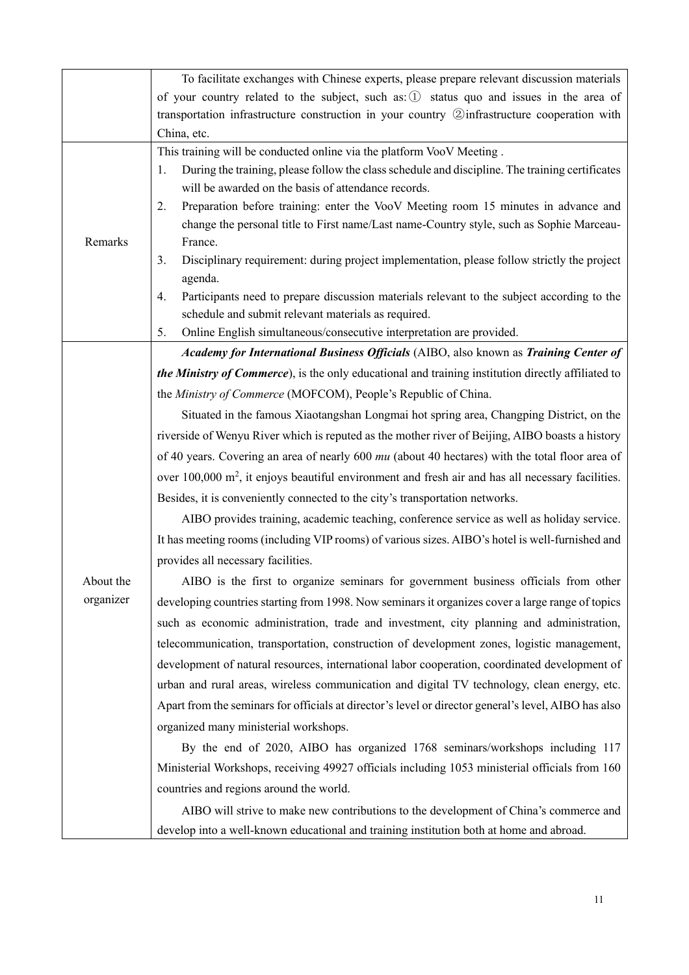|           | To facilitate exchanges with Chinese experts, please prepare relevant discussion materials                                                                                       |  |  |  |  |
|-----------|----------------------------------------------------------------------------------------------------------------------------------------------------------------------------------|--|--|--|--|
|           | of your country related to the subject, such as: 1 status quo and issues in the area of                                                                                          |  |  |  |  |
|           | transportation infrastructure construction in your country 2 infrastructure cooperation with                                                                                     |  |  |  |  |
|           | China, etc.                                                                                                                                                                      |  |  |  |  |
|           | This training will be conducted online via the platform VooV Meeting.                                                                                                            |  |  |  |  |
|           | During the training, please follow the class schedule and discipline. The training certificates<br>1.<br>will be awarded on the basis of attendance records.                     |  |  |  |  |
|           | Preparation before training: enter the VooV Meeting room 15 minutes in advance and<br>2.                                                                                         |  |  |  |  |
|           | change the personal title to First name/Last name-Country style, such as Sophie Marceau-                                                                                         |  |  |  |  |
| Remarks   | France.                                                                                                                                                                          |  |  |  |  |
|           | Disciplinary requirement: during project implementation, please follow strictly the project<br>3.                                                                                |  |  |  |  |
|           | agenda.                                                                                                                                                                          |  |  |  |  |
|           | Participants need to prepare discussion materials relevant to the subject according to the<br>4.                                                                                 |  |  |  |  |
|           | schedule and submit relevant materials as required.                                                                                                                              |  |  |  |  |
|           | Online English simultaneous/consecutive interpretation are provided.<br>5.                                                                                                       |  |  |  |  |
|           | Academy for International Business Officials (AIBO, also known as Training Center of                                                                                             |  |  |  |  |
|           | the Ministry of Commerce), is the only educational and training institution directly affiliated to                                                                               |  |  |  |  |
|           | the Ministry of Commerce (MOFCOM), People's Republic of China.                                                                                                                   |  |  |  |  |
|           | Situated in the famous Xiaotangshan Longmai hot spring area, Changping District, on the                                                                                          |  |  |  |  |
|           | riverside of Wenyu River which is reputed as the mother river of Beijing, AIBO boasts a history                                                                                  |  |  |  |  |
|           | of 40 years. Covering an area of nearly 600 mu (about 40 hectares) with the total floor area of                                                                                  |  |  |  |  |
|           | over 100,000 m <sup>2</sup> , it enjoys beautiful environment and fresh air and has all necessary facilities.                                                                    |  |  |  |  |
|           | Besides, it is conveniently connected to the city's transportation networks.                                                                                                     |  |  |  |  |
|           | AIBO provides training, academic teaching, conference service as well as holiday service.                                                                                        |  |  |  |  |
|           | It has meeting rooms (including VIP rooms) of various sizes. AIBO's hotel is well-furnished and                                                                                  |  |  |  |  |
|           | provides all necessary facilities.                                                                                                                                               |  |  |  |  |
| About the | AIBO is the first to organize seminars for government business officials from other                                                                                              |  |  |  |  |
| organizer | developing countries starting from 1998. Now seminars it organizes cover a large range of topics                                                                                 |  |  |  |  |
|           | such as economic administration, trade and investment, city planning and administration,                                                                                         |  |  |  |  |
|           | telecommunication, transportation, construction of development zones, logistic management,                                                                                       |  |  |  |  |
|           | development of natural resources, international labor cooperation, coordinated development of                                                                                    |  |  |  |  |
|           | urban and rural areas, wireless communication and digital TV technology, clean energy, etc.                                                                                      |  |  |  |  |
|           | Apart from the seminars for officials at director's level or director general's level, AIBO has also                                                                             |  |  |  |  |
|           | organized many ministerial workshops.                                                                                                                                            |  |  |  |  |
|           | By the end of 2020, AIBO has organized 1768 seminars/workshops including 117                                                                                                     |  |  |  |  |
|           | Ministerial Workshops, receiving 49927 officials including 1053 ministerial officials from 160                                                                                   |  |  |  |  |
|           | countries and regions around the world.                                                                                                                                          |  |  |  |  |
|           |                                                                                                                                                                                  |  |  |  |  |
|           |                                                                                                                                                                                  |  |  |  |  |
|           | AIBO will strive to make new contributions to the development of China's commerce and<br>develop into a well-known educational and training institution both at home and abroad. |  |  |  |  |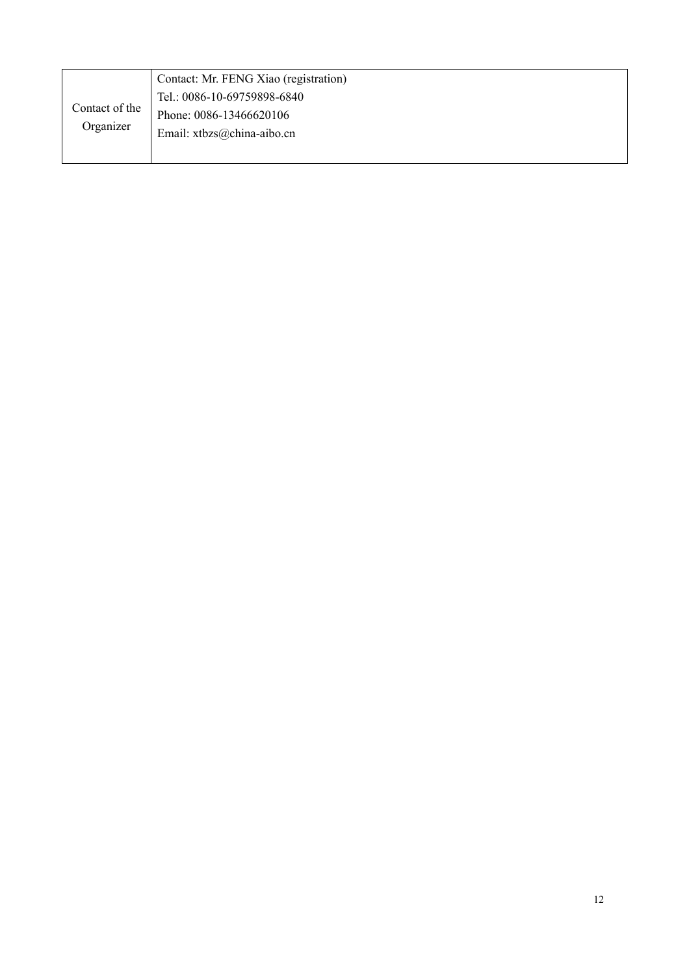| Contact of the<br>Organizer | Contact: Mr. FENG Xiao (registration) |
|-----------------------------|---------------------------------------|
|                             | Tel.: 0086-10-69759898-6840           |
|                             | Phone: 0086-13466620106               |
|                             | Email: xtbzs@china-aibo.cn            |
|                             |                                       |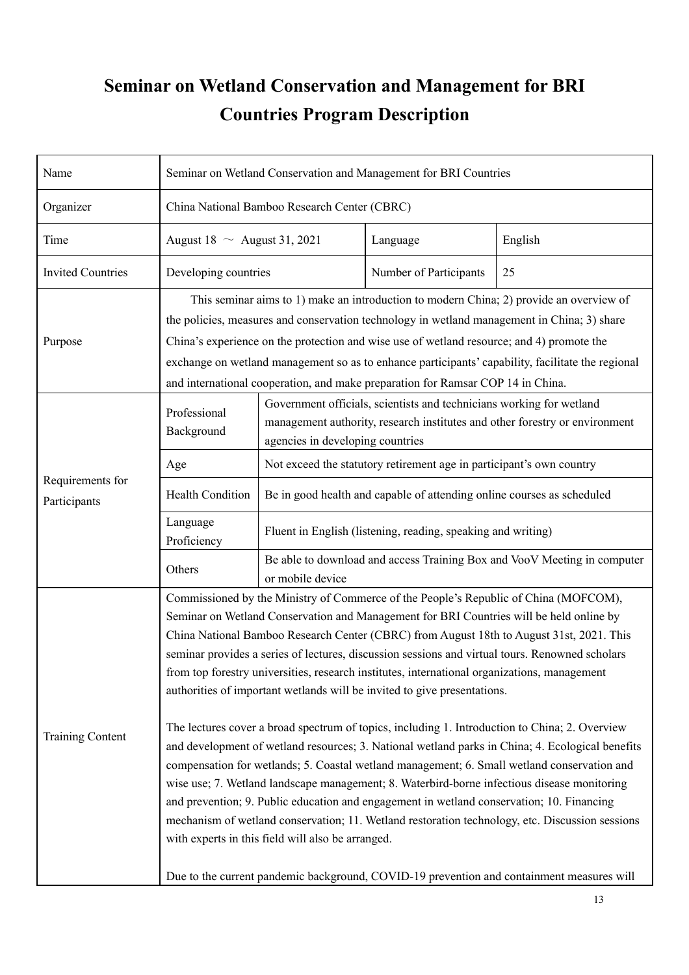## **Seminar on Wetland Conservation and Management for BRI Countries Program Description**

| Name                             | Seminar on Wetland Conservation and Management for BRI Countries                                                                                                                                                                                                                                                                                                                                                                                                                                                                                                                                                                                                                                                                                                                                                                                                                                                                                                                                                                                                                                                                                                                                                                                                                                                 |                                                                                                                                                                                         |                                                              |                                                                          |  |
|----------------------------------|------------------------------------------------------------------------------------------------------------------------------------------------------------------------------------------------------------------------------------------------------------------------------------------------------------------------------------------------------------------------------------------------------------------------------------------------------------------------------------------------------------------------------------------------------------------------------------------------------------------------------------------------------------------------------------------------------------------------------------------------------------------------------------------------------------------------------------------------------------------------------------------------------------------------------------------------------------------------------------------------------------------------------------------------------------------------------------------------------------------------------------------------------------------------------------------------------------------------------------------------------------------------------------------------------------------|-----------------------------------------------------------------------------------------------------------------------------------------------------------------------------------------|--------------------------------------------------------------|--------------------------------------------------------------------------|--|
| Organizer                        | China National Bamboo Research Center (CBRC)                                                                                                                                                                                                                                                                                                                                                                                                                                                                                                                                                                                                                                                                                                                                                                                                                                                                                                                                                                                                                                                                                                                                                                                                                                                                     |                                                                                                                                                                                         |                                                              |                                                                          |  |
| Time                             | August 18 $\sim$ August 31, 2021                                                                                                                                                                                                                                                                                                                                                                                                                                                                                                                                                                                                                                                                                                                                                                                                                                                                                                                                                                                                                                                                                                                                                                                                                                                                                 |                                                                                                                                                                                         | Language                                                     | English                                                                  |  |
| <b>Invited Countries</b>         | Developing countries                                                                                                                                                                                                                                                                                                                                                                                                                                                                                                                                                                                                                                                                                                                                                                                                                                                                                                                                                                                                                                                                                                                                                                                                                                                                                             |                                                                                                                                                                                         | Number of Participants                                       | 25                                                                       |  |
| Purpose                          | This seminar aims to 1) make an introduction to modern China; 2) provide an overview of<br>the policies, measures and conservation technology in wetland management in China; 3) share<br>China's experience on the protection and wise use of wetland resource; and 4) promote the<br>exchange on wetland management so as to enhance participants' capability, facilitate the regional<br>and international cooperation, and make preparation for Ramsar COP 14 in China.                                                                                                                                                                                                                                                                                                                                                                                                                                                                                                                                                                                                                                                                                                                                                                                                                                      |                                                                                                                                                                                         |                                                              |                                                                          |  |
|                                  | Professional<br>Background                                                                                                                                                                                                                                                                                                                                                                                                                                                                                                                                                                                                                                                                                                                                                                                                                                                                                                                                                                                                                                                                                                                                                                                                                                                                                       | Government officials, scientists and technicians working for wetland<br>management authority, research institutes and other forestry or environment<br>agencies in developing countries |                                                              |                                                                          |  |
|                                  | Age                                                                                                                                                                                                                                                                                                                                                                                                                                                                                                                                                                                                                                                                                                                                                                                                                                                                                                                                                                                                                                                                                                                                                                                                                                                                                                              | Not exceed the statutory retirement age in participant's own country                                                                                                                    |                                                              |                                                                          |  |
| Requirements for<br>Participants | <b>Health Condition</b>                                                                                                                                                                                                                                                                                                                                                                                                                                                                                                                                                                                                                                                                                                                                                                                                                                                                                                                                                                                                                                                                                                                                                                                                                                                                                          | Be in good health and capable of attending online courses as scheduled                                                                                                                  |                                                              |                                                                          |  |
|                                  | Language<br>Proficiency                                                                                                                                                                                                                                                                                                                                                                                                                                                                                                                                                                                                                                                                                                                                                                                                                                                                                                                                                                                                                                                                                                                                                                                                                                                                                          |                                                                                                                                                                                         | Fluent in English (listening, reading, speaking and writing) |                                                                          |  |
|                                  | Others                                                                                                                                                                                                                                                                                                                                                                                                                                                                                                                                                                                                                                                                                                                                                                                                                                                                                                                                                                                                                                                                                                                                                                                                                                                                                                           | or mobile device                                                                                                                                                                        |                                                              | Be able to download and access Training Box and VooV Meeting in computer |  |
| <b>Training Content</b>          | Commissioned by the Ministry of Commerce of the People's Republic of China (MOFCOM),<br>Seminar on Wetland Conservation and Management for BRI Countries will be held online by<br>China National Bamboo Research Center (CBRC) from August 18th to August 31st, 2021. This<br>seminar provides a series of lectures, discussion sessions and virtual tours. Renowned scholars<br>from top forestry universities, research institutes, international organizations, management<br>authorities of important wetlands will be invited to give presentations.<br>The lectures cover a broad spectrum of topics, including 1. Introduction to China; 2. Overview<br>and development of wetland resources; 3. National wetland parks in China; 4. Ecological benefits<br>compensation for wetlands; 5. Coastal wetland management; 6. Small wetland conservation and<br>wise use; 7. Wetland landscape management; 8. Waterbird-borne infectious disease monitoring<br>and prevention; 9. Public education and engagement in wetland conservation; 10. Financing<br>mechanism of wetland conservation; 11. Wetland restoration technology, etc. Discussion sessions<br>with experts in this field will also be arranged.<br>Due to the current pandemic background, COVID-19 prevention and containment measures will |                                                                                                                                                                                         |                                                              |                                                                          |  |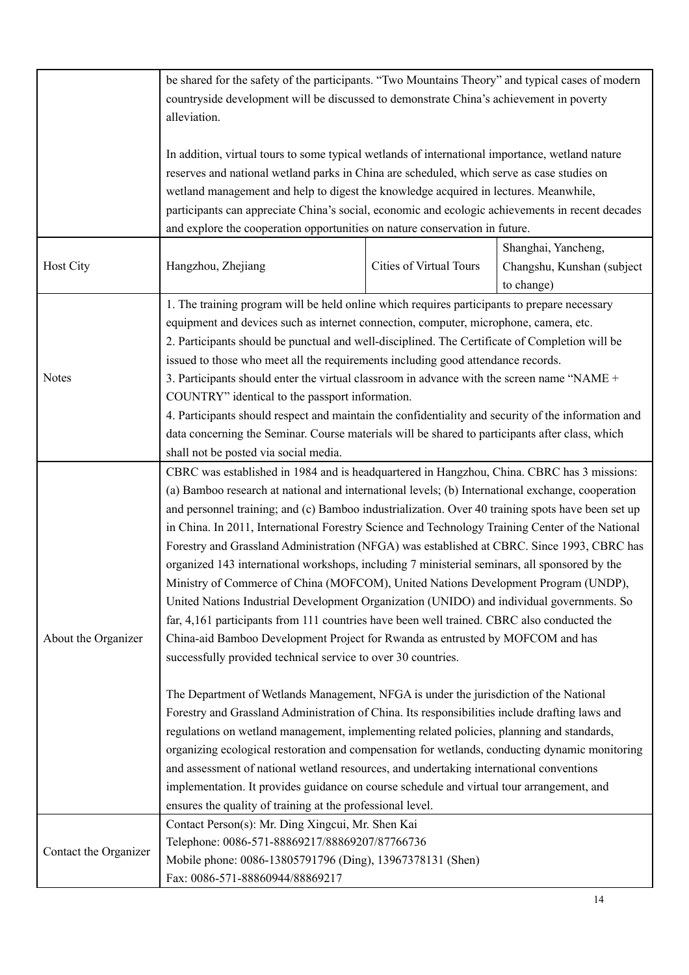|                                                                                                   | be shared for the safety of the participants. "Two Mountains Theory" and typical cases of modern                                                        |                         |                            |  |  |
|---------------------------------------------------------------------------------------------------|---------------------------------------------------------------------------------------------------------------------------------------------------------|-------------------------|----------------------------|--|--|
|                                                                                                   | countryside development will be discussed to demonstrate China's achievement in poverty                                                                 |                         |                            |  |  |
|                                                                                                   | alleviation.                                                                                                                                            |                         |                            |  |  |
|                                                                                                   |                                                                                                                                                         |                         |                            |  |  |
|                                                                                                   | In addition, virtual tours to some typical wetlands of international importance, wetland nature                                                         |                         |                            |  |  |
|                                                                                                   | reserves and national wetland parks in China are scheduled, which serve as case studies on                                                              |                         |                            |  |  |
|                                                                                                   | wetland management and help to digest the knowledge acquired in lectures. Meanwhile,                                                                    |                         |                            |  |  |
|                                                                                                   | participants can appreciate China's social, economic and ecologic achievements in recent decades                                                        |                         |                            |  |  |
|                                                                                                   | and explore the cooperation opportunities on nature conservation in future.                                                                             |                         |                            |  |  |
|                                                                                                   |                                                                                                                                                         |                         | Shanghai, Yancheng,        |  |  |
| Host City                                                                                         | Hangzhou, Zhejiang                                                                                                                                      | Cities of Virtual Tours | Changshu, Kunshan (subject |  |  |
|                                                                                                   |                                                                                                                                                         |                         | to change)                 |  |  |
|                                                                                                   | 1. The training program will be held online which requires participants to prepare necessary                                                            |                         |                            |  |  |
|                                                                                                   | equipment and devices such as internet connection, computer, microphone, camera, etc.                                                                   |                         |                            |  |  |
|                                                                                                   | 2. Participants should be punctual and well-disciplined. The Certificate of Completion will be                                                          |                         |                            |  |  |
|                                                                                                   | issued to those who meet all the requirements including good attendance records.                                                                        |                         |                            |  |  |
| <b>Notes</b>                                                                                      | 3. Participants should enter the virtual classroom in advance with the screen name "NAME +                                                              |                         |                            |  |  |
|                                                                                                   | COUNTRY" identical to the passport information.                                                                                                         |                         |                            |  |  |
|                                                                                                   | 4. Participants should respect and maintain the confidentiality and security of the information and                                                     |                         |                            |  |  |
|                                                                                                   | data concerning the Seminar. Course materials will be shared to participants after class, which                                                         |                         |                            |  |  |
|                                                                                                   | shall not be posted via social media.                                                                                                                   |                         |                            |  |  |
|                                                                                                   | CBRC was established in 1984 and is headquartered in Hangzhou, China. CBRC has 3 missions:                                                              |                         |                            |  |  |
| (a) Bamboo research at national and international levels; (b) International exchange, cooperation |                                                                                                                                                         |                         |                            |  |  |
|                                                                                                   | and personnel training; and (c) Bamboo industrialization. Over 40 training spots have been set up                                                       |                         |                            |  |  |
|                                                                                                   | in China. In 2011, International Forestry Science and Technology Training Center of the National                                                        |                         |                            |  |  |
|                                                                                                   | Forestry and Grassland Administration (NFGA) was established at CBRC. Since 1993, CBRC has                                                              |                         |                            |  |  |
|                                                                                                   | organized 143 international workshops, including 7 ministerial seminars, all sponsored by the                                                           |                         |                            |  |  |
|                                                                                                   | Ministry of Commerce of China (MOFCOM), United Nations Development Program (UNDP),                                                                      |                         |                            |  |  |
|                                                                                                   | United Nations Industrial Development Organization (UNIDO) and individual governments. So                                                               |                         |                            |  |  |
|                                                                                                   | far, 4,161 participants from 111 countries have been well trained. CBRC also conducted the                                                              |                         |                            |  |  |
| About the Organizer                                                                               | China-aid Bamboo Development Project for Rwanda as entrusted by MOFCOM and has                                                                          |                         |                            |  |  |
|                                                                                                   | successfully provided technical service to over 30 countries.                                                                                           |                         |                            |  |  |
|                                                                                                   |                                                                                                                                                         |                         |                            |  |  |
|                                                                                                   | The Department of Wetlands Management, NFGA is under the jurisdiction of the National                                                                   |                         |                            |  |  |
|                                                                                                   | Forestry and Grassland Administration of China. Its responsibilities include drafting laws and                                                          |                         |                            |  |  |
|                                                                                                   | regulations on wetland management, implementing related policies, planning and standards,                                                               |                         |                            |  |  |
|                                                                                                   | organizing ecological restoration and compensation for wetlands, conducting dynamic monitoring                                                          |                         |                            |  |  |
|                                                                                                   | and assessment of national wetland resources, and undertaking international conventions                                                                 |                         |                            |  |  |
|                                                                                                   |                                                                                                                                                         |                         |                            |  |  |
|                                                                                                   | implementation. It provides guidance on course schedule and virtual tour arrangement, and<br>ensures the quality of training at the professional level. |                         |                            |  |  |
|                                                                                                   | Contact Person(s): Mr. Ding Xingcui, Mr. Shen Kai                                                                                                       |                         |                            |  |  |
|                                                                                                   | Telephone: 0086-571-88869217/88869207/87766736                                                                                                          |                         |                            |  |  |
| Contact the Organizer                                                                             | Mobile phone: 0086-13805791796 (Ding), 13967378131 (Shen)                                                                                               |                         |                            |  |  |
|                                                                                                   | Fax: 0086-571-88860944/88869217                                                                                                                         |                         |                            |  |  |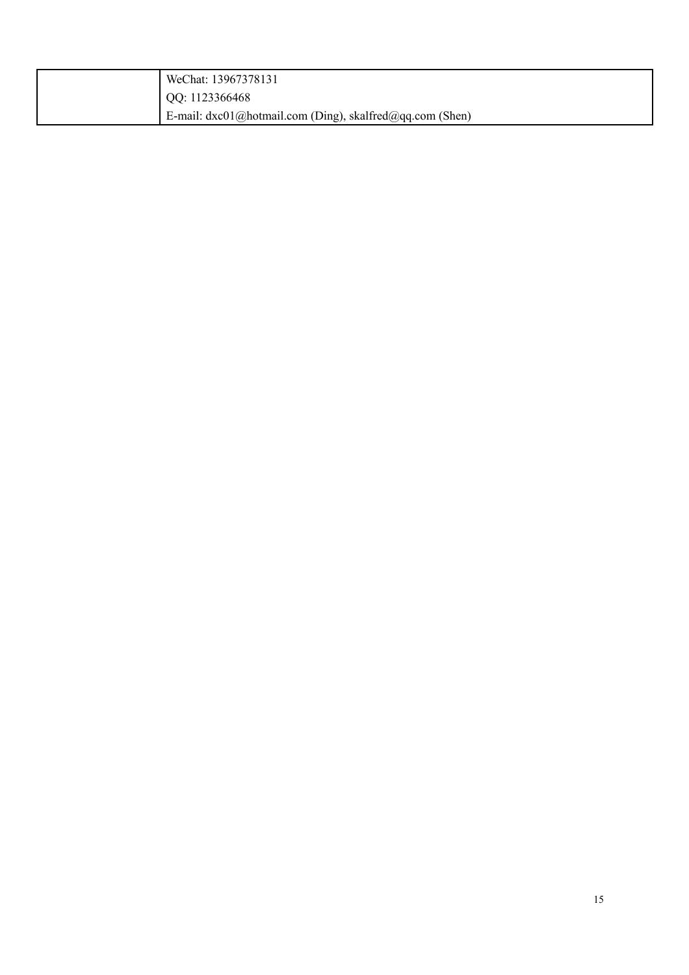| WeChat: 13967378131                                         |
|-------------------------------------------------------------|
| QQ: 1123366468                                              |
| E-mail: $dxc01@$ hotmail.com (Ding), skalfred@qq.com (Shen) |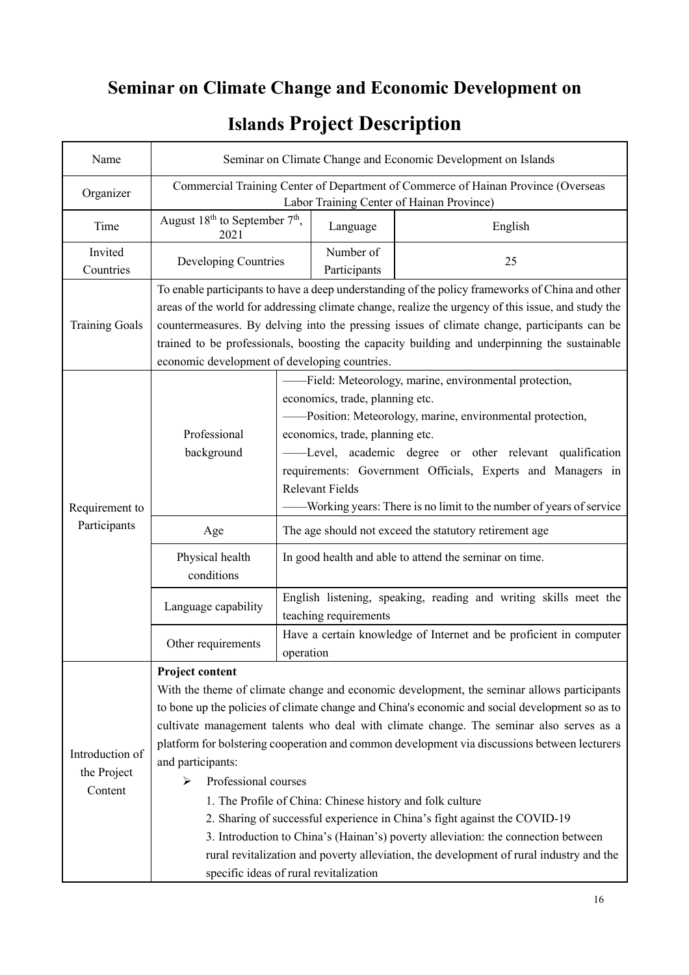# **Seminar on Climate Change and Economic Development on**

| Name                                      | Seminar on Climate Change and Economic Development on Islands                                                                                                                                                                                                                                                                                                                                                                                                                                                                                                                                                                                                                                                                                                                                                                    |                                                                                                                                                                                                                                                                                                                                                                                                                     |                           |                                                                    |
|-------------------------------------------|----------------------------------------------------------------------------------------------------------------------------------------------------------------------------------------------------------------------------------------------------------------------------------------------------------------------------------------------------------------------------------------------------------------------------------------------------------------------------------------------------------------------------------------------------------------------------------------------------------------------------------------------------------------------------------------------------------------------------------------------------------------------------------------------------------------------------------|---------------------------------------------------------------------------------------------------------------------------------------------------------------------------------------------------------------------------------------------------------------------------------------------------------------------------------------------------------------------------------------------------------------------|---------------------------|--------------------------------------------------------------------|
| Organizer                                 | Commercial Training Center of Department of Commerce of Hainan Province (Overseas<br>Labor Training Center of Hainan Province)                                                                                                                                                                                                                                                                                                                                                                                                                                                                                                                                                                                                                                                                                                   |                                                                                                                                                                                                                                                                                                                                                                                                                     |                           |                                                                    |
| Time                                      | August $18^{th}$ to September $7^{th}$ ,<br>2021                                                                                                                                                                                                                                                                                                                                                                                                                                                                                                                                                                                                                                                                                                                                                                                 |                                                                                                                                                                                                                                                                                                                                                                                                                     | Language                  | English                                                            |
| Invited<br>Countries                      | Developing Countries                                                                                                                                                                                                                                                                                                                                                                                                                                                                                                                                                                                                                                                                                                                                                                                                             |                                                                                                                                                                                                                                                                                                                                                                                                                     | Number of<br>Participants | 25                                                                 |
| <b>Training Goals</b>                     | To enable participants to have a deep understanding of the policy frameworks of China and other<br>areas of the world for addressing climate change, realize the urgency of this issue, and study the<br>countermeasures. By delving into the pressing issues of climate change, participants can be<br>trained to be professionals, boosting the capacity building and underpinning the sustainable<br>economic development of developing countries.                                                                                                                                                                                                                                                                                                                                                                            |                                                                                                                                                                                                                                                                                                                                                                                                                     |                           |                                                                    |
| Requirement to                            | Professional<br>background                                                                                                                                                                                                                                                                                                                                                                                                                                                                                                                                                                                                                                                                                                                                                                                                       | -Field: Meteorology, marine, environmental protection,<br>economics, trade, planning etc.<br>Position: Meteorology, marine, environmental protection,<br>economics, trade, planning etc.<br>-Level, academic degree or other relevant qualification<br>requirements: Government Officials, Experts and Managers in<br><b>Relevant Fields</b><br>-Working years: There is no limit to the number of years of service |                           |                                                                    |
| Participants                              | Age                                                                                                                                                                                                                                                                                                                                                                                                                                                                                                                                                                                                                                                                                                                                                                                                                              |                                                                                                                                                                                                                                                                                                                                                                                                                     |                           | The age should not exceed the statutory retirement age             |
|                                           | Physical health<br>conditions                                                                                                                                                                                                                                                                                                                                                                                                                                                                                                                                                                                                                                                                                                                                                                                                    | In good health and able to attend the seminar on time.                                                                                                                                                                                                                                                                                                                                                              |                           |                                                                    |
|                                           | Language capability                                                                                                                                                                                                                                                                                                                                                                                                                                                                                                                                                                                                                                                                                                                                                                                                              | English listening, speaking, reading and writing skills meet the<br>teaching requirements                                                                                                                                                                                                                                                                                                                           |                           |                                                                    |
|                                           | Other requirements                                                                                                                                                                                                                                                                                                                                                                                                                                                                                                                                                                                                                                                                                                                                                                                                               | operation                                                                                                                                                                                                                                                                                                                                                                                                           |                           | Have a certain knowledge of Internet and be proficient in computer |
| Introduction of<br>the Project<br>Content | Project content<br>With the theme of climate change and economic development, the seminar allows participants<br>to bone up the policies of climate change and China's economic and social development so as to<br>cultivate management talents who deal with climate change. The seminar also serves as a<br>platform for bolstering cooperation and common development via discussions between lecturers<br>and participants:<br>Professional courses<br>⋗<br>1. The Profile of China: Chinese history and folk culture<br>2. Sharing of successful experience in China's fight against the COVID-19<br>3. Introduction to China's (Hainan's) poverty alleviation: the connection between<br>rural revitalization and poverty alleviation, the development of rural industry and the<br>specific ideas of rural revitalization |                                                                                                                                                                                                                                                                                                                                                                                                                     |                           |                                                                    |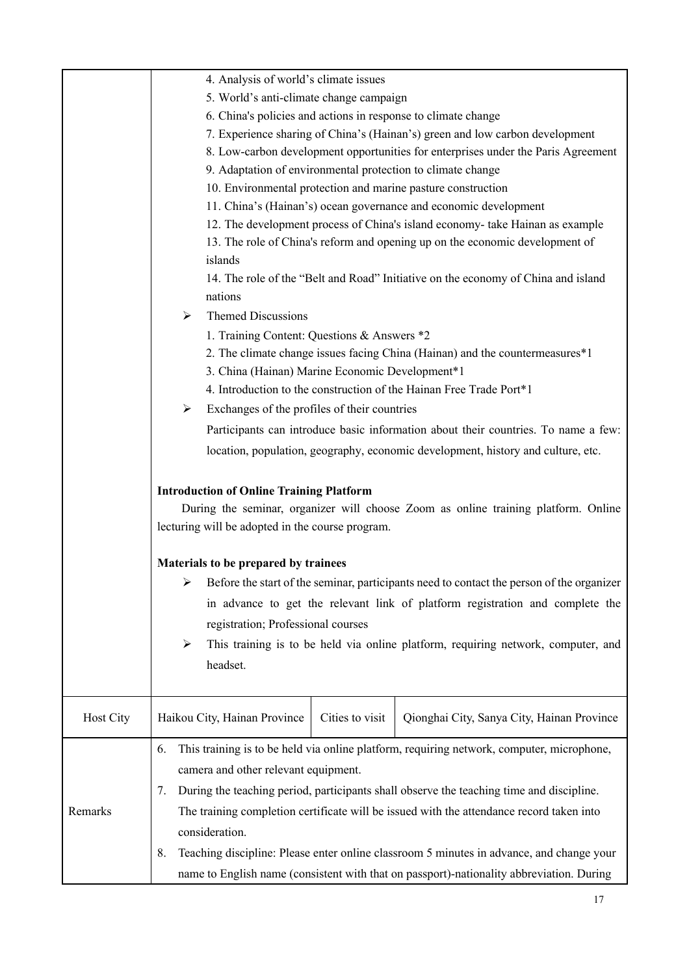|           | 4. Analysis of world's climate issues                                                                                                                                                     |
|-----------|-------------------------------------------------------------------------------------------------------------------------------------------------------------------------------------------|
|           | 5. World's anti-climate change campaign                                                                                                                                                   |
|           | 6. China's policies and actions in response to climate change                                                                                                                             |
|           | 7. Experience sharing of China's (Hainan's) green and low carbon development                                                                                                              |
|           | 8. Low-carbon development opportunities for enterprises under the Paris Agreement                                                                                                         |
|           | 9. Adaptation of environmental protection to climate change                                                                                                                               |
|           | 10. Environmental protection and marine pasture construction                                                                                                                              |
|           | 11. China's (Hainan's) ocean governance and economic development                                                                                                                          |
|           | 12. The development process of China's island economy- take Hainan as example                                                                                                             |
|           | 13. The role of China's reform and opening up on the economic development of                                                                                                              |
|           | islands                                                                                                                                                                                   |
|           | 14. The role of the "Belt and Road" Initiative on the economy of China and island<br>nations                                                                                              |
|           | <b>Themed Discussions</b><br>➤                                                                                                                                                            |
|           | 1. Training Content: Questions & Answers *2                                                                                                                                               |
|           | 2. The climate change issues facing China (Hainan) and the countermeasures*1                                                                                                              |
|           | 3. China (Hainan) Marine Economic Development*1                                                                                                                                           |
|           | 4. Introduction to the construction of the Hainan Free Trade Port*1                                                                                                                       |
|           | Exchanges of the profiles of their countries<br>➤                                                                                                                                         |
|           | Participants can introduce basic information about their countries. To name a few:                                                                                                        |
|           | location, population, geography, economic development, history and culture, etc.                                                                                                          |
|           | <b>Introduction of Online Training Platform</b><br>During the seminar, organizer will choose Zoom as online training platform. Online<br>lecturing will be adopted in the course program. |
|           | Materials to be prepared by trainees                                                                                                                                                      |
|           | $\triangleright$ Before the start of the seminar, participants need to contact the person of the organizer                                                                                |
|           | in advance to get the relevant link of platform registration and complete the                                                                                                             |
|           | registration; Professional courses                                                                                                                                                        |
|           | This training is to be held via online platform, requiring network, computer, and<br>$\blacktriangleright$                                                                                |
|           |                                                                                                                                                                                           |
|           | headset.                                                                                                                                                                                  |
|           |                                                                                                                                                                                           |
| Host City | Haikou City, Hainan Province<br>Cities to visit<br>Qionghai City, Sanya City, Hainan Province                                                                                             |
|           | This training is to be held via online platform, requiring network, computer, microphone,<br>6.                                                                                           |
|           | camera and other relevant equipment.                                                                                                                                                      |
|           | During the teaching period, participants shall observe the teaching time and discipline.<br>7.                                                                                            |
| Remarks   | The training completion certificate will be issued with the attendance record taken into                                                                                                  |
|           | consideration.                                                                                                                                                                            |
|           | Teaching discipline: Please enter online classroom 5 minutes in advance, and change your                                                                                                  |
|           | 8.                                                                                                                                                                                        |
|           | name to English name (consistent with that on passport)-nationality abbreviation. During                                                                                                  |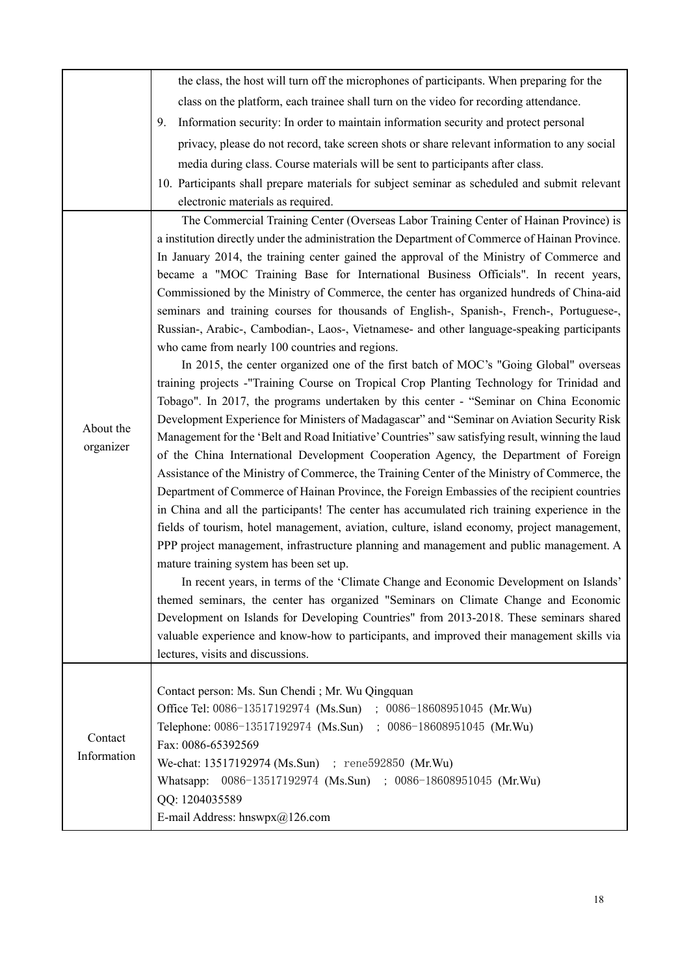|             | the class, the host will turn off the microphones of participants. When preparing for the         |
|-------------|---------------------------------------------------------------------------------------------------|
|             | class on the platform, each trainee shall turn on the video for recording attendance.             |
|             | Information security: In order to maintain information security and protect personal<br>9.        |
|             | privacy, please do not record, take screen shots or share relevant information to any social      |
|             | media during class. Course materials will be sent to participants after class.                    |
|             | 10. Participants shall prepare materials for subject seminar as scheduled and submit relevant     |
|             | electronic materials as required.                                                                 |
|             | The Commercial Training Center (Overseas Labor Training Center of Hainan Province) is             |
|             | a institution directly under the administration the Department of Commerce of Hainan Province.    |
|             | In January 2014, the training center gained the approval of the Ministry of Commerce and          |
|             | became a "MOC Training Base for International Business Officials". In recent years,               |
|             | Commissioned by the Ministry of Commerce, the center has organized hundreds of China-aid          |
|             | seminars and training courses for thousands of English-, Spanish-, French-, Portuguese-,          |
|             | Russian-, Arabic-, Cambodian-, Laos-, Vietnamese- and other language-speaking participants        |
|             | who came from nearly 100 countries and regions.                                                   |
|             | In 2015, the center organized one of the first batch of MOC's "Going Global" overseas             |
|             | training projects -"Training Course on Tropical Crop Planting Technology for Trinidad and         |
|             | Tobago". In 2017, the programs undertaken by this center - "Seminar on China Economic             |
| About the   | Development Experience for Ministers of Madagascar" and "Seminar on Aviation Security Risk        |
| organizer   | Management for the 'Belt and Road Initiative' Countries'' saw satisfying result, winning the laud |
|             | of the China International Development Cooperation Agency, the Department of Foreign              |
|             | Assistance of the Ministry of Commerce, the Training Center of the Ministry of Commerce, the      |
|             | Department of Commerce of Hainan Province, the Foreign Embassies of the recipient countries       |
|             | in China and all the participants! The center has accumulated rich training experience in the     |
|             | fields of tourism, hotel management, aviation, culture, island economy, project management,       |
|             | PPP project management, infrastructure planning and management and public management. A           |
|             | mature training system has been set up.                                                           |
|             | In recent years, in terms of the 'Climate Change and Economic Development on Islands'             |
|             | themed seminars, the center has organized "Seminars on Climate Change and Economic                |
|             | Development on Islands for Developing Countries" from 2013-2018. These seminars shared            |
|             | valuable experience and know-how to participants, and improved their management skills via        |
|             | lectures, visits and discussions.                                                                 |
|             | Contact person: Ms. Sun Chendi; Mr. Wu Qingquan                                                   |
|             | Office Tel: 0086-13517192974 (Ms.Sun) ; 0086-18608951045 (Mr.Wu)                                  |
|             | Telephone: 0086-13517192974 (Ms.Sun) ; 0086-18608951045 (Mr.Wu)                                   |
| Contact     | Fax: 0086-65392569                                                                                |
| Information | We-chat: 13517192974 (Ms.Sun) ; rene592850 (Mr.Wu)                                                |
|             | Whatsapp: 0086-13517192974 (Ms.Sun) ; 0086-18608951045 (Mr.Wu)                                    |
|             | QQ: 1204035589                                                                                    |
|             |                                                                                                   |
|             | E-mail Address: hnswpx@126.com                                                                    |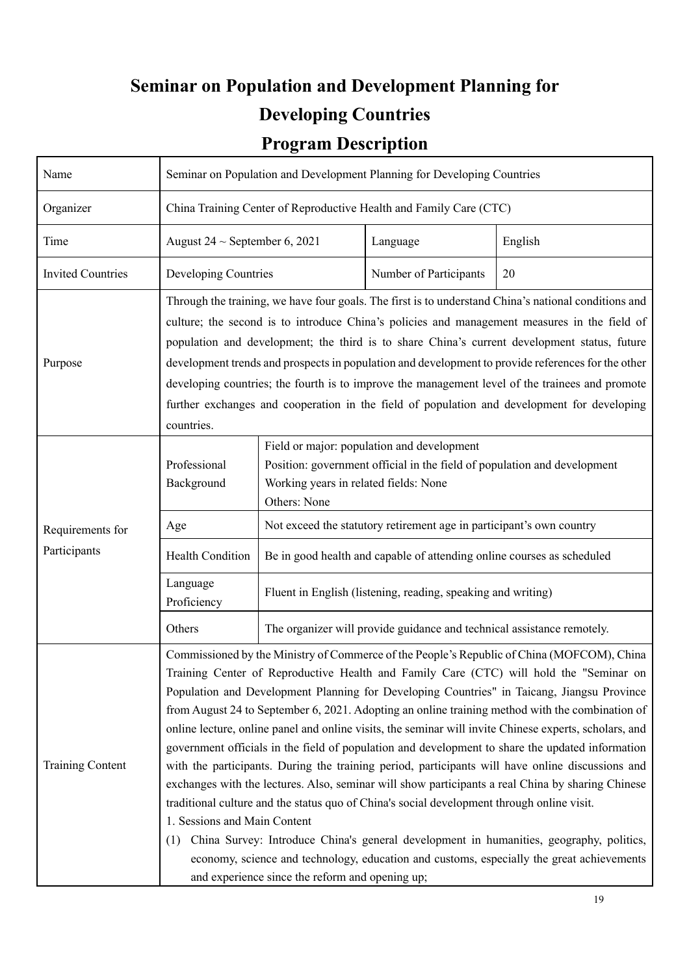# **Seminar on Population and Development Planning for Developing Countries**

### **Program Description**

| Name                     | Seminar on Population and Development Planning for Developing Countries                                                                                                                                                                                                                                                                                                                                                                                                                                                                                                                                                                                                                                                                                                                                                                                                                                                                                                                                                                                                                                                                                                                      |                                                                                                                                                                                 |                                                                        |         |  |
|--------------------------|----------------------------------------------------------------------------------------------------------------------------------------------------------------------------------------------------------------------------------------------------------------------------------------------------------------------------------------------------------------------------------------------------------------------------------------------------------------------------------------------------------------------------------------------------------------------------------------------------------------------------------------------------------------------------------------------------------------------------------------------------------------------------------------------------------------------------------------------------------------------------------------------------------------------------------------------------------------------------------------------------------------------------------------------------------------------------------------------------------------------------------------------------------------------------------------------|---------------------------------------------------------------------------------------------------------------------------------------------------------------------------------|------------------------------------------------------------------------|---------|--|
| Organizer                | China Training Center of Reproductive Health and Family Care (CTC)                                                                                                                                                                                                                                                                                                                                                                                                                                                                                                                                                                                                                                                                                                                                                                                                                                                                                                                                                                                                                                                                                                                           |                                                                                                                                                                                 |                                                                        |         |  |
| Time                     | August 24 $\sim$ September 6, 2021                                                                                                                                                                                                                                                                                                                                                                                                                                                                                                                                                                                                                                                                                                                                                                                                                                                                                                                                                                                                                                                                                                                                                           |                                                                                                                                                                                 | Language                                                               | English |  |
| <b>Invited Countries</b> | Developing Countries                                                                                                                                                                                                                                                                                                                                                                                                                                                                                                                                                                                                                                                                                                                                                                                                                                                                                                                                                                                                                                                                                                                                                                         |                                                                                                                                                                                 | Number of Participants                                                 | 20      |  |
| Purpose                  | Through the training, we have four goals. The first is to understand China's national conditions and<br>culture; the second is to introduce China's policies and management measures in the field of<br>population and development; the third is to share China's current development status, future<br>development trends and prospects in population and development to provide references for the other<br>developing countries; the fourth is to improve the management level of the trainees and promote<br>further exchanges and cooperation in the field of population and development for developing<br>countries.                                                                                                                                                                                                                                                                                                                                                                                                                                                                                                                                                                   |                                                                                                                                                                                 |                                                                        |         |  |
|                          | Professional<br>Background                                                                                                                                                                                                                                                                                                                                                                                                                                                                                                                                                                                                                                                                                                                                                                                                                                                                                                                                                                                                                                                                                                                                                                   | Field or major: population and development<br>Position: government official in the field of population and development<br>Working years in related fields: None<br>Others: None |                                                                        |         |  |
| Requirements for         | Age                                                                                                                                                                                                                                                                                                                                                                                                                                                                                                                                                                                                                                                                                                                                                                                                                                                                                                                                                                                                                                                                                                                                                                                          |                                                                                                                                                                                 | Not exceed the statutory retirement age in participant's own country   |         |  |
| Participants             | Health Condition                                                                                                                                                                                                                                                                                                                                                                                                                                                                                                                                                                                                                                                                                                                                                                                                                                                                                                                                                                                                                                                                                                                                                                             |                                                                                                                                                                                 | Be in good health and capable of attending online courses as scheduled |         |  |
|                          | Language<br>Proficiency                                                                                                                                                                                                                                                                                                                                                                                                                                                                                                                                                                                                                                                                                                                                                                                                                                                                                                                                                                                                                                                                                                                                                                      | Fluent in English (listening, reading, speaking and writing)                                                                                                                    |                                                                        |         |  |
|                          | Others                                                                                                                                                                                                                                                                                                                                                                                                                                                                                                                                                                                                                                                                                                                                                                                                                                                                                                                                                                                                                                                                                                                                                                                       |                                                                                                                                                                                 | The organizer will provide guidance and technical assistance remotely. |         |  |
| <b>Training Content</b>  | Commissioned by the Ministry of Commerce of the People's Republic of China (MOFCOM), China<br>Training Center of Reproductive Health and Family Care (CTC) will hold the "Seminar on<br>Population and Development Planning for Developing Countries" in Taicang, Jiangsu Province<br>from August 24 to September 6, 2021. Adopting an online training method with the combination of<br>online lecture, online panel and online visits, the seminar will invite Chinese experts, scholars, and<br>government officials in the field of population and development to share the updated information<br>with the participants. During the training period, participants will have online discussions and<br>exchanges with the lectures. Also, seminar will show participants a real China by sharing Chinese<br>traditional culture and the status quo of China's social development through online visit.<br>1. Sessions and Main Content<br>China Survey: Introduce China's general development in humanities, geography, politics,<br>(1)<br>economy, science and technology, education and customs, especially the great achievements<br>and experience since the reform and opening up; |                                                                                                                                                                                 |                                                                        |         |  |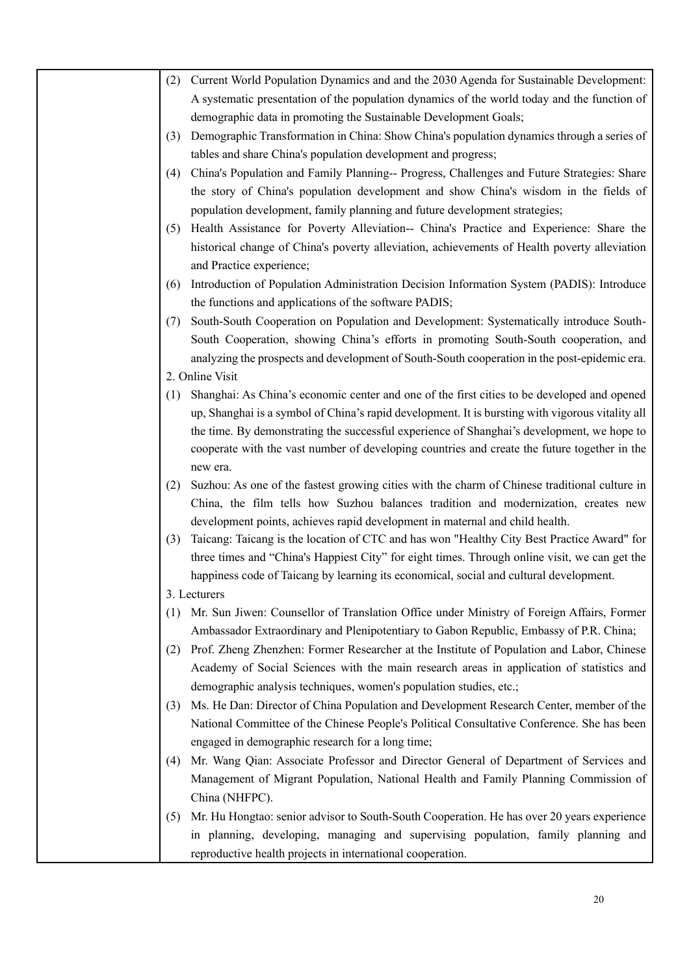| (2) | Current World Population Dynamics and and the 2030 Agenda for Sustainable Development:                                                                                                                                                                           |
|-----|------------------------------------------------------------------------------------------------------------------------------------------------------------------------------------------------------------------------------------------------------------------|
|     | A systematic presentation of the population dynamics of the world today and the function of                                                                                                                                                                      |
|     | demographic data in promoting the Sustainable Development Goals;                                                                                                                                                                                                 |
| (3) | Demographic Transformation in China: Show China's population dynamics through a series of                                                                                                                                                                        |
|     | tables and share China's population development and progress;                                                                                                                                                                                                    |
| (4) | China's Population and Family Planning-- Progress, Challenges and Future Strategies: Share<br>the story of China's population development and show China's wisdom in the fields of<br>population development, family planning and future development strategies; |
| (5) | Health Assistance for Poverty Alleviation-- China's Practice and Experience: Share the                                                                                                                                                                           |
|     | historical change of China's poverty alleviation, achievements of Health poverty alleviation<br>and Practice experience;                                                                                                                                         |
| (6) | Introduction of Population Administration Decision Information System (PADIS): Introduce                                                                                                                                                                         |
|     | the functions and applications of the software PADIS;                                                                                                                                                                                                            |
| (7) | South-South Cooperation on Population and Development: Systematically introduce South-                                                                                                                                                                           |
|     | South Cooperation, showing China's efforts in promoting South-South cooperation, and                                                                                                                                                                             |
|     | analyzing the prospects and development of South-South cooperation in the post-epidemic era.                                                                                                                                                                     |
|     | 2. Online Visit                                                                                                                                                                                                                                                  |
| (1) | Shanghai: As China's economic center and one of the first cities to be developed and opened                                                                                                                                                                      |
|     | up, Shanghai is a symbol of China's rapid development. It is bursting with vigorous vitality all                                                                                                                                                                 |
|     | the time. By demonstrating the successful experience of Shanghai's development, we hope to                                                                                                                                                                       |
|     | cooperate with the vast number of developing countries and create the future together in the                                                                                                                                                                     |
|     | new era.                                                                                                                                                                                                                                                         |
| (2) | Suzhou: As one of the fastest growing cities with the charm of Chinese traditional culture in<br>China, the film tells how Suzhou balances tradition and modernization, creates new                                                                              |
|     | development points, achieves rapid development in maternal and child health.                                                                                                                                                                                     |
| (3) | Taicang: Taicang is the location of CTC and has won "Healthy City Best Practice Award" for<br>three times and "China's Happiest City" for eight times. Through online visit, we can get the                                                                      |
|     | happiness code of Taicang by learning its economical, social and cultural development.                                                                                                                                                                           |
|     | 3. Lecturers                                                                                                                                                                                                                                                     |
| (1) | Mr. Sun Jiwen: Counsellor of Translation Office under Ministry of Foreign Affairs, Former<br>Ambassador Extraordinary and Plenipotentiary to Gabon Republic, Embassy of P.R. China;                                                                              |
| (2) | Prof. Zheng Zhenzhen: Former Researcher at the Institute of Population and Labor, Chinese<br>Academy of Social Sciences with the main research areas in application of statistics and                                                                            |
|     | demographic analysis techniques, women's population studies, etc.;                                                                                                                                                                                               |
| (3) | Ms. He Dan: Director of China Population and Development Research Center, member of the                                                                                                                                                                          |
|     | National Committee of the Chinese People's Political Consultative Conference. She has been                                                                                                                                                                       |
|     | engaged in demographic research for a long time;                                                                                                                                                                                                                 |
| (4) | Mr. Wang Qian: Associate Professor and Director General of Department of Services and                                                                                                                                                                            |
|     | Management of Migrant Population, National Health and Family Planning Commission of<br>China (NHFPC).                                                                                                                                                            |
| (5) | Mr. Hu Hongtao: senior advisor to South-South Cooperation. He has over 20 years experience                                                                                                                                                                       |
|     | in planning, developing, managing and supervising population, family planning and                                                                                                                                                                                |
|     | reproductive health projects in international cooperation.                                                                                                                                                                                                       |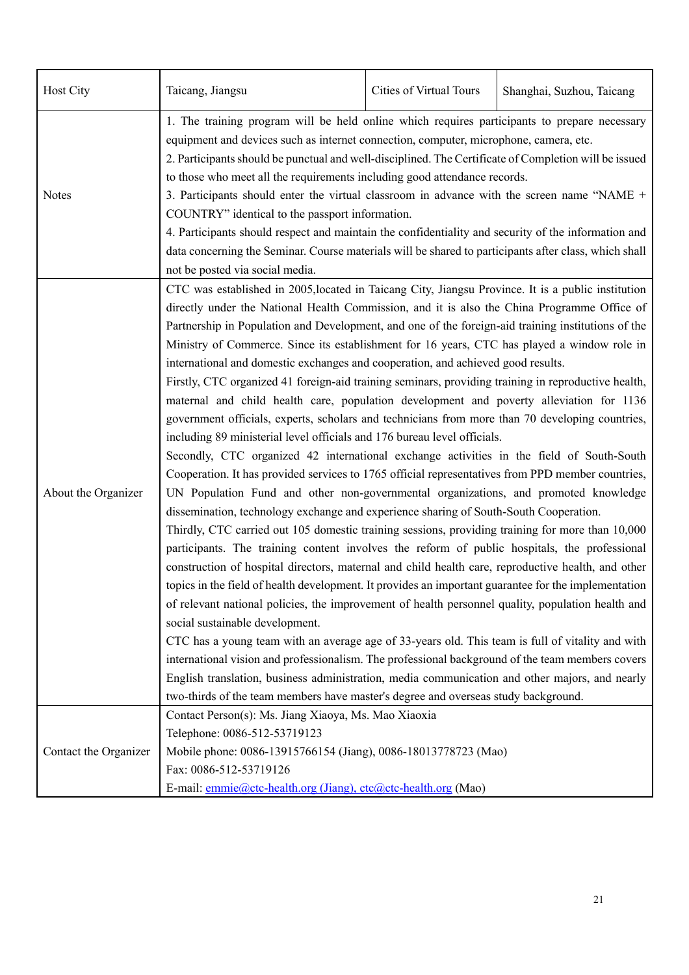| Host City                                                                                                                                                                                                                                                                   | Taicang, Jiangsu                                                                                                                                                                                                                                                                                                                                                                                                                                                                                                                                                                                                                                                                                                                                                                                                                                                                                                                                                                                                                                                                                                                                                                                                                                                                                                                                                                                                                                                                                                                                                                                                                                                                                                                                                                                                                                                                                                                                                                                                                                                                                                                                                                                                                                          | Cities of Virtual Tours | Shanghai, Suzhou, Taicang |  |
|-----------------------------------------------------------------------------------------------------------------------------------------------------------------------------------------------------------------------------------------------------------------------------|-----------------------------------------------------------------------------------------------------------------------------------------------------------------------------------------------------------------------------------------------------------------------------------------------------------------------------------------------------------------------------------------------------------------------------------------------------------------------------------------------------------------------------------------------------------------------------------------------------------------------------------------------------------------------------------------------------------------------------------------------------------------------------------------------------------------------------------------------------------------------------------------------------------------------------------------------------------------------------------------------------------------------------------------------------------------------------------------------------------------------------------------------------------------------------------------------------------------------------------------------------------------------------------------------------------------------------------------------------------------------------------------------------------------------------------------------------------------------------------------------------------------------------------------------------------------------------------------------------------------------------------------------------------------------------------------------------------------------------------------------------------------------------------------------------------------------------------------------------------------------------------------------------------------------------------------------------------------------------------------------------------------------------------------------------------------------------------------------------------------------------------------------------------------------------------------------------------------------------------------------------------|-------------------------|---------------------------|--|
| <b>Notes</b>                                                                                                                                                                                                                                                                | 1. The training program will be held online which requires participants to prepare necessary<br>equipment and devices such as internet connection, computer, microphone, camera, etc.<br>2. Participants should be punctual and well-disciplined. The Certificate of Completion will be issued<br>to those who meet all the requirements including good attendance records.<br>3. Participants should enter the virtual classroom in advance with the screen name "NAME +<br>COUNTRY" identical to the passport information.<br>4. Participants should respect and maintain the confidentiality and security of the information and<br>data concerning the Seminar. Course materials will be shared to participants after class, which shall                                                                                                                                                                                                                                                                                                                                                                                                                                                                                                                                                                                                                                                                                                                                                                                                                                                                                                                                                                                                                                                                                                                                                                                                                                                                                                                                                                                                                                                                                                              |                         |                           |  |
| About the Organizer                                                                                                                                                                                                                                                         | not be posted via social media.<br>CTC was established in 2005, located in Taicang City, Jiangsu Province. It is a public institution<br>directly under the National Health Commission, and it is also the China Programme Office of<br>Partnership in Population and Development, and one of the foreign-aid training institutions of the<br>Ministry of Commerce. Since its establishment for 16 years, CTC has played a window role in<br>international and domestic exchanges and cooperation, and achieved good results.<br>Firstly, CTC organized 41 foreign-aid training seminars, providing training in reproductive health,<br>maternal and child health care, population development and poverty alleviation for 1136<br>government officials, experts, scholars and technicians from more than 70 developing countries,<br>including 89 ministerial level officials and 176 bureau level officials.<br>Secondly, CTC organized 42 international exchange activities in the field of South-South<br>Cooperation. It has provided services to 1765 official representatives from PPD member countries,<br>UN Population Fund and other non-governmental organizations, and promoted knowledge<br>dissemination, technology exchange and experience sharing of South-South Cooperation.<br>Thirdly, CTC carried out 105 domestic training sessions, providing training for more than 10,000<br>participants. The training content involves the reform of public hospitals, the professional<br>construction of hospital directors, maternal and child health care, reproductive health, and other<br>topics in the field of health development. It provides an important guarantee for the implementation<br>of relevant national policies, the improvement of health personnel quality, population health and<br>social sustainable development.<br>CTC has a young team with an average age of 33-years old. This team is full of vitality and with<br>international vision and professionalism. The professional background of the team members covers<br>English translation, business administration, media communication and other majors, and nearly<br>two-thirds of the team members have master's degree and overseas study background. |                         |                           |  |
| Contact Person(s): Ms. Jiang Xiaoya, Ms. Mao Xiaoxia<br>Telephone: 0086-512-53719123<br>Mobile phone: 0086-13915766154 (Jiang), 0086-18013778723 (Mao)<br>Contact the Organizer<br>Fax: 0086-512-53719126<br>E-mail: emmie@ctc-health.org (Jiang), ctc@ctc-health.org (Mao) |                                                                                                                                                                                                                                                                                                                                                                                                                                                                                                                                                                                                                                                                                                                                                                                                                                                                                                                                                                                                                                                                                                                                                                                                                                                                                                                                                                                                                                                                                                                                                                                                                                                                                                                                                                                                                                                                                                                                                                                                                                                                                                                                                                                                                                                           |                         |                           |  |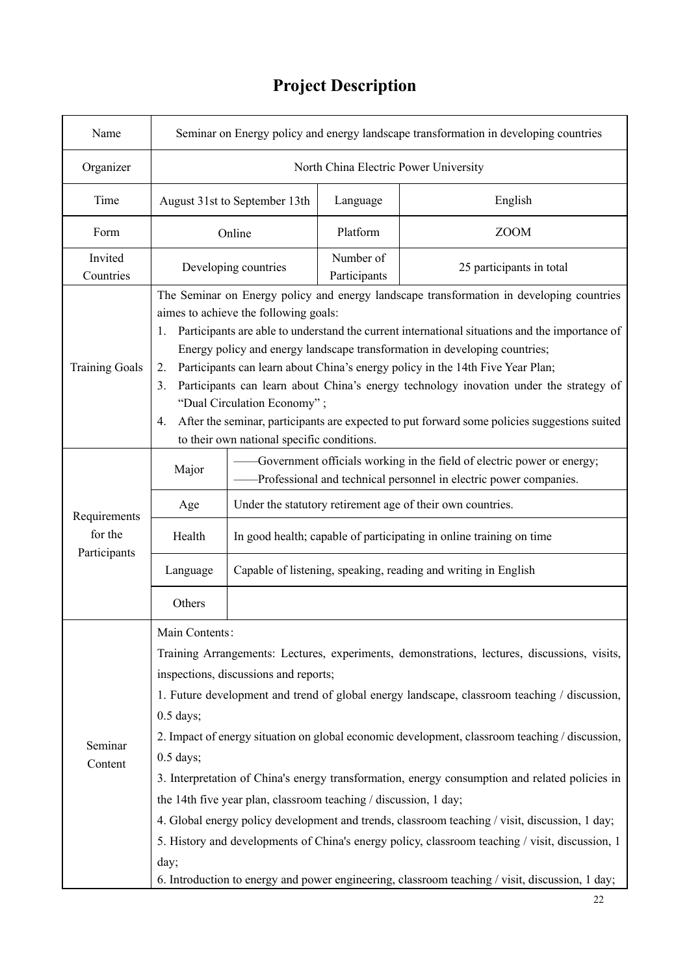#### Name Seminar on Energy policy and energy landscape transformation in developing countries Organizer | North China Electric Power University Time August 31st to September 13th Language English Form | Online | Platform | ZOOM Invited Countries Developing countries Number of **Participants** 25 participants in total Training Goals The Seminar on Energy policy and energy landscape transformation in developing countries aimes to achieve the following goals: 1. Participants are able to understand the current international situations and the importance of Energy policy and energy landscape transformation in developing countries; 2. Participants can learn about China's energy policy in the 14th Five Year Plan; 3. Participants can learn about China's energy technology inovation under the strategy of "Dual Circulation Economy" ; 4. After the seminar, participants are expected to put forward some policies suggestions suited to their own national specific conditions. **Requirements** for the **Participants** Major Government officials working in the field of electric power or energy; ——Professional and technical personnel in electric power companies. Age Under the statutory retirement age of their own countries. Health  $\parallel$  In good health; capable of participating in online training on time Language | Capable of listening, speaking, reading and writing in English **Others** Seminar Content Main Contents: Training Arrangements: Lectures, experiments, demonstrations, lectures, discussions, visits, inspections, discussions and reports; 1. Future development and trend of global energy landscape, classroom teaching / discussion, 0.5 days; 2. Impact of energy situation on global economic development, classroom teaching / discussion, 0.5 days; 3. Interpretation of China's energy transformation, energy consumption and related policies in the 14th five year plan, classroom teaching / discussion, 1 day; 4. Global energy policy development and trends, classroom teaching / visit, discussion, 1 day; 5. History and developments of China's energy policy, classroom teaching / visit, discussion, 1 day; 6. Introduction to energy and power engineering, classroom teaching / visit, discussion, 1 day;

### **Project Description**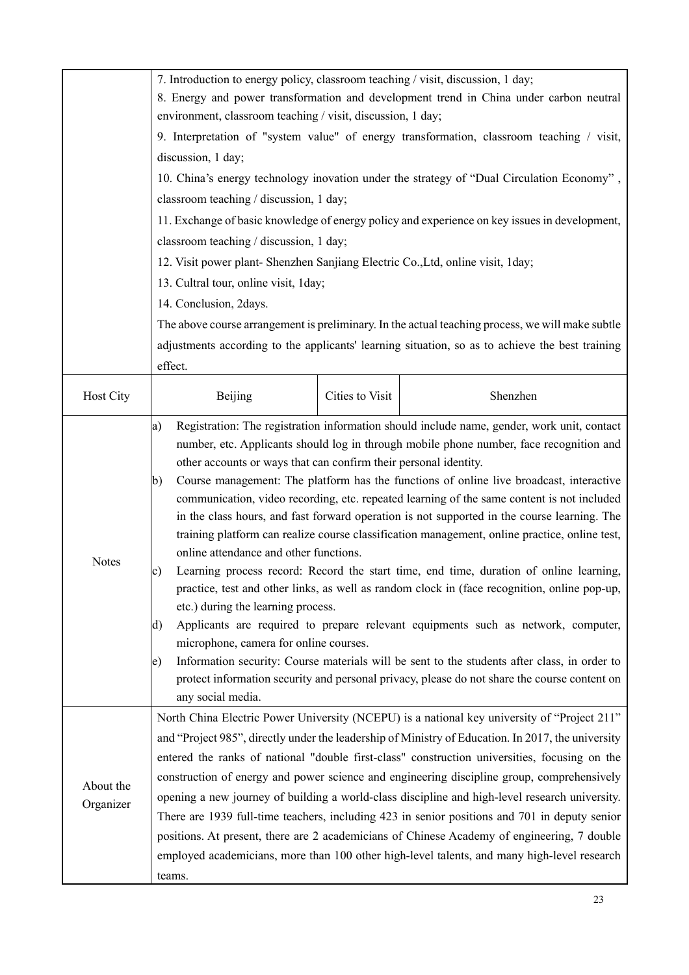|           | 7. Introduction to energy policy, classroom teaching / visit, discussion, 1 day;                                                                                                                                         |                 |                                                                                                                                                                                                                                                                                                                                                                                                                                                                                                                                                                                                                                                                                                                                                                                                                                                                                                                                                                                                                                                               |  |  |
|-----------|--------------------------------------------------------------------------------------------------------------------------------------------------------------------------------------------------------------------------|-----------------|---------------------------------------------------------------------------------------------------------------------------------------------------------------------------------------------------------------------------------------------------------------------------------------------------------------------------------------------------------------------------------------------------------------------------------------------------------------------------------------------------------------------------------------------------------------------------------------------------------------------------------------------------------------------------------------------------------------------------------------------------------------------------------------------------------------------------------------------------------------------------------------------------------------------------------------------------------------------------------------------------------------------------------------------------------------|--|--|
|           | 8. Energy and power transformation and development trend in China under carbon neutral<br>environment, classroom teaching / visit, discussion, 1 day;                                                                    |                 |                                                                                                                                                                                                                                                                                                                                                                                                                                                                                                                                                                                                                                                                                                                                                                                                                                                                                                                                                                                                                                                               |  |  |
|           |                                                                                                                                                                                                                          |                 |                                                                                                                                                                                                                                                                                                                                                                                                                                                                                                                                                                                                                                                                                                                                                                                                                                                                                                                                                                                                                                                               |  |  |
|           | 9. Interpretation of "system value" of energy transformation, classroom teaching / visit,                                                                                                                                |                 |                                                                                                                                                                                                                                                                                                                                                                                                                                                                                                                                                                                                                                                                                                                                                                                                                                                                                                                                                                                                                                                               |  |  |
|           | discussion, 1 day;                                                                                                                                                                                                       |                 |                                                                                                                                                                                                                                                                                                                                                                                                                                                                                                                                                                                                                                                                                                                                                                                                                                                                                                                                                                                                                                                               |  |  |
|           |                                                                                                                                                                                                                          |                 | 10. China's energy technology inovation under the strategy of "Dual Circulation Economy",                                                                                                                                                                                                                                                                                                                                                                                                                                                                                                                                                                                                                                                                                                                                                                                                                                                                                                                                                                     |  |  |
|           | classroom teaching / discussion, 1 day;                                                                                                                                                                                  |                 |                                                                                                                                                                                                                                                                                                                                                                                                                                                                                                                                                                                                                                                                                                                                                                                                                                                                                                                                                                                                                                                               |  |  |
|           |                                                                                                                                                                                                                          |                 | 11. Exchange of basic knowledge of energy policy and experience on key issues in development,                                                                                                                                                                                                                                                                                                                                                                                                                                                                                                                                                                                                                                                                                                                                                                                                                                                                                                                                                                 |  |  |
|           | classroom teaching / discussion, 1 day;                                                                                                                                                                                  |                 |                                                                                                                                                                                                                                                                                                                                                                                                                                                                                                                                                                                                                                                                                                                                                                                                                                                                                                                                                                                                                                                               |  |  |
|           | 12. Visit power plant- Shenzhen Sanjiang Electric Co., Ltd, online visit, 1day;                                                                                                                                          |                 |                                                                                                                                                                                                                                                                                                                                                                                                                                                                                                                                                                                                                                                                                                                                                                                                                                                                                                                                                                                                                                                               |  |  |
|           | 13. Cultral tour, online visit, 1 day;                                                                                                                                                                                   |                 |                                                                                                                                                                                                                                                                                                                                                                                                                                                                                                                                                                                                                                                                                                                                                                                                                                                                                                                                                                                                                                                               |  |  |
|           | 14. Conclusion, 2days.                                                                                                                                                                                                   |                 |                                                                                                                                                                                                                                                                                                                                                                                                                                                                                                                                                                                                                                                                                                                                                                                                                                                                                                                                                                                                                                                               |  |  |
|           |                                                                                                                                                                                                                          |                 | The above course arrangement is preliminary. In the actual teaching process, we will make subtle                                                                                                                                                                                                                                                                                                                                                                                                                                                                                                                                                                                                                                                                                                                                                                                                                                                                                                                                                              |  |  |
|           |                                                                                                                                                                                                                          |                 | adjustments according to the applicants' learning situation, so as to achieve the best training                                                                                                                                                                                                                                                                                                                                                                                                                                                                                                                                                                                                                                                                                                                                                                                                                                                                                                                                                               |  |  |
|           | effect.                                                                                                                                                                                                                  |                 |                                                                                                                                                                                                                                                                                                                                                                                                                                                                                                                                                                                                                                                                                                                                                                                                                                                                                                                                                                                                                                                               |  |  |
| Host City | Beijing                                                                                                                                                                                                                  | Cities to Visit | Shenzhen                                                                                                                                                                                                                                                                                                                                                                                                                                                                                                                                                                                                                                                                                                                                                                                                                                                                                                                                                                                                                                                      |  |  |
| Notes     | a)<br>other accounts or ways that can confirm their personal identity.<br>b)<br>online attendance and other functions.<br>c)<br>etc.) during the learning process.<br>d)<br>microphone, camera for online courses.<br>e) |                 | Registration: The registration information should include name, gender, work unit, contact<br>number, etc. Applicants should log in through mobile phone number, face recognition and<br>Course management: The platform has the functions of online live broadcast, interactive<br>communication, video recording, etc. repeated learning of the same content is not included<br>in the class hours, and fast forward operation is not supported in the course learning. The<br>training platform can realize course classification management, online practice, online test,<br>Learning process record: Record the start time, end time, duration of online learning,<br>practice, test and other links, as well as random clock in (face recognition, online pop-up,<br>Applicants are required to prepare relevant equipments such as network, computer,<br>Information security: Course materials will be sent to the students after class, in order to<br>protect information security and personal privacy, please do not share the course content on |  |  |
|           | any social media.                                                                                                                                                                                                        |                 |                                                                                                                                                                                                                                                                                                                                                                                                                                                                                                                                                                                                                                                                                                                                                                                                                                                                                                                                                                                                                                                               |  |  |
|           |                                                                                                                                                                                                                          |                 | North China Electric Power University (NCEPU) is a national key university of "Project 211"                                                                                                                                                                                                                                                                                                                                                                                                                                                                                                                                                                                                                                                                                                                                                                                                                                                                                                                                                                   |  |  |
|           | and "Project 985", directly under the leadership of Ministry of Education. In 2017, the university<br>entered the ranks of national "double first-class" construction universities, focusing on the                      |                 |                                                                                                                                                                                                                                                                                                                                                                                                                                                                                                                                                                                                                                                                                                                                                                                                                                                                                                                                                                                                                                                               |  |  |
|           | construction of energy and power science and engineering discipline group, comprehensively                                                                                                                               |                 |                                                                                                                                                                                                                                                                                                                                                                                                                                                                                                                                                                                                                                                                                                                                                                                                                                                                                                                                                                                                                                                               |  |  |
| About the |                                                                                                                                                                                                                          |                 | opening a new journey of building a world-class discipline and high-level research university.                                                                                                                                                                                                                                                                                                                                                                                                                                                                                                                                                                                                                                                                                                                                                                                                                                                                                                                                                                |  |  |
| Organizer |                                                                                                                                                                                                                          |                 | There are 1939 full-time teachers, including 423 in senior positions and 701 in deputy senior                                                                                                                                                                                                                                                                                                                                                                                                                                                                                                                                                                                                                                                                                                                                                                                                                                                                                                                                                                 |  |  |
|           |                                                                                                                                                                                                                          |                 | positions. At present, there are 2 academicians of Chinese Academy of engineering, 7 double                                                                                                                                                                                                                                                                                                                                                                                                                                                                                                                                                                                                                                                                                                                                                                                                                                                                                                                                                                   |  |  |
|           |                                                                                                                                                                                                                          |                 | employed academicians, more than 100 other high-level talents, and many high-level research                                                                                                                                                                                                                                                                                                                                                                                                                                                                                                                                                                                                                                                                                                                                                                                                                                                                                                                                                                   |  |  |
|           | teams.                                                                                                                                                                                                                   |                 |                                                                                                                                                                                                                                                                                                                                                                                                                                                                                                                                                                                                                                                                                                                                                                                                                                                                                                                                                                                                                                                               |  |  |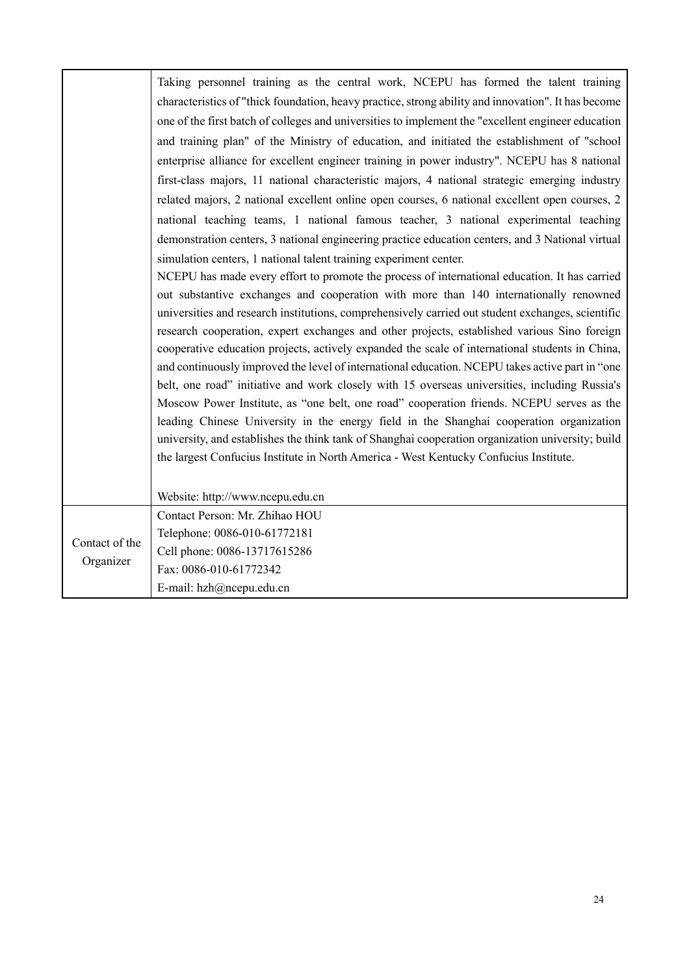|                | Taking personnel training as the central work, NCEPU has formed the talent training                 |
|----------------|-----------------------------------------------------------------------------------------------------|
|                | characteristics of "thick foundation, heavy practice, strong ability and innovation". It has become |
|                | one of the first batch of colleges and universities to implement the "excellent engineer education" |
|                | and training plan" of the Ministry of education, and initiated the establishment of "school         |
|                | enterprise alliance for excellent engineer training in power industry". NCEPU has 8 national        |
|                | first-class majors, 11 national characteristic majors, 4 national strategic emerging industry       |
|                | related majors, 2 national excellent online open courses, 6 national excellent open courses, 2      |
|                | national teaching teams, 1 national famous teacher, 3 national experimental teaching                |
|                | demonstration centers, 3 national engineering practice education centers, and 3 National virtual    |
|                | simulation centers, 1 national talent training experiment center.                                   |
|                | NCEPU has made every effort to promote the process of international education. It has carried       |
|                | out substantive exchanges and cooperation with more than 140 internationally renowned               |
|                | universities and research institutions, comprehensively carried out student exchanges, scientific   |
|                | research cooperation, expert exchanges and other projects, established various Sino foreign         |
|                | cooperative education projects, actively expanded the scale of international students in China,     |
|                | and continuously improved the level of international education. NCEPU takes active part in "one"    |
|                | belt, one road" initiative and work closely with 15 overseas universities, including Russia's       |
|                | Moscow Power Institute, as "one belt, one road" cooperation friends. NCEPU serves as the            |
|                | leading Chinese University in the energy field in the Shanghai cooperation organization             |
|                | university, and establishes the think tank of Shanghai cooperation organization university; build   |
|                | the largest Confucius Institute in North America - West Kentucky Confucius Institute.               |
|                |                                                                                                     |
|                | Website: http://www.ncepu.edu.cn                                                                    |
|                | Contact Person: Mr. Zhihao HOU                                                                      |
| Contact of the | Telephone: 0086-010-61772181                                                                        |
| Organizer      | Cell phone: 0086-13717615286                                                                        |
|                | Fax: 0086-010-61772342                                                                              |
|                | E-mail: hzh@ncepu.edu.cn                                                                            |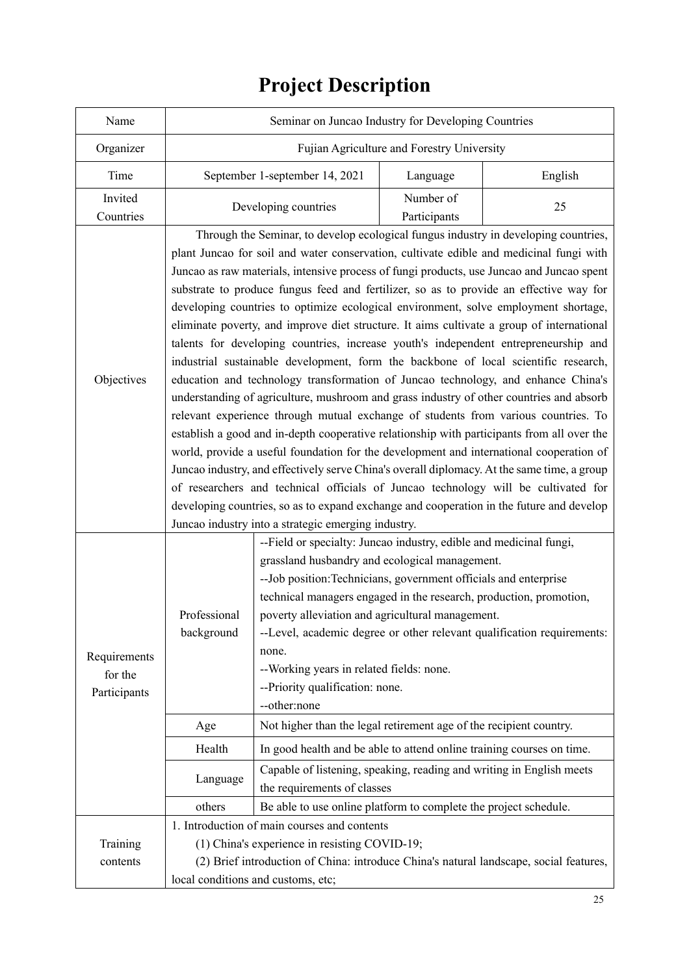| Name                                    | Seminar on Juncao Industry for Developing Countries                                                                                                                                                                                                                                                                                                                                                                                                                                                                                                                                                                                                                                                                                                                                                                                                                                                                                                                                                                                                                                                                                                                                                                                                                                                                                                                                                                                                                                                                                            |                                                                                                                                                                                                                                                                                                                                                                                                                             |                           |                                                                                        |
|-----------------------------------------|------------------------------------------------------------------------------------------------------------------------------------------------------------------------------------------------------------------------------------------------------------------------------------------------------------------------------------------------------------------------------------------------------------------------------------------------------------------------------------------------------------------------------------------------------------------------------------------------------------------------------------------------------------------------------------------------------------------------------------------------------------------------------------------------------------------------------------------------------------------------------------------------------------------------------------------------------------------------------------------------------------------------------------------------------------------------------------------------------------------------------------------------------------------------------------------------------------------------------------------------------------------------------------------------------------------------------------------------------------------------------------------------------------------------------------------------------------------------------------------------------------------------------------------------|-----------------------------------------------------------------------------------------------------------------------------------------------------------------------------------------------------------------------------------------------------------------------------------------------------------------------------------------------------------------------------------------------------------------------------|---------------------------|----------------------------------------------------------------------------------------|
| Organizer                               | Fujian Agriculture and Forestry University                                                                                                                                                                                                                                                                                                                                                                                                                                                                                                                                                                                                                                                                                                                                                                                                                                                                                                                                                                                                                                                                                                                                                                                                                                                                                                                                                                                                                                                                                                     |                                                                                                                                                                                                                                                                                                                                                                                                                             |                           |                                                                                        |
| Time                                    | September 1-september 14, 2021                                                                                                                                                                                                                                                                                                                                                                                                                                                                                                                                                                                                                                                                                                                                                                                                                                                                                                                                                                                                                                                                                                                                                                                                                                                                                                                                                                                                                                                                                                                 |                                                                                                                                                                                                                                                                                                                                                                                                                             | Language                  | English                                                                                |
| Invited<br>Countries                    | Developing countries                                                                                                                                                                                                                                                                                                                                                                                                                                                                                                                                                                                                                                                                                                                                                                                                                                                                                                                                                                                                                                                                                                                                                                                                                                                                                                                                                                                                                                                                                                                           |                                                                                                                                                                                                                                                                                                                                                                                                                             | Number of<br>Participants | 25                                                                                     |
| Objectives                              | Through the Seminar, to develop ecological fungus industry in developing countries,<br>plant Juncao for soil and water conservation, cultivate edible and medicinal fungi with<br>Juncao as raw materials, intensive process of fungi products, use Juncao and Juncao spent<br>substrate to produce fungus feed and fertilizer, so as to provide an effective way for<br>developing countries to optimize ecological environment, solve employment shortage,<br>eliminate poverty, and improve diet structure. It aims cultivate a group of international<br>talents for developing countries, increase youth's independent entrepreneurship and<br>industrial sustainable development, form the backbone of local scientific research,<br>education and technology transformation of Juncao technology, and enhance China's<br>understanding of agriculture, mushroom and grass industry of other countries and absorb<br>relevant experience through mutual exchange of students from various countries. To<br>establish a good and in-depth cooperative relationship with participants from all over the<br>world, provide a useful foundation for the development and international cooperation of<br>Juncao industry, and effectively serve China's overall diplomacy. At the same time, a group<br>of researchers and technical officials of Juncao technology will be cultivated for<br>developing countries, so as to expand exchange and cooperation in the future and develop<br>Juncao industry into a strategic emerging industry. |                                                                                                                                                                                                                                                                                                                                                                                                                             |                           |                                                                                        |
| Requirements<br>for the<br>Participants | Professional<br>background                                                                                                                                                                                                                                                                                                                                                                                                                                                                                                                                                                                                                                                                                                                                                                                                                                                                                                                                                                                                                                                                                                                                                                                                                                                                                                                                                                                                                                                                                                                     | --Field or specialty: Juncao industry, edible and medicinal fungi,<br>grassland husbandry and ecological management.<br>-- Job position: Technicians, government officials and enterprise<br>technical managers engaged in the research, production, promotion,<br>poverty alleviation and agricultural management.<br>none.<br>--Working years in related fields: none.<br>--Priority qualification: none.<br>--other:none |                           | --Level, academic degree or other relevant qualification requirements:                 |
|                                         | Age                                                                                                                                                                                                                                                                                                                                                                                                                                                                                                                                                                                                                                                                                                                                                                                                                                                                                                                                                                                                                                                                                                                                                                                                                                                                                                                                                                                                                                                                                                                                            | Not higher than the legal retirement age of the recipient country.                                                                                                                                                                                                                                                                                                                                                          |                           |                                                                                        |
|                                         | Health                                                                                                                                                                                                                                                                                                                                                                                                                                                                                                                                                                                                                                                                                                                                                                                                                                                                                                                                                                                                                                                                                                                                                                                                                                                                                                                                                                                                                                                                                                                                         | In good health and be able to attend online training courses on time.                                                                                                                                                                                                                                                                                                                                                       |                           |                                                                                        |
|                                         | Language                                                                                                                                                                                                                                                                                                                                                                                                                                                                                                                                                                                                                                                                                                                                                                                                                                                                                                                                                                                                                                                                                                                                                                                                                                                                                                                                                                                                                                                                                                                                       | Capable of listening, speaking, reading and writing in English meets<br>the requirements of classes                                                                                                                                                                                                                                                                                                                         |                           |                                                                                        |
|                                         | others                                                                                                                                                                                                                                                                                                                                                                                                                                                                                                                                                                                                                                                                                                                                                                                                                                                                                                                                                                                                                                                                                                                                                                                                                                                                                                                                                                                                                                                                                                                                         | Be able to use online platform to complete the project schedule.                                                                                                                                                                                                                                                                                                                                                            |                           |                                                                                        |
|                                         |                                                                                                                                                                                                                                                                                                                                                                                                                                                                                                                                                                                                                                                                                                                                                                                                                                                                                                                                                                                                                                                                                                                                                                                                                                                                                                                                                                                                                                                                                                                                                | 1. Introduction of main courses and contents                                                                                                                                                                                                                                                                                                                                                                                |                           |                                                                                        |
| Training                                |                                                                                                                                                                                                                                                                                                                                                                                                                                                                                                                                                                                                                                                                                                                                                                                                                                                                                                                                                                                                                                                                                                                                                                                                                                                                                                                                                                                                                                                                                                                                                | (1) China's experience in resisting COVID-19;                                                                                                                                                                                                                                                                                                                                                                               |                           |                                                                                        |
| contents                                |                                                                                                                                                                                                                                                                                                                                                                                                                                                                                                                                                                                                                                                                                                                                                                                                                                                                                                                                                                                                                                                                                                                                                                                                                                                                                                                                                                                                                                                                                                                                                |                                                                                                                                                                                                                                                                                                                                                                                                                             |                           | (2) Brief introduction of China: introduce China's natural landscape, social features, |
|                                         | local conditions and customs, etc;                                                                                                                                                                                                                                                                                                                                                                                                                                                                                                                                                                                                                                                                                                                                                                                                                                                                                                                                                                                                                                                                                                                                                                                                                                                                                                                                                                                                                                                                                                             |                                                                                                                                                                                                                                                                                                                                                                                                                             |                           |                                                                                        |

# **Project Description**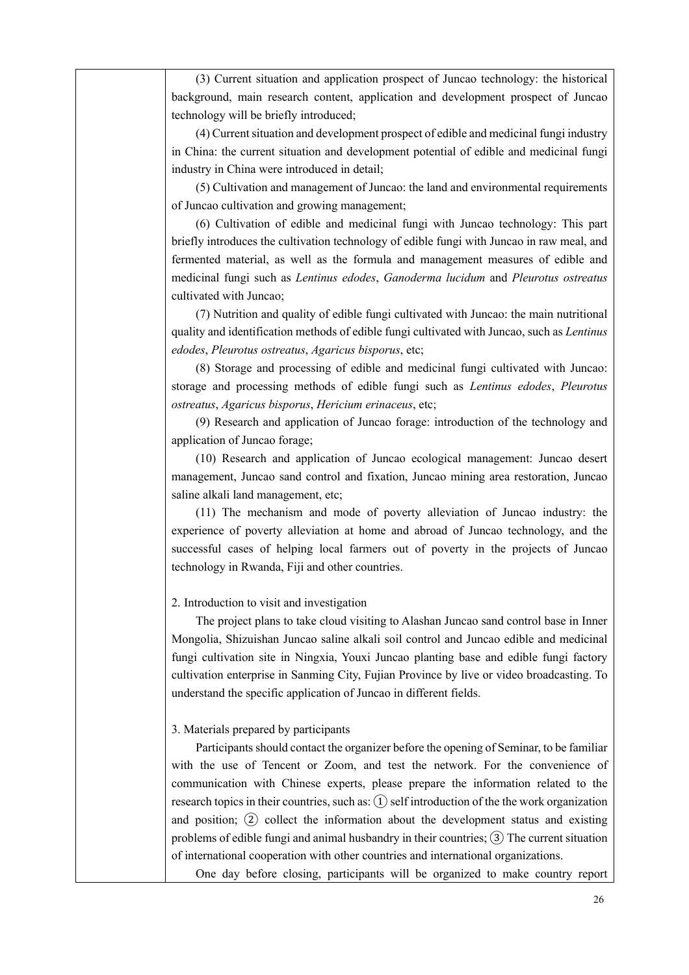(3) Current situation and application prospect of Juncao technology: the historical background, main research content, application and development prospect of Juncao technology will be briefly introduced;

(4) Current situation and development prospect of edible and medicinal fungi industry in China: the current situation and development potential of edible and medicinal fungi industry in China were introduced in detail;

(5) Cultivation and management of Juncao: the land and environmental requirements of Juncao cultivation and growing management;

(6) Cultivation of edible and medicinal fungi with Juncao technology: This part briefly introduces the cultivation technology of edible fungi with Juncao in raw meal, and fermented material, as well as the formula and management measures of edible and medicinal fungi such as *Lentinus edodes*, *Ganoderma lucidum* and *Pleurotus ostreatus* cultivated with Juncao;

(7) Nutrition and quality of edible fungi cultivated with Juncao: the main nutritional quality and identification methods of edible fungi cultivated with Juncao, such as *Lentinus edodes*, *Pleurotus ostreatus*, *Agaricus bisporus*, etc;

(8) Storage and processing of edible and medicinal fungi cultivated with Juncao: storage and processing methods of edible fungi such as *Lentinus edodes*, *Pleurotus ostreatus*, *Agaricus bisporus*, *Hericium erinaceus*, etc;

(9) Research and application of Juncao forage: introduction of the technology and application of Juncao forage;

(10) Research and application of Juncao ecological management: Juncao desert management, Juncao sand control and fixation, Juncao mining area restoration, Juncao saline alkali land management, etc;

(11) The mechanism and mode of poverty alleviation of Juncao industry: the experience of poverty alleviation at home and abroad of Juncao technology, and the successful cases of helping local farmers out of poverty in the projects of Juncao technology in Rwanda, Fiji and other countries.

#### 2. Introduction to visit and investigation

The project plans to take cloud visiting to Alashan Juncao sand control base in Inner Mongolia, Shizuishan Juncao saline alkali soil control and Juncao edible and medicinal fungi cultivation site in Ningxia, Youxi Juncao planting base and edible fungi factory cultivation enterprise in Sanming City, Fujian Province by live or video broadcasting. To understand the specific application of Juncao in different fields.

#### 3. Materials prepared by participants

Participants should contact the organizer before the opening of Seminar, to be familiar with the use of Tencent or Zoom, and test the network. For the convenience of communication with Chinese experts, please prepare the information related to the research topics in their countries, such as:  $(1)$  self introduction of the the work organization and position;  $(2)$  collect the information about the development status and existing problems of edible fungi and animal husbandry in their countries; ③The current situation of international cooperation with other countries and international organizations.

One day before closing, participants will be organized to make country report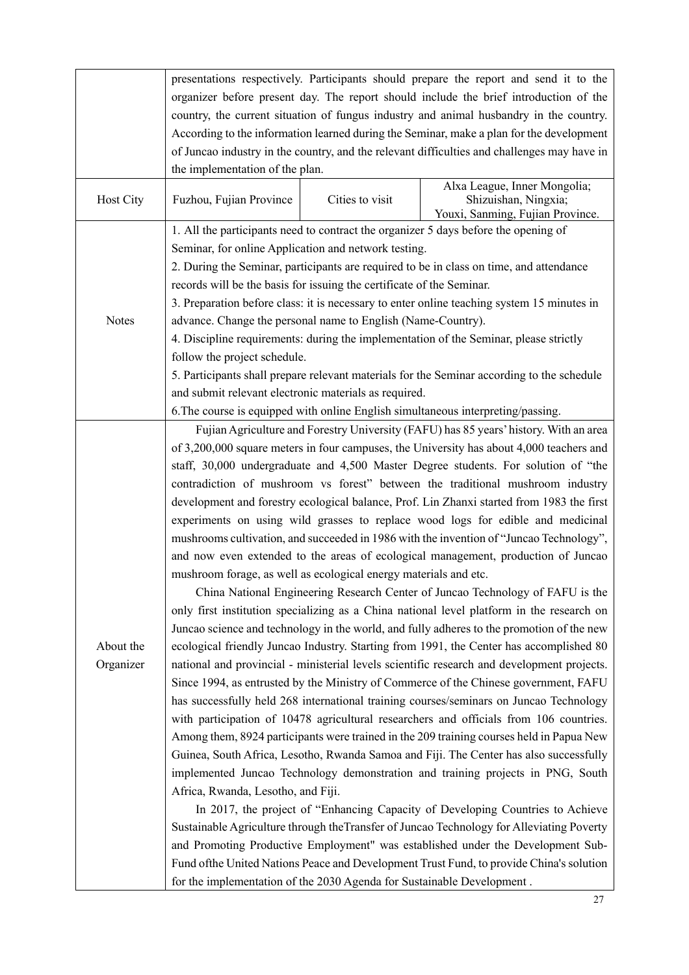|              | presentations respectively. Participants should prepare the report and send it to the              |  |  |  |
|--------------|----------------------------------------------------------------------------------------------------|--|--|--|
|              | organizer before present day. The report should include the brief introduction of the              |  |  |  |
|              | country, the current situation of fungus industry and animal husbandry in the country.             |  |  |  |
|              | According to the information learned during the Seminar, make a plan for the development           |  |  |  |
|              | of Juncao industry in the country, and the relevant difficulties and challenges may have in        |  |  |  |
|              | the implementation of the plan.                                                                    |  |  |  |
| Host City    | Alxa League, Inner Mongolia;<br>Shizuishan, Ningxia;<br>Fuzhou, Fujian Province<br>Cities to visit |  |  |  |
|              | Youxi, Sanming, Fujian Province.                                                                   |  |  |  |
|              | 1. All the participants need to contract the organizer 5 days before the opening of                |  |  |  |
|              | Seminar, for online Application and network testing.                                               |  |  |  |
|              | 2. During the Seminar, participants are required to be in class on time, and attendance            |  |  |  |
|              | records will be the basis for issuing the certificate of the Seminar.                              |  |  |  |
|              | 3. Preparation before class: it is necessary to enter online teaching system 15 minutes in         |  |  |  |
| <b>Notes</b> | advance. Change the personal name to English (Name-Country).                                       |  |  |  |
|              | 4. Discipline requirements: during the implementation of the Seminar, please strictly              |  |  |  |
|              | follow the project schedule.                                                                       |  |  |  |
|              | 5. Participants shall prepare relevant materials for the Seminar according to the schedule         |  |  |  |
|              | and submit relevant electronic materials as required.                                              |  |  |  |
|              | 6. The course is equipped with online English simultaneous interpreting/passing.                   |  |  |  |
|              | Fujian Agriculture and Forestry University (FAFU) has 85 years' history. With an area              |  |  |  |
|              | of 3,200,000 square meters in four campuses, the University has about 4,000 teachers and           |  |  |  |
|              | staff, 30,000 undergraduate and 4,500 Master Degree students. For solution of "the                 |  |  |  |
|              | contradiction of mushroom vs forest" between the traditional mushroom industry                     |  |  |  |
|              | development and forestry ecological balance, Prof. Lin Zhanxi started from 1983 the first          |  |  |  |
|              | experiments on using wild grasses to replace wood logs for edible and medicinal                    |  |  |  |
|              | mushrooms cultivation, and succeeded in 1986 with the invention of "Juncao Technology",            |  |  |  |
|              | and now even extended to the areas of ecological management, production of Juncao                  |  |  |  |
|              | mushroom forage, as well as ecological energy materials and etc.                                   |  |  |  |
|              | China National Engineering Research Center of Juncao Technology of FAFU is the                     |  |  |  |
|              | only first institution specializing as a China national level platform in the research on          |  |  |  |
|              | Juncao science and technology in the world, and fully adheres to the promotion of the new          |  |  |  |
| About the    | ecological friendly Juncao Industry. Starting from 1991, the Center has accomplished 80            |  |  |  |
|              |                                                                                                    |  |  |  |
| Organizer    | national and provincial - ministerial levels scientific research and development projects.         |  |  |  |
|              | Since 1994, as entrusted by the Ministry of Commerce of the Chinese government, FAFU               |  |  |  |
|              | has successfully held 268 international training courses/seminars on Juncao Technology             |  |  |  |
|              | with participation of 10478 agricultural researchers and officials from 106 countries.             |  |  |  |
|              | Among them, 8924 participants were trained in the 209 training courses held in Papua New           |  |  |  |
|              | Guinea, South Africa, Lesotho, Rwanda Samoa and Fiji. The Center has also successfully             |  |  |  |
|              | implemented Juncao Technology demonstration and training projects in PNG, South                    |  |  |  |
|              | Africa, Rwanda, Lesotho, and Fiji.                                                                 |  |  |  |
|              | In 2017, the project of "Enhancing Capacity of Developing Countries to Achieve                     |  |  |  |
|              | Sustainable Agriculture through the Transfer of Juncao Technology for Alleviating Poverty          |  |  |  |
|              | and Promoting Productive Employment" was established under the Development Sub-                    |  |  |  |
|              | Fund of the United Nations Peace and Development Trust Fund, to provide China's solution           |  |  |  |
|              | for the implementation of the 2030 Agenda for Sustainable Development.                             |  |  |  |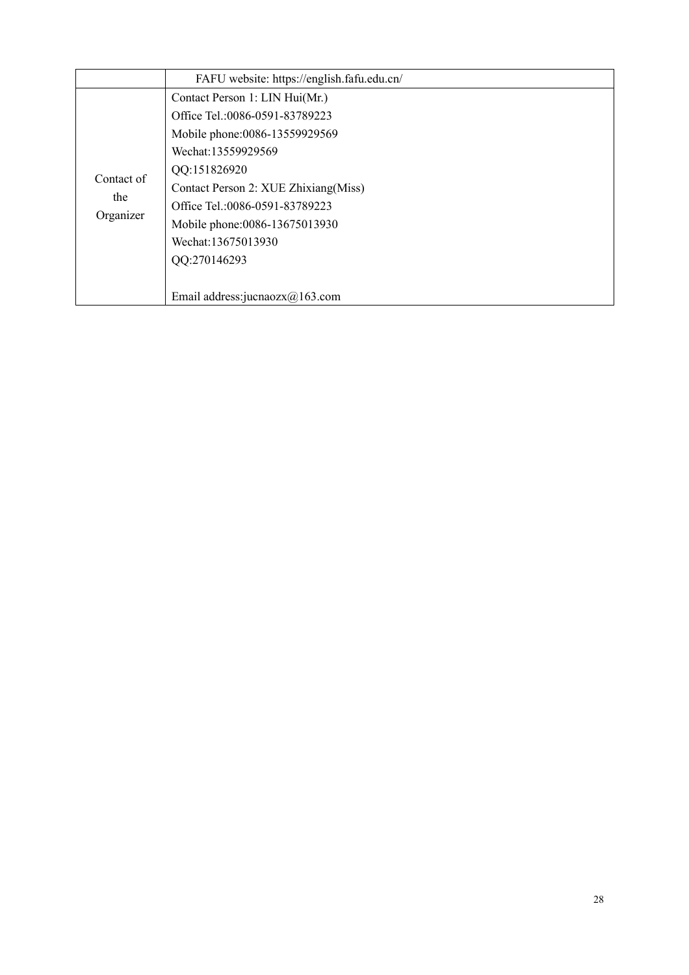|                                | FAFU website: https://english.fafu.edu.cn/ |  |  |
|--------------------------------|--------------------------------------------|--|--|
|                                | Contact Person 1: LIN Hui(Mr.)             |  |  |
|                                | Office Tel.:0086-0591-83789223             |  |  |
|                                | Mobile phone:0086-13559929569              |  |  |
|                                | Wechat:13559929569                         |  |  |
|                                | QQ:151826920                               |  |  |
| Contact of<br>the<br>Organizer | Contact Person 2: XUE Zhixiang (Miss)      |  |  |
|                                | Office Tel.:0086-0591-83789223             |  |  |
|                                | Mobile phone:0086-13675013930              |  |  |
|                                | Wechat:13675013930                         |  |  |
|                                | QQ:270146293                               |  |  |
|                                |                                            |  |  |
|                                | Email address: jucnaozx $(a)$ 163.com      |  |  |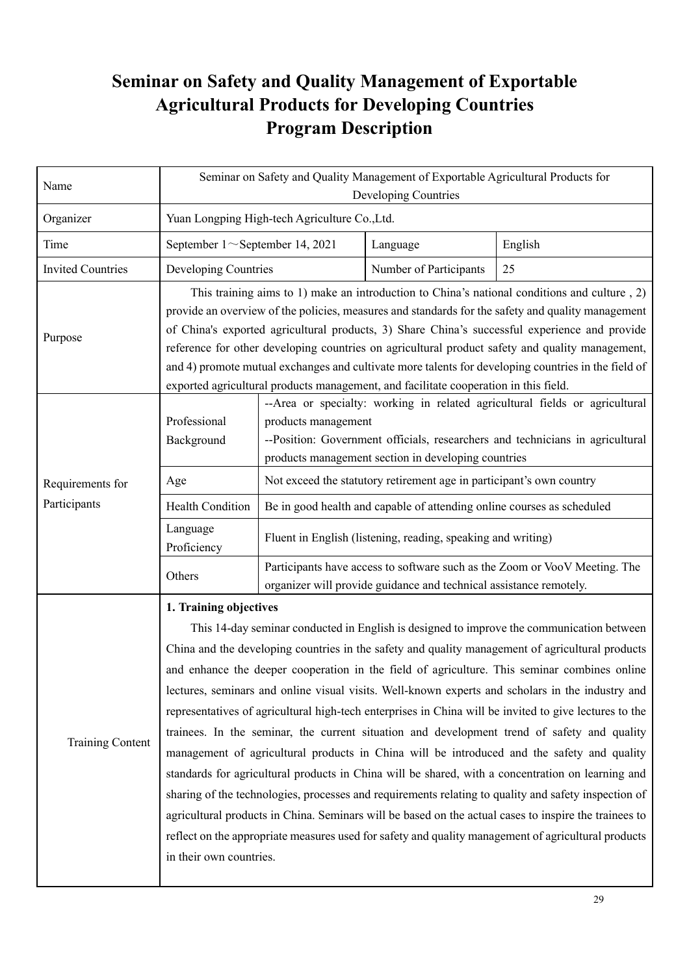### **Seminar on Safety and Quality Management of Exportable Agricultural Products for Developing Countries Program Description**

| Name                     | Seminar on Safety and Quality Management of Exportable Agricultural Products for<br>Developing Countries                                                                                                                                                                                                                                                                                                                                                                                                                                                                                                                                                                                                                                                                                                                                                                                                                                                                                                                                                                                                                                                                                   |                                                                                                                                                  |                        |         |
|--------------------------|--------------------------------------------------------------------------------------------------------------------------------------------------------------------------------------------------------------------------------------------------------------------------------------------------------------------------------------------------------------------------------------------------------------------------------------------------------------------------------------------------------------------------------------------------------------------------------------------------------------------------------------------------------------------------------------------------------------------------------------------------------------------------------------------------------------------------------------------------------------------------------------------------------------------------------------------------------------------------------------------------------------------------------------------------------------------------------------------------------------------------------------------------------------------------------------------|--------------------------------------------------------------------------------------------------------------------------------------------------|------------------------|---------|
| Organizer                | Yuan Longping High-tech Agriculture Co., Ltd.                                                                                                                                                                                                                                                                                                                                                                                                                                                                                                                                                                                                                                                                                                                                                                                                                                                                                                                                                                                                                                                                                                                                              |                                                                                                                                                  |                        |         |
| Time                     | September $1 \sim$ September 14, 2021                                                                                                                                                                                                                                                                                                                                                                                                                                                                                                                                                                                                                                                                                                                                                                                                                                                                                                                                                                                                                                                                                                                                                      |                                                                                                                                                  | Language               | English |
| <b>Invited Countries</b> | Developing Countries                                                                                                                                                                                                                                                                                                                                                                                                                                                                                                                                                                                                                                                                                                                                                                                                                                                                                                                                                                                                                                                                                                                                                                       |                                                                                                                                                  | Number of Participants | 25      |
| Purpose                  | This training aims to 1) make an introduction to China's national conditions and culture, 2)<br>provide an overview of the policies, measures and standards for the safety and quality management<br>of China's exported agricultural products, 3) Share China's successful experience and provide<br>reference for other developing countries on agricultural product safety and quality management,<br>and 4) promote mutual exchanges and cultivate more talents for developing countries in the field of<br>exported agricultural products management, and facilitate cooperation in this field.                                                                                                                                                                                                                                                                                                                                                                                                                                                                                                                                                                                       |                                                                                                                                                  |                        |         |
| Requirements for         | --Area or specialty: working in related agricultural fields or agricultural<br>Professional<br>products management<br>--Position: Government officials, researchers and technicians in agricultural<br>Background<br>products management section in developing countries<br>Not exceed the statutory retirement age in participant's own country<br>Age                                                                                                                                                                                                                                                                                                                                                                                                                                                                                                                                                                                                                                                                                                                                                                                                                                    |                                                                                                                                                  |                        |         |
| Participants             | <b>Health Condition</b>                                                                                                                                                                                                                                                                                                                                                                                                                                                                                                                                                                                                                                                                                                                                                                                                                                                                                                                                                                                                                                                                                                                                                                    | Be in good health and capable of attending online courses as scheduled                                                                           |                        |         |
|                          | Language<br>Proficiency                                                                                                                                                                                                                                                                                                                                                                                                                                                                                                                                                                                                                                                                                                                                                                                                                                                                                                                                                                                                                                                                                                                                                                    | Fluent in English (listening, reading, speaking and writing)                                                                                     |                        |         |
|                          | Others                                                                                                                                                                                                                                                                                                                                                                                                                                                                                                                                                                                                                                                                                                                                                                                                                                                                                                                                                                                                                                                                                                                                                                                     | Participants have access to software such as the Zoom or VooV Meeting. The<br>organizer will provide guidance and technical assistance remotely. |                        |         |
| <b>Training Content</b>  | 1. Training objectives<br>This 14-day seminar conducted in English is designed to improve the communication between<br>China and the developing countries in the safety and quality management of agricultural products<br>and enhance the deeper cooperation in the field of agriculture. This seminar combines online<br>lectures, seminars and online visual visits. Well-known experts and scholars in the industry and<br>representatives of agricultural high-tech enterprises in China will be invited to give lectures to the<br>trainees. In the seminar, the current situation and development trend of safety and quality<br>management of agricultural products in China will be introduced and the safety and quality<br>standards for agricultural products in China will be shared, with a concentration on learning and<br>sharing of the technologies, processes and requirements relating to quality and safety inspection of<br>agricultural products in China. Seminars will be based on the actual cases to inspire the trainees to<br>reflect on the appropriate measures used for safety and quality management of agricultural products<br>in their own countries. |                                                                                                                                                  |                        |         |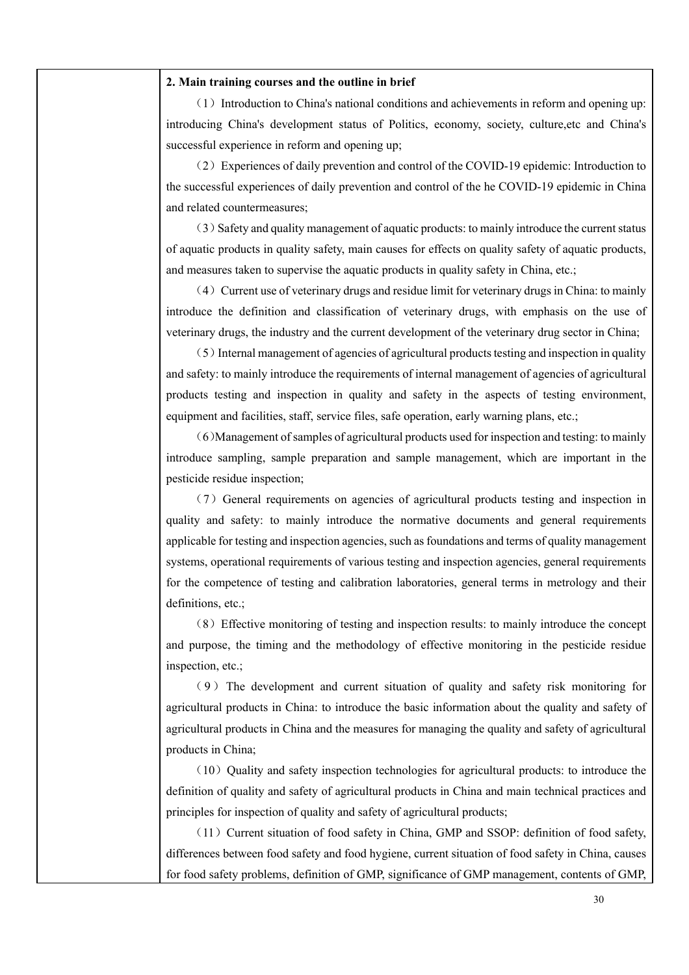#### **2. Main training courses and the outline in brief**

 $(1)$  Introduction to China's national conditions and achievements in reform and opening up: introducing China's development status of Politics, economy, society, culture,etc and China's successful experience in reform and opening up;

(2)Experiences of daily prevention and control of the COVID-19 epidemic: Introduction to the successful experiences of daily prevention and control of the he COVID-19 epidemic in China and related countermeasures;

(3)Safety and quality management of aquatic products: to mainly introduce the current status of aquatic products in quality safety, main causes for effects on quality safety of aquatic products, and measures taken to supervise the aquatic products in quality safety in China, etc.;

(4) Current use of veterinary drugs and residue limit for veterinary drugs in China: to mainly introduce the definition and classification of veterinary drugs, with emphasis on the use of veterinary drugs, the industry and the current development of the veterinary drug sector in China;

(5)Internal management of agencies of agricultural products testing and inspection in quality and safety: to mainly introduce the requirements of internal management of agencies of agricultural products testing and inspection in quality and safety in the aspects of testing environment, equipment and facilities, staff, service files, safe operation, early warning plans, etc.;

(6)Management of samples of agricultural products used for inspection and testing: to mainly introduce sampling, sample preparation and sample management, which are important in the pesticide residue inspection;

(7)General requirements on agencies of agricultural products testing and inspection in quality and safety: to mainly introduce the normative documents and general requirements applicable for testing and inspection agencies, such as foundations and terms of quality management systems, operational requirements of various testing and inspection agencies, general requirements for the competence of testing and calibration laboratories, general terms in metrology and their definitions, etc.;

(8)Effective monitoring of testing and inspection results: to mainly introduce the concept and purpose, the timing and the methodology of effective monitoring in the pesticide residue inspection, etc.;

 $(9)$  The development and current situation of quality and safety risk monitoring for agricultural products in China: to introduce the basic information about the quality and safety of agricultural products in China and the measures for managing the quality and safety of agricultural products in China;

 $(10)$  Quality and safety inspection technologies for agricultural products: to introduce the definition of quality and safety of agricultural products in China and main technical practices and principles for inspection of quality and safety of agricultural products;

 $(11)$  Current situation of food safety in China, GMP and SSOP: definition of food safety, differences between food safety and food hygiene, current situation of food safety in China, causes for food safety problems, definition of GMP, significance of GMP management, contents of GMP,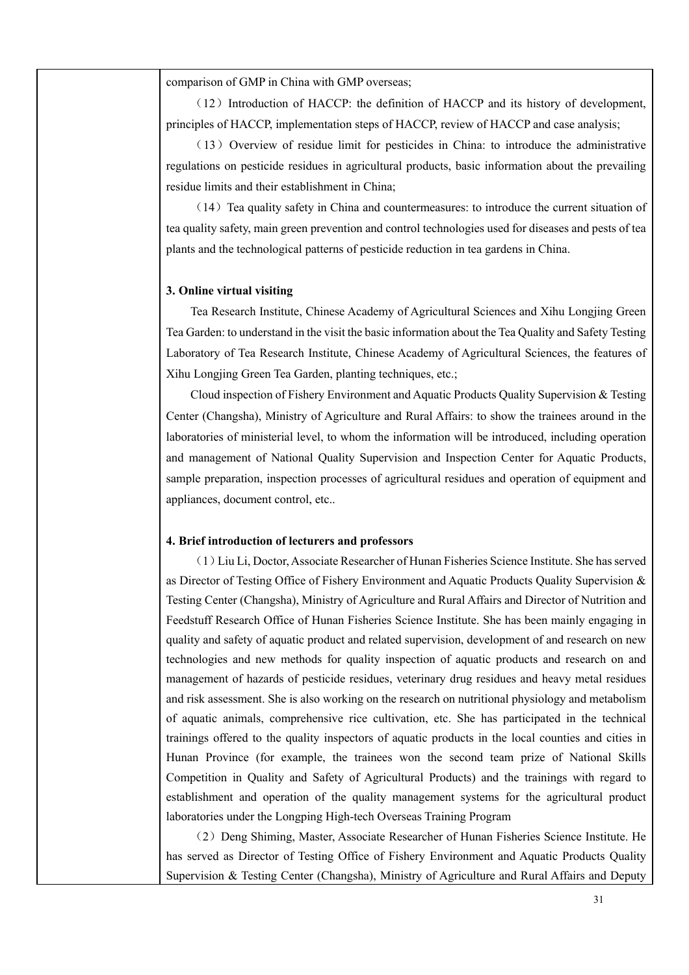comparison of GMP in China with GMP overseas;

 $(12)$  Introduction of HACCP: the definition of HACCP and its history of development, principles of HACCP, implementation steps of HACCP, review of HACCP and case analysis;

(13) Overview of residue limit for pesticides in China: to introduce the administrative regulations on pesticide residues in agricultural products, basic information about the prevailing residue limits and their establishment in China;

 $(14)$  Tea quality safety in China and countermeasures: to introduce the current situation of tea quality safety, main green prevention and control technologies used for diseases and pests of tea plants and the technological patterns of pesticide reduction in tea gardens in China.

#### **3. Online virtual visiting**

Tea Research Institute, Chinese Academy of Agricultural Sciences and Xihu Longjing Green Tea Garden: to understand in the visit the basic information about the Tea Quality and Safety Testing Laboratory of Tea Research Institute, Chinese Academy of Agricultural Sciences, the features of Xihu Longjing Green Tea Garden, planting techniques, etc.;

Cloud inspection of Fishery Environment and Aquatic Products Quality Supervision & Testing Center (Changsha), Ministry of Agriculture and Rural Affairs: to show the trainees around in the laboratories of ministerial level, to whom the information will be introduced, including operation and management of National Quality Supervision and Inspection Center for Aquatic Products, sample preparation, inspection processes of agricultural residues and operation of equipment and appliances, document control, etc..

#### **4. Brief introduction of lecturers and professors**

(1)Liu Li, Doctor, Associate Researcher of Hunan Fisheries Science Institute. She has served as Director of Testing Office of Fishery Environment and Aquatic Products Quality Supervision & Testing Center (Changsha), Ministry of Agriculture and Rural Affairs and Director of Nutrition and Feedstuff Research Office of Hunan Fisheries Science Institute. She has been mainly engaging in quality and safety of aquatic product and related supervision, development of and research on new technologies and new methods for quality inspection of aquatic products and research on and management of hazards of pesticide residues, veterinary drug residues and heavy metal residues and risk assessment. She is also working on the research on nutritional physiology and metabolism of aquatic animals, comprehensive rice cultivation, etc. She has participated in the technical trainings offered to the quality inspectors of aquatic products in the local counties and cities in Hunan Province (for example, the trainees won the second team prize of National Skills Competition in Quality and Safety of Agricultural Products) and the trainings with regard to establishment and operation of the quality management systems for the agricultural product laboratories under the Longping High-tech Overseas Training Program

(2)Deng Shiming, Master, Associate Researcher of Hunan Fisheries Science Institute. He has served as Director of Testing Office of Fishery Environment and Aquatic Products Quality Supervision & Testing Center (Changsha), Ministry of Agriculture and Rural Affairs and Deputy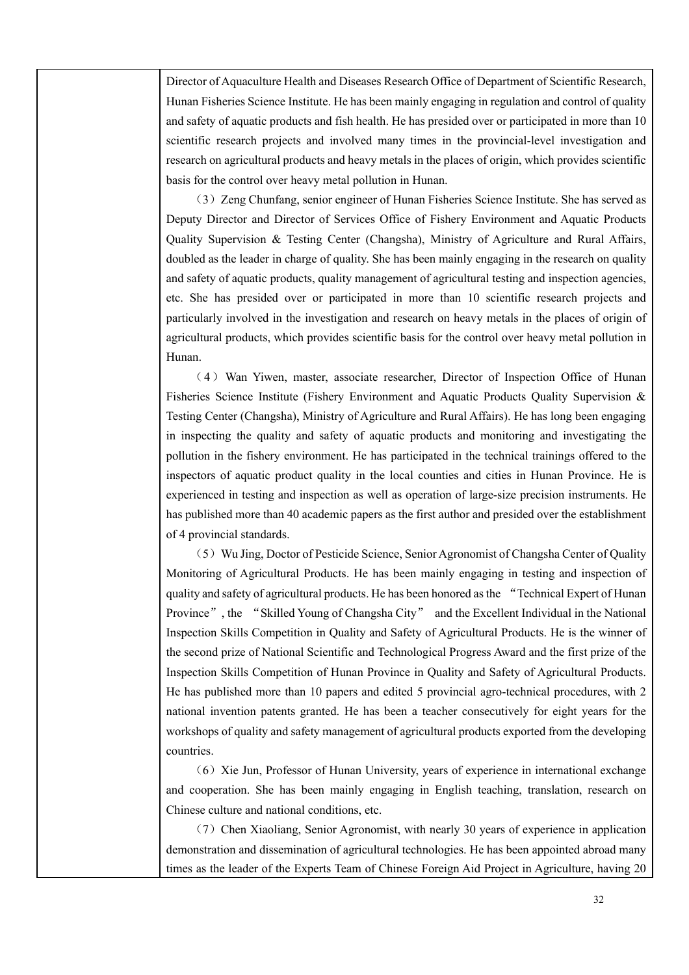Director of Aquaculture Health and Diseases Research Office of Department of Scientific Research, Hunan Fisheries Science Institute. He has been mainly engaging in regulation and control of quality and safety of aquatic products and fish health. He has presided over or participated in more than 10 scientific research projects and involved many times in the provincial-level investigation and research on agricultural products and heavy metals in the places of origin, which provides scientific basis for the control over heavy metal pollution in Hunan.

(3)Zeng Chunfang, senior engineer of Hunan Fisheries Science Institute. She has served as Deputy Director and Director of Services Office of Fishery Environment and Aquatic Products Quality Supervision & Testing Center (Changsha), Ministry of Agriculture and Rural Affairs, doubled as the leader in charge of quality. She has been mainly engaging in the research on quality and safety of aquatic products, quality management of agricultural testing and inspection agencies, etc. She has presided over or participated in more than 10 scientific research projects and particularly involved in the investigation and research on heavy metals in the places of origin of agricultural products, which provides scientific basis for the control over heavy metal pollution in Hunan.

(4)Wan Yiwen, master, associate researcher, Director of Inspection Office of Hunan Fisheries Science Institute (Fishery Environment and Aquatic Products Quality Supervision & Testing Center (Changsha), Ministry of Agriculture and Rural Affairs). He has long been engaging in inspecting the quality and safety of aquatic products and monitoring and investigating the pollution in the fishery environment. He has participated in the technical trainings offered to the inspectors of aquatic product quality in the local counties and cities in Hunan Province. He is experienced in testing and inspection as well as operation of large-size precision instruments. He has published more than 40 academic papers as the first author and presided over the establishment of 4 provincial standards.

(5) Wu Jing, Doctor of Pesticide Science, Senior Agronomist of Changsha Center of Quality Monitoring of Agricultural Products. He has been mainly engaging in testing and inspection of quality and safety of agricultural products. He has been honored as the "Technical Expert of Hunan Province", the "Skilled Young of Changsha City" and the Excellent Individual in the National Inspection Skills Competition in Quality and Safety of Agricultural Products. He is the winner of the second prize of National Scientific and Technological Progress Award and the first prize of the Inspection Skills Competition of Hunan Province in Quality and Safety of Agricultural Products. He has published more than 10 papers and edited 5 provincial agro-technical procedures, with 2 national invention patents granted. He has been a teacher consecutively for eight years for the workshops of quality and safety management of agricultural products exported from the developing countries.

 $(6)$  Xie Jun, Professor of Hunan University, years of experience in international exchange and cooperation. She has been mainly engaging in English teaching, translation, research on Chinese culture and national conditions, etc.

(7)Chen Xiaoliang, Senior Agronomist, with nearly 30 years of experience in application demonstration and dissemination of agricultural technologies. He has been appointed abroad many times as the leader of the Experts Team of Chinese Foreign Aid Project in Agriculture, having 20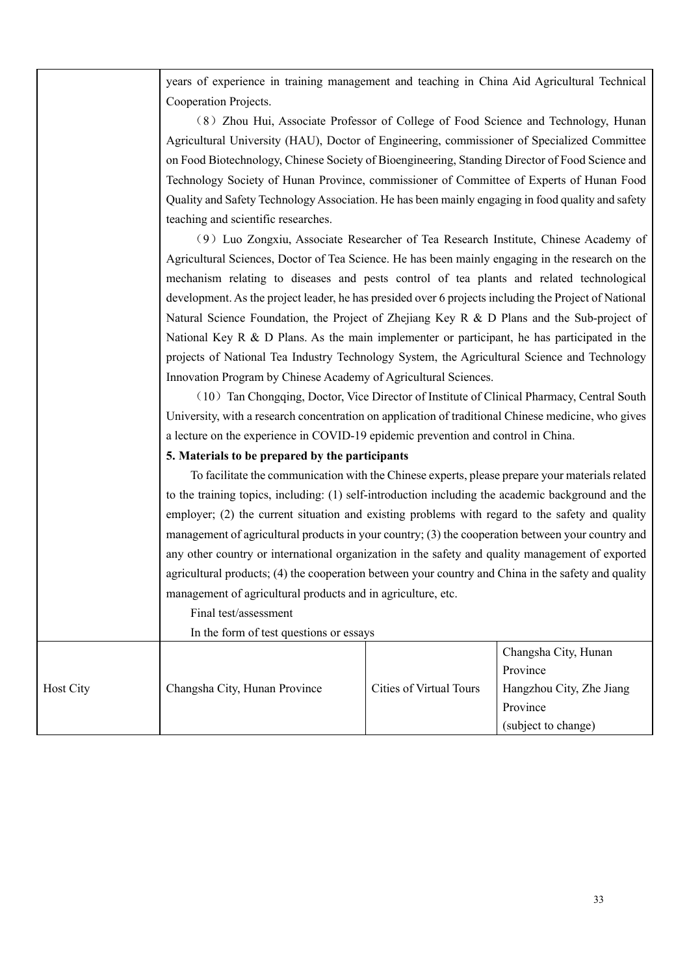|           | years of experience in training management and teaching in China Aid Agricultural Technical                                                                                                                                                                                                                                                                                                                                                                                                                                                                                                                     |                                |                          |  |  |
|-----------|-----------------------------------------------------------------------------------------------------------------------------------------------------------------------------------------------------------------------------------------------------------------------------------------------------------------------------------------------------------------------------------------------------------------------------------------------------------------------------------------------------------------------------------------------------------------------------------------------------------------|--------------------------------|--------------------------|--|--|
|           | Cooperation Projects.                                                                                                                                                                                                                                                                                                                                                                                                                                                                                                                                                                                           |                                |                          |  |  |
|           | (8) Zhou Hui, Associate Professor of College of Food Science and Technology, Hunan                                                                                                                                                                                                                                                                                                                                                                                                                                                                                                                              |                                |                          |  |  |
|           | Agricultural University (HAU), Doctor of Engineering, commissioner of Specialized Committee                                                                                                                                                                                                                                                                                                                                                                                                                                                                                                                     |                                |                          |  |  |
|           | on Food Biotechnology, Chinese Society of Bioengineering, Standing Director of Food Science and                                                                                                                                                                                                                                                                                                                                                                                                                                                                                                                 |                                |                          |  |  |
|           | Technology Society of Hunan Province, commissioner of Committee of Experts of Hunan Food                                                                                                                                                                                                                                                                                                                                                                                                                                                                                                                        |                                |                          |  |  |
|           | Quality and Safety Technology Association. He has been mainly engaging in food quality and safety                                                                                                                                                                                                                                                                                                                                                                                                                                                                                                               |                                |                          |  |  |
|           | teaching and scientific researches.                                                                                                                                                                                                                                                                                                                                                                                                                                                                                                                                                                             |                                |                          |  |  |
|           | (9) Luo Zongxiu, Associate Researcher of Tea Research Institute, Chinese Academy of                                                                                                                                                                                                                                                                                                                                                                                                                                                                                                                             |                                |                          |  |  |
|           | Agricultural Sciences, Doctor of Tea Science. He has been mainly engaging in the research on the                                                                                                                                                                                                                                                                                                                                                                                                                                                                                                                |                                |                          |  |  |
|           | mechanism relating to diseases and pests control of tea plants and related technological                                                                                                                                                                                                                                                                                                                                                                                                                                                                                                                        |                                |                          |  |  |
|           | development. As the project leader, he has presided over 6 projects including the Project of National                                                                                                                                                                                                                                                                                                                                                                                                                                                                                                           |                                |                          |  |  |
|           | Natural Science Foundation, the Project of Zhejiang Key R & D Plans and the Sub-project of                                                                                                                                                                                                                                                                                                                                                                                                                                                                                                                      |                                |                          |  |  |
|           | National Key R & D Plans. As the main implementer or participant, he has participated in the                                                                                                                                                                                                                                                                                                                                                                                                                                                                                                                    |                                |                          |  |  |
|           | projects of National Tea Industry Technology System, the Agricultural Science and Technology<br>Innovation Program by Chinese Academy of Agricultural Sciences.<br>(10) Tan Chongqing, Doctor, Vice Director of Institute of Clinical Pharmacy, Central South<br>University, with a research concentration on application of traditional Chinese medicine, who gives<br>a lecture on the experience in COVID-19 epidemic prevention and control in China.<br>5. Materials to be prepared by the participants<br>To facilitate the communication with the Chinese experts, please prepare your materials related |                                |                          |  |  |
|           |                                                                                                                                                                                                                                                                                                                                                                                                                                                                                                                                                                                                                 |                                |                          |  |  |
|           |                                                                                                                                                                                                                                                                                                                                                                                                                                                                                                                                                                                                                 |                                |                          |  |  |
|           |                                                                                                                                                                                                                                                                                                                                                                                                                                                                                                                                                                                                                 |                                |                          |  |  |
|           |                                                                                                                                                                                                                                                                                                                                                                                                                                                                                                                                                                                                                 |                                |                          |  |  |
|           |                                                                                                                                                                                                                                                                                                                                                                                                                                                                                                                                                                                                                 |                                |                          |  |  |
|           |                                                                                                                                                                                                                                                                                                                                                                                                                                                                                                                                                                                                                 |                                |                          |  |  |
|           | to the training topics, including: (1) self-introduction including the academic background and the                                                                                                                                                                                                                                                                                                                                                                                                                                                                                                              |                                |                          |  |  |
|           | employer; (2) the current situation and existing problems with regard to the safety and quality                                                                                                                                                                                                                                                                                                                                                                                                                                                                                                                 |                                |                          |  |  |
|           | management of agricultural products in your country; (3) the cooperation between your country and                                                                                                                                                                                                                                                                                                                                                                                                                                                                                                               |                                |                          |  |  |
|           | any other country or international organization in the safety and quality management of exported                                                                                                                                                                                                                                                                                                                                                                                                                                                                                                                |                                |                          |  |  |
|           | agricultural products; (4) the cooperation between your country and China in the safety and quality                                                                                                                                                                                                                                                                                                                                                                                                                                                                                                             |                                |                          |  |  |
|           | management of agricultural products and in agriculture, etc.                                                                                                                                                                                                                                                                                                                                                                                                                                                                                                                                                    |                                |                          |  |  |
|           | Final test/assessment                                                                                                                                                                                                                                                                                                                                                                                                                                                                                                                                                                                           |                                |                          |  |  |
|           | In the form of test questions or essays                                                                                                                                                                                                                                                                                                                                                                                                                                                                                                                                                                         |                                |                          |  |  |
|           |                                                                                                                                                                                                                                                                                                                                                                                                                                                                                                                                                                                                                 |                                | Changsha City, Hunan     |  |  |
|           |                                                                                                                                                                                                                                                                                                                                                                                                                                                                                                                                                                                                                 |                                | Province                 |  |  |
| Host City | Changsha City, Hunan Province                                                                                                                                                                                                                                                                                                                                                                                                                                                                                                                                                                                   | <b>Cities of Virtual Tours</b> | Hangzhou City, Zhe Jiang |  |  |
|           |                                                                                                                                                                                                                                                                                                                                                                                                                                                                                                                                                                                                                 |                                | Province                 |  |  |
|           |                                                                                                                                                                                                                                                                                                                                                                                                                                                                                                                                                                                                                 |                                | (subject to change)      |  |  |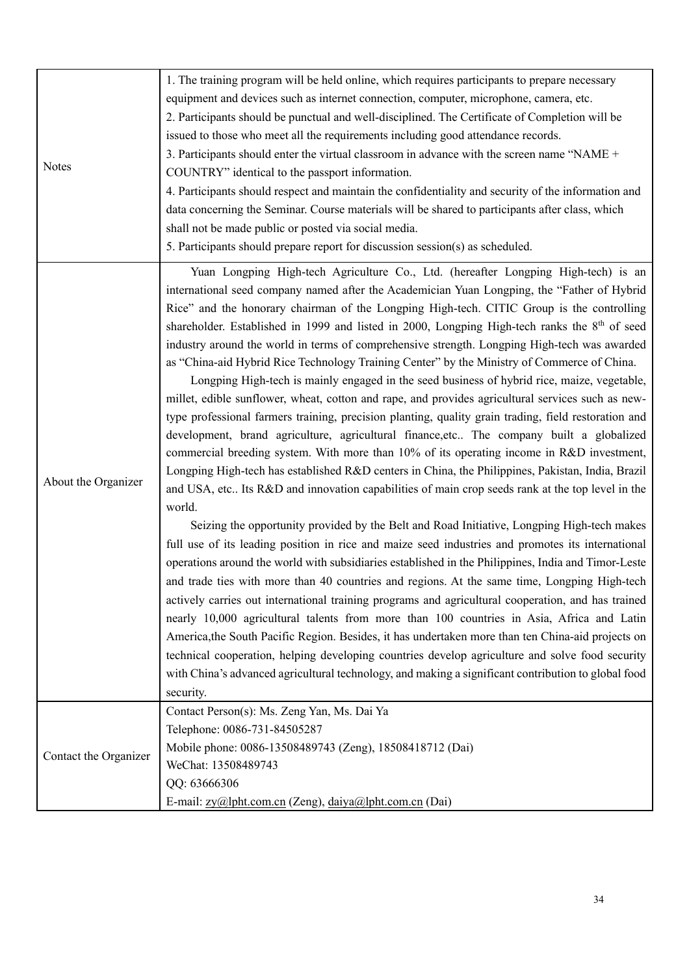| <b>Notes</b>          | 1. The training program will be held online, which requires participants to prepare necessary<br>equipment and devices such as internet connection, computer, microphone, camera, etc.<br>2. Participants should be punctual and well-disciplined. The Certificate of Completion will be<br>issued to those who meet all the requirements including good attendance records.<br>3. Participants should enter the virtual classroom in advance with the screen name "NAME +<br>COUNTRY" identical to the passport information.<br>4. Participants should respect and maintain the confidentiality and security of the information and<br>data concerning the Seminar. Course materials will be shared to participants after class, which<br>shall not be made public or posted via social media.<br>5. Participants should prepare report for discussion session(s) as scheduled.                                                                                                                                                                                                                                                                                                                                                                                                                                                                                                                                                                                                                                                                                                                                                                                                                                                                                                                                                                                                                                                                                                                                                                                                                                                                                                                                                                            |
|-----------------------|-------------------------------------------------------------------------------------------------------------------------------------------------------------------------------------------------------------------------------------------------------------------------------------------------------------------------------------------------------------------------------------------------------------------------------------------------------------------------------------------------------------------------------------------------------------------------------------------------------------------------------------------------------------------------------------------------------------------------------------------------------------------------------------------------------------------------------------------------------------------------------------------------------------------------------------------------------------------------------------------------------------------------------------------------------------------------------------------------------------------------------------------------------------------------------------------------------------------------------------------------------------------------------------------------------------------------------------------------------------------------------------------------------------------------------------------------------------------------------------------------------------------------------------------------------------------------------------------------------------------------------------------------------------------------------------------------------------------------------------------------------------------------------------------------------------------------------------------------------------------------------------------------------------------------------------------------------------------------------------------------------------------------------------------------------------------------------------------------------------------------------------------------------------------------------------------------------------------------------------------------------------|
| About the Organizer   | Yuan Longping High-tech Agriculture Co., Ltd. (hereafter Longping High-tech) is an<br>international seed company named after the Academician Yuan Longping, the "Father of Hybrid<br>Rice" and the honorary chairman of the Longping High-tech. CITIC Group is the controlling<br>shareholder. Established in 1999 and listed in 2000, Longping High-tech ranks the 8 <sup>th</sup> of seed<br>industry around the world in terms of comprehensive strength. Longping High-tech was awarded<br>as "China-aid Hybrid Rice Technology Training Center" by the Ministry of Commerce of China.<br>Longping High-tech is mainly engaged in the seed business of hybrid rice, maize, vegetable,<br>millet, edible sunflower, wheat, cotton and rape, and provides agricultural services such as new-<br>type professional farmers training, precision planting, quality grain trading, field restoration and<br>development, brand agriculture, agricultural finance, etc The company built a globalized<br>commercial breeding system. With more than 10% of its operating income in R&D investment,<br>Longping High-tech has established R&D centers in China, the Philippines, Pakistan, India, Brazil<br>and USA, etc Its R&D and innovation capabilities of main crop seeds rank at the top level in the<br>world.<br>Seizing the opportunity provided by the Belt and Road Initiative, Longping High-tech makes<br>full use of its leading position in rice and maize seed industries and promotes its international<br>operations around the world with subsidiaries established in the Philippines, India and Timor-Leste<br>and trade ties with more than 40 countries and regions. At the same time, Longping High-tech<br>actively carries out international training programs and agricultural cooperation, and has trained<br>nearly 10,000 agricultural talents from more than 100 countries in Asia, Africa and Latin<br>America, the South Pacific Region. Besides, it has undertaken more than ten China-aid projects on<br>technical cooperation, helping developing countries develop agriculture and solve food security<br>with China's advanced agricultural technology, and making a significant contribution to global food<br>security. |
| Contact the Organizer | Contact Person(s): Ms. Zeng Yan, Ms. Dai Ya<br>Telephone: 0086-731-84505287<br>Mobile phone: 0086-13508489743 (Zeng), 18508418712 (Dai)<br>WeChat: 13508489743<br>QQ: 63666306<br>E-mail: <u>zy@lpht.com.cn</u> (Zeng), daiya@lpht.com.cn (Dai)                                                                                                                                                                                                                                                                                                                                                                                                                                                                                                                                                                                                                                                                                                                                                                                                                                                                                                                                                                                                                                                                                                                                                                                                                                                                                                                                                                                                                                                                                                                                                                                                                                                                                                                                                                                                                                                                                                                                                                                                             |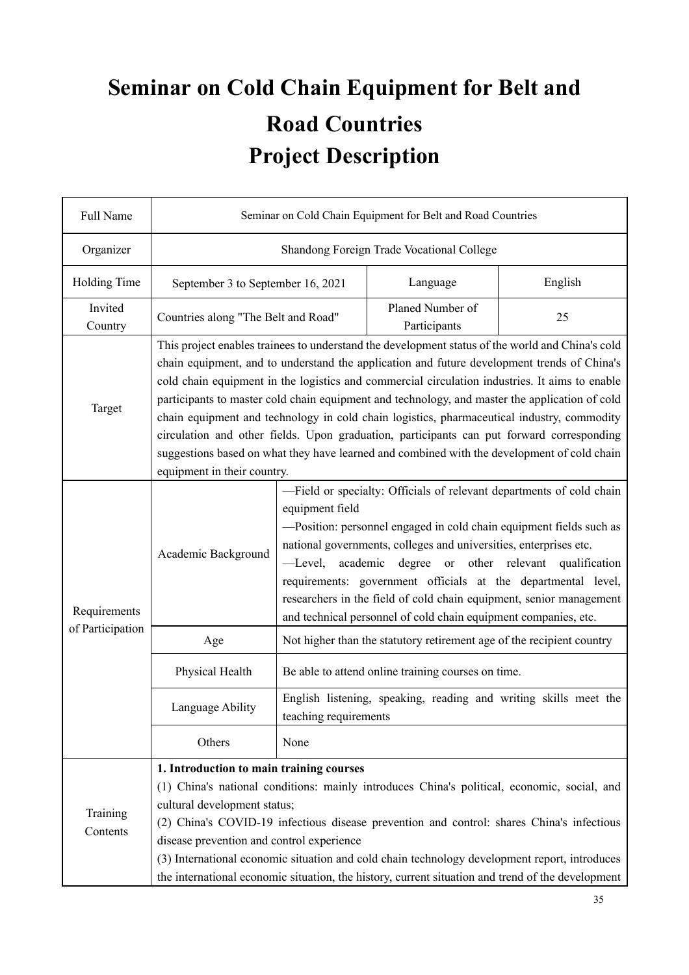# **Seminar on Cold Chain Equipment for Belt and Road Countries Project Description**

| Full Name            | Seminar on Cold Chain Equipment for Belt and Road Countries                                                                                                                                                                                                                                                                                                                                                                                                                                                                                                                                                                                                                                                                  |                                                                                                                                                                                                                                                                                                                                                                                                                                                                                                                                     |          |         |  |
|----------------------|------------------------------------------------------------------------------------------------------------------------------------------------------------------------------------------------------------------------------------------------------------------------------------------------------------------------------------------------------------------------------------------------------------------------------------------------------------------------------------------------------------------------------------------------------------------------------------------------------------------------------------------------------------------------------------------------------------------------------|-------------------------------------------------------------------------------------------------------------------------------------------------------------------------------------------------------------------------------------------------------------------------------------------------------------------------------------------------------------------------------------------------------------------------------------------------------------------------------------------------------------------------------------|----------|---------|--|
| Organizer            |                                                                                                                                                                                                                                                                                                                                                                                                                                                                                                                                                                                                                                                                                                                              | Shandong Foreign Trade Vocational College                                                                                                                                                                                                                                                                                                                                                                                                                                                                                           |          |         |  |
| Holding Time         | September 3 to September 16, 2021                                                                                                                                                                                                                                                                                                                                                                                                                                                                                                                                                                                                                                                                                            |                                                                                                                                                                                                                                                                                                                                                                                                                                                                                                                                     | Language | English |  |
| Invited<br>Country   | Planed Number of<br>Countries along "The Belt and Road"<br>25<br>Participants                                                                                                                                                                                                                                                                                                                                                                                                                                                                                                                                                                                                                                                |                                                                                                                                                                                                                                                                                                                                                                                                                                                                                                                                     |          |         |  |
| Target               | This project enables trainees to understand the development status of the world and China's cold<br>chain equipment, and to understand the application and future development trends of China's<br>cold chain equipment in the logistics and commercial circulation industries. It aims to enable<br>participants to master cold chain equipment and technology, and master the application of cold<br>chain equipment and technology in cold chain logistics, pharmaceutical industry, commodity<br>circulation and other fields. Upon graduation, participants can put forward corresponding<br>suggestions based on what they have learned and combined with the development of cold chain<br>equipment in their country. |                                                                                                                                                                                                                                                                                                                                                                                                                                                                                                                                     |          |         |  |
| Requirements         | Academic Background                                                                                                                                                                                                                                                                                                                                                                                                                                                                                                                                                                                                                                                                                                          | -Field or specialty: Officials of relevant departments of cold chain<br>equipment field<br>-Position: personnel engaged in cold chain equipment fields such as<br>national governments, colleges and universities, enterprises etc.<br>-Level,<br>academic<br>degree<br>other relevant<br><sub>or</sub><br>qualification<br>requirements: government officials at the departmental level,<br>researchers in the field of cold chain equipment, senior management<br>and technical personnel of cold chain equipment companies, etc. |          |         |  |
| of Participation     | Age                                                                                                                                                                                                                                                                                                                                                                                                                                                                                                                                                                                                                                                                                                                          | Not higher than the statutory retirement age of the recipient country                                                                                                                                                                                                                                                                                                                                                                                                                                                               |          |         |  |
|                      | Physical Health                                                                                                                                                                                                                                                                                                                                                                                                                                                                                                                                                                                                                                                                                                              | Be able to attend online training courses on time.                                                                                                                                                                                                                                                                                                                                                                                                                                                                                  |          |         |  |
|                      | Language Ability                                                                                                                                                                                                                                                                                                                                                                                                                                                                                                                                                                                                                                                                                                             | English listening, speaking, reading and writing skills meet the<br>teaching requirements                                                                                                                                                                                                                                                                                                                                                                                                                                           |          |         |  |
|                      | Others                                                                                                                                                                                                                                                                                                                                                                                                                                                                                                                                                                                                                                                                                                                       | None                                                                                                                                                                                                                                                                                                                                                                                                                                                                                                                                |          |         |  |
| Training<br>Contents | 1. Introduction to main training courses<br>(1) China's national conditions: mainly introduces China's political, economic, social, and<br>cultural development status;<br>(2) China's COVID-19 infectious disease prevention and control: shares China's infectious<br>disease prevention and control experience<br>(3) International economic situation and cold chain technology development report, introduces<br>the international economic situation, the history, current situation and trend of the development                                                                                                                                                                                                      |                                                                                                                                                                                                                                                                                                                                                                                                                                                                                                                                     |          |         |  |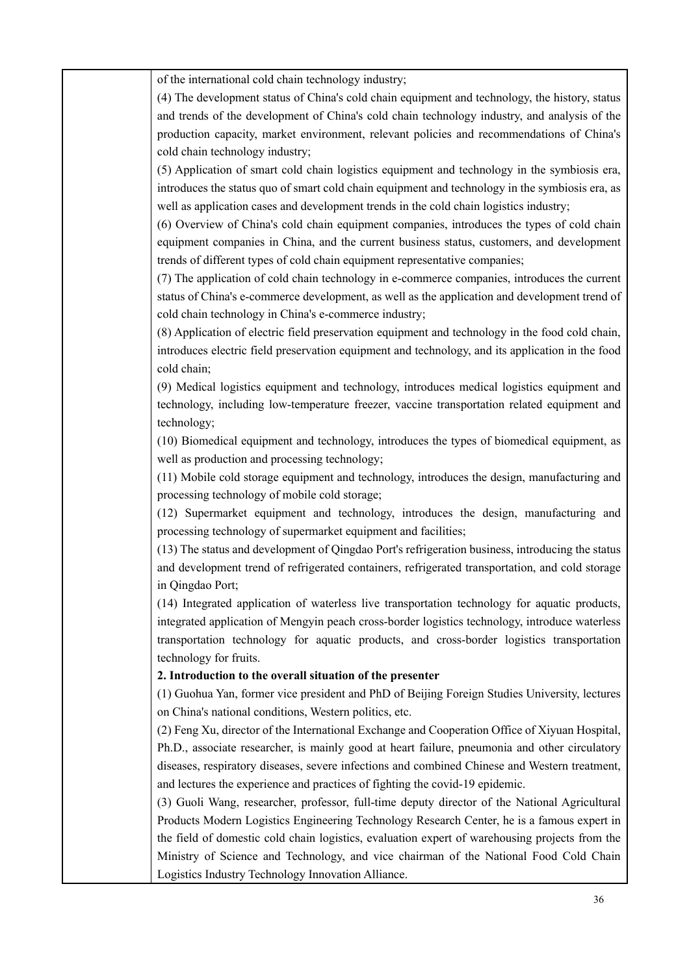of the international cold chain technology industry;

(4) The development status of China's cold chain equipment and technology, the history, status and trends of the development of China's cold chain technology industry, and analysis of the production capacity, market environment, relevant policies and recommendations of China's cold chain technology industry;

(5) Application of smart cold chain logistics equipment and technology in the symbiosis era, introduces the status quo of smart cold chain equipment and technology in the symbiosis era, as well as application cases and development trends in the cold chain logistics industry;

(6) Overview of China's cold chain equipment companies, introduces the types of cold chain equipment companies in China, and the current business status, customers, and development trends of different types of cold chain equipment representative companies;

(7) The application of cold chain technology in e-commerce companies, introduces the current status of China's e-commerce development, as well as the application and development trend of cold chain technology in China's e-commerce industry;

(8) Application of electric field preservation equipment and technology in the food cold chain, introduces electric field preservation equipment and technology, and its application in the food cold chain;

(9) Medical logistics equipment and technology, introduces medical logistics equipment and technology, including low-temperature freezer, vaccine transportation related equipment and technology;

(10) Biomedical equipment and technology, introduces the types of biomedical equipment, as well as production and processing technology;

(11) Mobile cold storage equipment and technology, introduces the design, manufacturing and processing technology of mobile cold storage;

(12) Supermarket equipment and technology, introduces the design, manufacturing and processing technology of supermarket equipment and facilities;

(13) The status and development of Qingdao Port's refrigeration business, introducing the status and development trend of refrigerated containers, refrigerated transportation, and cold storage in Qingdao Port;

(14) Integrated application of waterless live transportation technology for aquatic products, integrated application of Mengyin peach cross-border logistics technology, introduce waterless transportation technology for aquatic products, and cross-border logistics transportation technology for fruits.

#### **2. Introduction to the overall situation of the presenter**

(1) Guohua Yan, former vice president and PhD of Beijing Foreign Studies University, lectures on China's national conditions, Western politics, etc.

(2) Feng Xu, director of the International Exchange and Cooperation Office of Xiyuan Hospital, Ph.D., associate researcher, is mainly good at heart failure, pneumonia and other circulatory diseases, respiratory diseases, severe infections and combined Chinese and Western treatment, and lectures the experience and practices of fighting the covid-19 epidemic.

(3) Guoli Wang, researcher, professor, full-time deputy director of the National Agricultural Products Modern Logistics Engineering Technology Research Center, he is a famous expert in the field of domestic cold chain logistics, evaluation expert of warehousing projects from the Ministry of Science and Technology, and vice chairman of the National Food Cold Chain Logistics Industry Technology Innovation Alliance.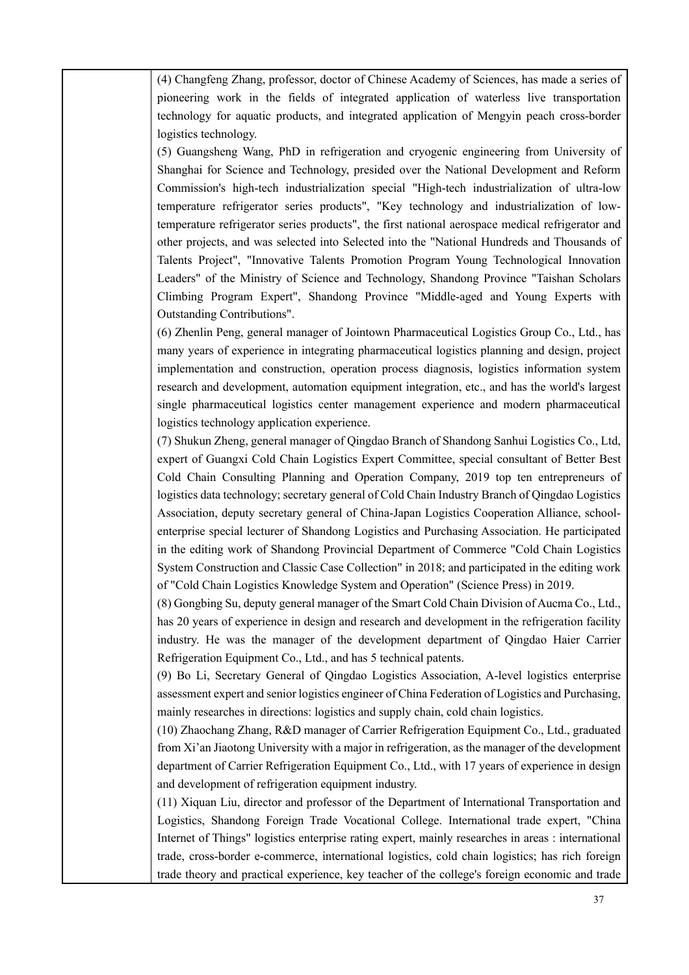(4) Changfeng Zhang, professor, doctor of Chinese Academy of Sciences, has made a series of pioneering work in the fields of integrated application of waterless live transportation technology for aquatic products, and integrated application of Mengyin peach cross-border logistics technology.

(5) Guangsheng Wang, PhD in refrigeration and cryogenic engineering from University of Shanghai for Science and Technology, presided over the National Development and Reform Commission's high-tech industrialization special "High-tech industrialization of ultra-low temperature refrigerator series products", "Key technology and industrialization of lowtemperature refrigerator series products", the first national aerospace medical refrigerator and other projects, and was selected into Selected into the "National Hundreds and Thousands of Talents Project", "Innovative Talents Promotion Program Young Technological Innovation Leaders" of the Ministry of Science and Technology, Shandong Province "Taishan Scholars Climbing Program Expert", Shandong Province "Middle-aged and Young Experts with Outstanding Contributions".

(6) Zhenlin Peng, general manager of Jointown Pharmaceutical Logistics Group Co., Ltd., has many years of experience in integrating pharmaceutical logistics planning and design, project implementation and construction, operation process diagnosis, logistics information system research and development, automation equipment integration, etc., and has the world's largest single pharmaceutical logistics center management experience and modern pharmaceutical logistics technology application experience.

(7) Shukun Zheng, general manager of Qingdao Branch of Shandong Sanhui Logistics Co., Ltd, expert of Guangxi Cold Chain Logistics Expert Committee, special consultant of Better Best Cold Chain Consulting Planning and Operation Company, 2019 top ten entrepreneurs of logistics data technology; secretary general of Cold Chain Industry Branch of Qingdao Logistics Association, deputy secretary general of China-Japan Logistics Cooperation Alliance, schoolenterprise special lecturer of Shandong Logistics and Purchasing Association. He participated in the editing work of Shandong Provincial Department of Commerce "Cold Chain Logistics System Construction and Classic Case Collection" in 2018; and participated in the editing work of "Cold Chain Logistics Knowledge System and Operation" (Science Press) in 2019.

(8) Gongbing Su, deputy general manager of the Smart Cold Chain Division of Aucma Co., Ltd., has 20 years of experience in design and research and development in the refrigeration facility industry. He was the manager of the development department of Qingdao Haier Carrier Refrigeration Equipment Co., Ltd., and has 5 technical patents.

(9) Bo Li, Secretary General of Qingdao Logistics Association, A-level logistics enterprise assessment expert and senior logistics engineer of China Federation of Logistics and Purchasing, mainly researches in directions: logistics and supply chain, cold chain logistics.

(10) Zhaochang Zhang, R&D manager of Carrier Refrigeration Equipment Co., Ltd., graduated from Xi'an Jiaotong University with a major in refrigeration, as the manager of the development department of Carrier Refrigeration Equipment Co., Ltd., with 17 years of experience in design and development of refrigeration equipment industry.

(11) Xiquan Liu, director and professor of the Department of International Transportation and Logistics, Shandong Foreign Trade Vocational College. International trade expert, "China Internet of Things" logistics enterprise rating expert, mainly researches in areas : international trade, cross-border e-commerce, international logistics, cold chain logistics; has rich foreign trade theory and practical experience, key teacher of the college's foreign economic and trade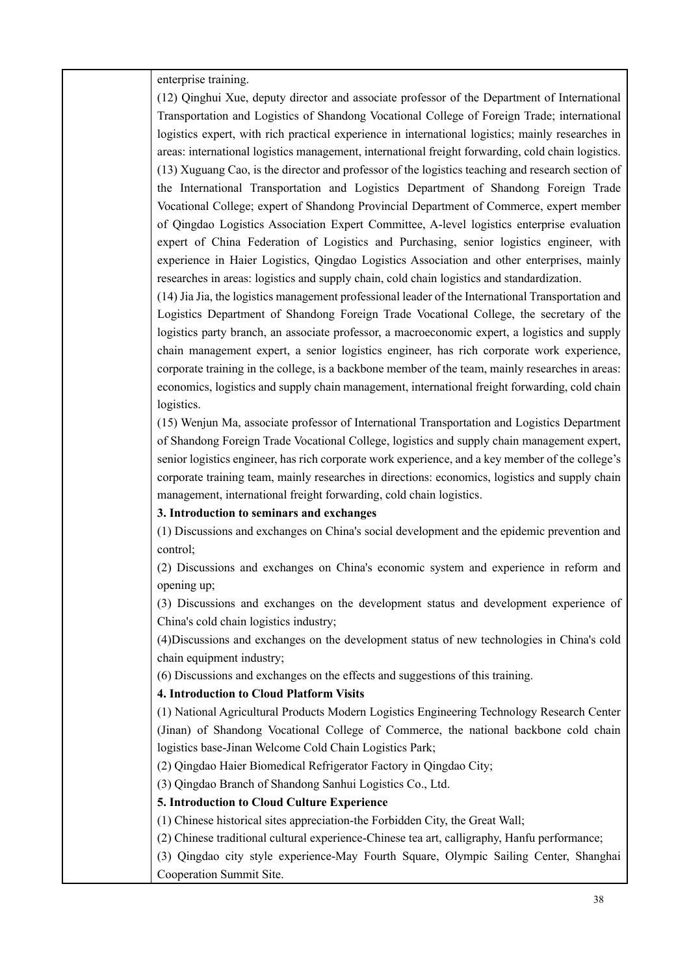enterprise training.

(12) Qinghui Xue, deputy director and associate professor of the Department of International Transportation and Logistics of Shandong Vocational College of Foreign Trade; international logistics expert, with rich practical experience in international logistics; mainly researches in areas: international logistics management, international freight forwarding, cold chain logistics. (13) Xuguang Cao, is the director and professor of the logistics teaching and research section of the International Transportation and Logistics Department of Shandong Foreign Trade Vocational College; expert of Shandong Provincial Department of Commerce, expert member of Qingdao Logistics Association Expert Committee, A-level logistics enterprise evaluation expert of China Federation of Logistics and Purchasing, senior logistics engineer, with experience in Haier Logistics, Qingdao Logistics Association and other enterprises, mainly researches in areas: logistics and supply chain, cold chain logistics and standardization.

(14) Jia Jia, the logistics management professional leader of the International Transportation and Logistics Department of Shandong Foreign Trade Vocational College, the secretary of the logistics party branch, an associate professor, a macroeconomic expert, a logistics and supply chain management expert, a senior logistics engineer, has rich corporate work experience, corporate training in the college, is a backbone member of the team, mainly researches in areas: economics, logistics and supply chain management, international freight forwarding, cold chain logistics.

(15) Wenjun Ma, associate professor of International Transportation and Logistics Department of Shandong Foreign Trade Vocational College, logistics and supply chain management expert, senior logistics engineer, has rich corporate work experience, and a key member of the college's corporate training team, mainly researches in directions: economics, logistics and supply chain management, international freight forwarding, cold chain logistics.

#### **3. Introduction to seminars and exchanges**

(1) Discussions and exchanges on China's social development and the epidemic prevention and control;

(2) Discussions and exchanges on China's economic system and experience in reform and opening up;

(3) Discussions and exchanges on the development status and development experience of China's cold chain logistics industry;

(4)Discussions and exchanges on the development status of new technologies in China's cold chain equipment industry;

(6) Discussions and exchanges on the effects and suggestions of this training.

#### **4. Introduction to Cloud Platform Visits**

(1) National Agricultural Products Modern Logistics Engineering Technology Research Center (Jinan) of Shandong Vocational College of Commerce, the national backbone cold chain logistics base-Jinan Welcome Cold Chain Logistics Park;

(2) Qingdao Haier Biomedical Refrigerator Factory in Qingdao City;

(3) Qingdao Branch of Shandong Sanhui Logistics Co., Ltd.

#### **5. Introduction to Cloud Culture Experience**

(1) Chinese historical sites appreciation-the Forbidden City, the Great Wall;

(2) Chinese traditional cultural experience-Chinese tea art, calligraphy, Hanfu performance;

(3) Qingdao city style experience-May Fourth Square, Olympic Sailing Center, Shanghai Cooperation Summit Site.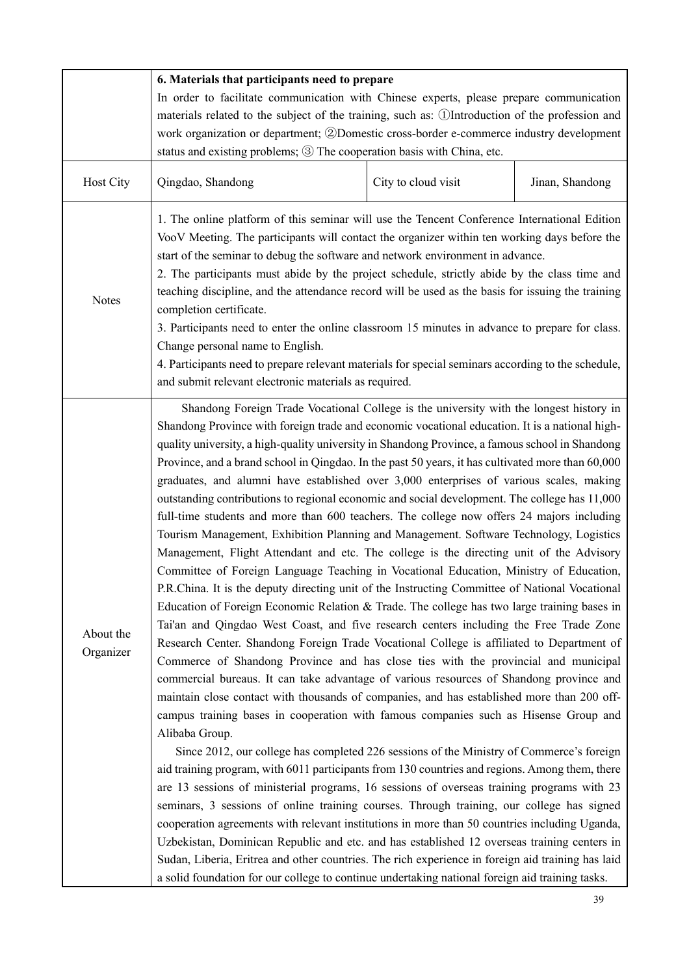|                        | 6. Materials that participants need to prepare                                                                                                                                                                                                                                                                                                                                                                                                                                                                                                                                                                                                                                                                                                                                                                                                                                                                                                                                                                                                                                                                                                                                                                                                                                                                                                                                                                                                                                                                                                                                                                                                                                                                                                                                                                                                                                                                                                                                                                                                                                                                                                                                                                                                                                                                                                      |                     |                 |  |  |
|------------------------|-----------------------------------------------------------------------------------------------------------------------------------------------------------------------------------------------------------------------------------------------------------------------------------------------------------------------------------------------------------------------------------------------------------------------------------------------------------------------------------------------------------------------------------------------------------------------------------------------------------------------------------------------------------------------------------------------------------------------------------------------------------------------------------------------------------------------------------------------------------------------------------------------------------------------------------------------------------------------------------------------------------------------------------------------------------------------------------------------------------------------------------------------------------------------------------------------------------------------------------------------------------------------------------------------------------------------------------------------------------------------------------------------------------------------------------------------------------------------------------------------------------------------------------------------------------------------------------------------------------------------------------------------------------------------------------------------------------------------------------------------------------------------------------------------------------------------------------------------------------------------------------------------------------------------------------------------------------------------------------------------------------------------------------------------------------------------------------------------------------------------------------------------------------------------------------------------------------------------------------------------------------------------------------------------------------------------------------------------------|---------------------|-----------------|--|--|
|                        | In order to facilitate communication with Chinese experts, please prepare communication                                                                                                                                                                                                                                                                                                                                                                                                                                                                                                                                                                                                                                                                                                                                                                                                                                                                                                                                                                                                                                                                                                                                                                                                                                                                                                                                                                                                                                                                                                                                                                                                                                                                                                                                                                                                                                                                                                                                                                                                                                                                                                                                                                                                                                                             |                     |                 |  |  |
|                        | materials related to the subject of the training, such as: ①Introduction of the profession and                                                                                                                                                                                                                                                                                                                                                                                                                                                                                                                                                                                                                                                                                                                                                                                                                                                                                                                                                                                                                                                                                                                                                                                                                                                                                                                                                                                                                                                                                                                                                                                                                                                                                                                                                                                                                                                                                                                                                                                                                                                                                                                                                                                                                                                      |                     |                 |  |  |
|                        | work organization or department; 2Domestic cross-border e-commerce industry development                                                                                                                                                                                                                                                                                                                                                                                                                                                                                                                                                                                                                                                                                                                                                                                                                                                                                                                                                                                                                                                                                                                                                                                                                                                                                                                                                                                                                                                                                                                                                                                                                                                                                                                                                                                                                                                                                                                                                                                                                                                                                                                                                                                                                                                             |                     |                 |  |  |
|                        | status and existing problems; 3 The cooperation basis with China, etc.                                                                                                                                                                                                                                                                                                                                                                                                                                                                                                                                                                                                                                                                                                                                                                                                                                                                                                                                                                                                                                                                                                                                                                                                                                                                                                                                                                                                                                                                                                                                                                                                                                                                                                                                                                                                                                                                                                                                                                                                                                                                                                                                                                                                                                                                              |                     |                 |  |  |
| Host City              | Qingdao, Shandong                                                                                                                                                                                                                                                                                                                                                                                                                                                                                                                                                                                                                                                                                                                                                                                                                                                                                                                                                                                                                                                                                                                                                                                                                                                                                                                                                                                                                                                                                                                                                                                                                                                                                                                                                                                                                                                                                                                                                                                                                                                                                                                                                                                                                                                                                                                                   | City to cloud visit | Jinan, Shandong |  |  |
| <b>Notes</b>           | 1. The online platform of this seminar will use the Tencent Conference International Edition<br>VooV Meeting. The participants will contact the organizer within ten working days before the<br>start of the seminar to debug the software and network environment in advance.<br>2. The participants must abide by the project schedule, strictly abide by the class time and<br>teaching discipline, and the attendance record will be used as the basis for issuing the training<br>completion certificate.<br>3. Participants need to enter the online classroom 15 minutes in advance to prepare for class.<br>Change personal name to English.<br>4. Participants need to prepare relevant materials for special seminars according to the schedule,<br>and submit relevant electronic materials as required.                                                                                                                                                                                                                                                                                                                                                                                                                                                                                                                                                                                                                                                                                                                                                                                                                                                                                                                                                                                                                                                                                                                                                                                                                                                                                                                                                                                                                                                                                                                                 |                     |                 |  |  |
| About the<br>Organizer | Shandong Foreign Trade Vocational College is the university with the longest history in<br>Shandong Province with foreign trade and economic vocational education. It is a national high-<br>quality university, a high-quality university in Shandong Province, a famous school in Shandong<br>Province, and a brand school in Qingdao. In the past 50 years, it has cultivated more than 60,000<br>graduates, and alumni have established over 3,000 enterprises of various scales, making<br>outstanding contributions to regional economic and social development. The college has 11,000<br>full-time students and more than 600 teachers. The college now offers 24 majors including<br>Tourism Management, Exhibition Planning and Management. Software Technology, Logistics<br>Management, Flight Attendant and etc. The college is the directing unit of the Advisory<br>Committee of Foreign Language Teaching in Vocational Education, Ministry of Education,<br>P.R.China. It is the deputy directing unit of the Instructing Committee of National Vocational<br>Education of Foreign Economic Relation & Trade. The college has two large training bases in<br>Tai'an and Qingdao West Coast, and five research centers including the Free Trade Zone<br>Research Center. Shandong Foreign Trade Vocational College is affiliated to Department of<br>Commerce of Shandong Province and has close ties with the provincial and municipal<br>commercial bureaus. It can take advantage of various resources of Shandong province and<br>maintain close contact with thousands of companies, and has established more than 200 off-<br>campus training bases in cooperation with famous companies such as Hisense Group and<br>Alibaba Group.<br>Since 2012, our college has completed 226 sessions of the Ministry of Commerce's foreign<br>aid training program, with 6011 participants from 130 countries and regions. Among them, there<br>are 13 sessions of ministerial programs, 16 sessions of overseas training programs with 23<br>seminars, 3 sessions of online training courses. Through training, our college has signed<br>cooperation agreements with relevant institutions in more than 50 countries including Uganda,<br>Uzbekistan, Dominican Republic and etc. and has established 12 overseas training centers in |                     |                 |  |  |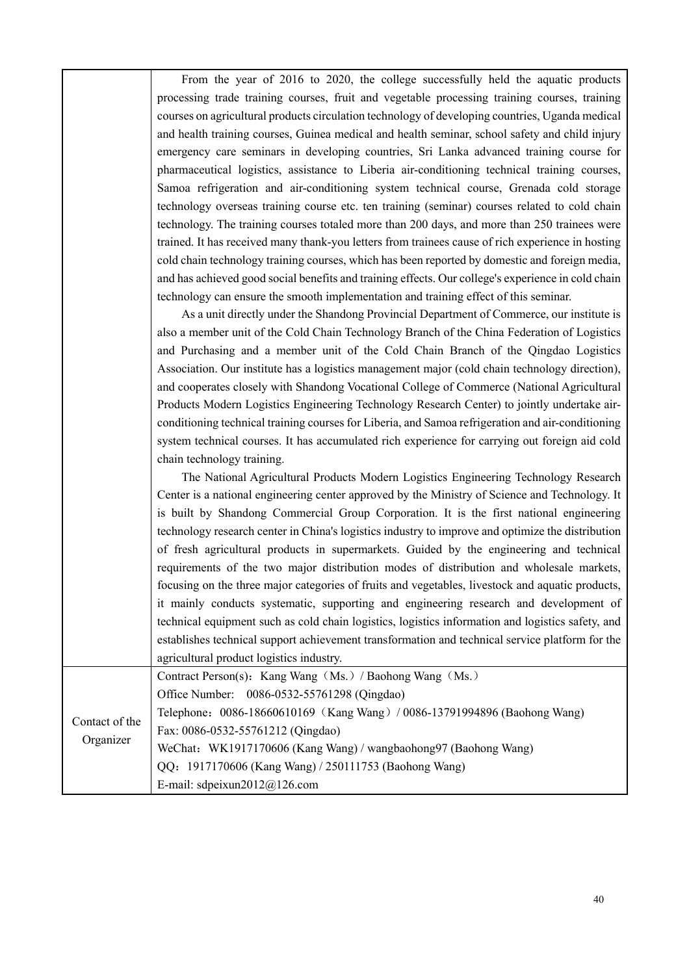From the year of 2016 to 2020, the college successfully held the aquatic products processing trade training courses, fruit and vegetable processing training courses, training courses on agricultural products circulation technology of developing countries, Uganda medical and health training courses, Guinea medical and health seminar, school safety and child injury emergency care seminars in developing countries, Sri Lanka advanced training course for pharmaceutical logistics, assistance to Liberia air-conditioning technical training courses, Samoa refrigeration and air-conditioning system technical course, Grenada cold storage technology overseas training course etc. ten training (seminar) courses related to cold chain technology. The training courses totaled more than 200 days, and more than 250 trainees were trained. It has received many thank-you letters from trainees cause of rich experience in hosting cold chain technology training courses, which has been reported by domestic and foreign media, and has achieved good social benefits and training effects. Our college's experience in cold chain technology can ensure the smooth implementation and training effect of this seminar.

As a unit directly under the Shandong Provincial Department of Commerce, our institute is also a member unit of the Cold Chain Technology Branch of the China Federation of Logistics and Purchasing and a member unit of the Cold Chain Branch of the Qingdao Logistics Association. Our institute has a logistics management major (cold chain technology direction), and cooperates closely with Shandong Vocational College of Commerce (National Agricultural Products Modern Logistics Engineering Technology Research Center) to jointly undertake airconditioning technical training courses for Liberia, and Samoa refrigeration and air-conditioning system technical courses. It has accumulated rich experience for carrying out foreign aid cold chain technology training.

The National Agricultural Products Modern Logistics Engineering Technology Research Center is a national engineering center approved by the Ministry of Science and Technology. It is built by Shandong Commercial Group Corporation. It is the first national engineering technology research center in China's logistics industry to improve and optimize the distribution of fresh agricultural products in supermarkets. Guided by the engineering and technical requirements of the two major distribution modes of distribution and wholesale markets, focusing on the three major categories of fruits and vegetables, livestock and aquatic products, it mainly conducts systematic, supporting and engineering research and development of technical equipment such as cold chain logistics, logistics information and logistics safety, and establishes technical support achievement transformation and technical service platform for the agricultural product logistics industry.

Contact of the Organizer Contract Person(s): Kang Wang(Ms.)/ Baohong Wang(Ms.) Office Number: 0086-0532-55761298 (Qingdao) Telephone:0086-18660610169(Kang Wang)/ 0086-13791994896 (Baohong Wang) Fax: 0086-0532-55761212 (Qingdao) WeChat: WK1917170606 (Kang Wang) / wangbaohong97 (Baohong Wang) QQ:1917170606 (Kang Wang) / 250111753 (Baohong Wang) E-mail: sdpeixun2012@126.com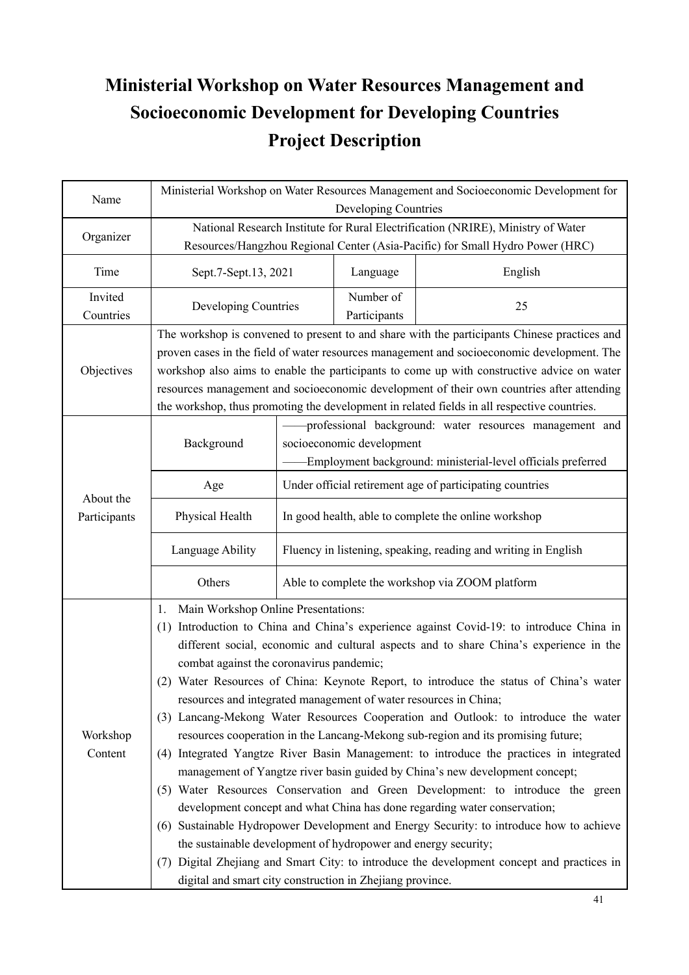# **Ministerial Workshop on Water Resources Management and Socioeconomic Development for Developing Countries Project Description**

| Name                      | Ministerial Workshop on Water Resources Management and Socioeconomic Development for<br>Developing Countries                                                                                                                                                                                                                                                                                                                                                                                                                                                                                                                                                                                                                                                                                                                                                                                                                                                                                                                                                                                                                                                                                                                                                                          |                                                                                                                                                      |                           |         |  |
|---------------------------|---------------------------------------------------------------------------------------------------------------------------------------------------------------------------------------------------------------------------------------------------------------------------------------------------------------------------------------------------------------------------------------------------------------------------------------------------------------------------------------------------------------------------------------------------------------------------------------------------------------------------------------------------------------------------------------------------------------------------------------------------------------------------------------------------------------------------------------------------------------------------------------------------------------------------------------------------------------------------------------------------------------------------------------------------------------------------------------------------------------------------------------------------------------------------------------------------------------------------------------------------------------------------------------|------------------------------------------------------------------------------------------------------------------------------------------------------|---------------------------|---------|--|
| Organizer                 | National Research Institute for Rural Electrification (NRIRE), Ministry of Water<br>Resources/Hangzhou Regional Center (Asia-Pacific) for Small Hydro Power (HRC)                                                                                                                                                                                                                                                                                                                                                                                                                                                                                                                                                                                                                                                                                                                                                                                                                                                                                                                                                                                                                                                                                                                     |                                                                                                                                                      |                           |         |  |
| Time                      | Sept.7-Sept.13, 2021                                                                                                                                                                                                                                                                                                                                                                                                                                                                                                                                                                                                                                                                                                                                                                                                                                                                                                                                                                                                                                                                                                                                                                                                                                                                  |                                                                                                                                                      | Language                  | English |  |
| Invited<br>Countries      | Developing Countries                                                                                                                                                                                                                                                                                                                                                                                                                                                                                                                                                                                                                                                                                                                                                                                                                                                                                                                                                                                                                                                                                                                                                                                                                                                                  |                                                                                                                                                      | Number of<br>Participants | 25      |  |
| Objectives                | The workshop is convened to present to and share with the participants Chinese practices and<br>proven cases in the field of water resources management and socioeconomic development. The<br>workshop also aims to enable the participants to come up with constructive advice on water<br>resources management and socioeconomic development of their own countries after attending<br>the workshop, thus promoting the development in related fields in all respective countries.                                                                                                                                                                                                                                                                                                                                                                                                                                                                                                                                                                                                                                                                                                                                                                                                  |                                                                                                                                                      |                           |         |  |
|                           | Background                                                                                                                                                                                                                                                                                                                                                                                                                                                                                                                                                                                                                                                                                                                                                                                                                                                                                                                                                                                                                                                                                                                                                                                                                                                                            | professional background: water resources management and<br>socioeconomic development<br>Employment background: ministerial-level officials preferred |                           |         |  |
|                           | Age                                                                                                                                                                                                                                                                                                                                                                                                                                                                                                                                                                                                                                                                                                                                                                                                                                                                                                                                                                                                                                                                                                                                                                                                                                                                                   | Under official retirement age of participating countries                                                                                             |                           |         |  |
| About the<br>Participants | Physical Health                                                                                                                                                                                                                                                                                                                                                                                                                                                                                                                                                                                                                                                                                                                                                                                                                                                                                                                                                                                                                                                                                                                                                                                                                                                                       | In good health, able to complete the online workshop                                                                                                 |                           |         |  |
|                           | Language Ability                                                                                                                                                                                                                                                                                                                                                                                                                                                                                                                                                                                                                                                                                                                                                                                                                                                                                                                                                                                                                                                                                                                                                                                                                                                                      | Fluency in listening, speaking, reading and writing in English                                                                                       |                           |         |  |
|                           | Others                                                                                                                                                                                                                                                                                                                                                                                                                                                                                                                                                                                                                                                                                                                                                                                                                                                                                                                                                                                                                                                                                                                                                                                                                                                                                | Able to complete the workshop via ZOOM platform                                                                                                      |                           |         |  |
| Workshop<br>Content       | Main Workshop Online Presentations:<br>1.<br>(1) Introduction to China and China's experience against Covid-19: to introduce China in<br>different social, economic and cultural aspects and to share China's experience in the<br>combat against the coronavirus pandemic;<br>(2) Water Resources of China: Keynote Report, to introduce the status of China's water<br>resources and integrated management of water resources in China;<br>(3) Lancang-Mekong Water Resources Cooperation and Outlook: to introduce the water<br>resources cooperation in the Lancang-Mekong sub-region and its promising future;<br>(4) Integrated Yangtze River Basin Management: to introduce the practices in integrated<br>management of Yangtze river basin guided by China's new development concept;<br>(5) Water Resources Conservation and Green Development: to introduce the green<br>development concept and what China has done regarding water conservation;<br>(6) Sustainable Hydropower Development and Energy Security: to introduce how to achieve<br>the sustainable development of hydropower and energy security;<br>(7) Digital Zhejiang and Smart City: to introduce the development concept and practices in<br>digital and smart city construction in Zhejiang province. |                                                                                                                                                      |                           |         |  |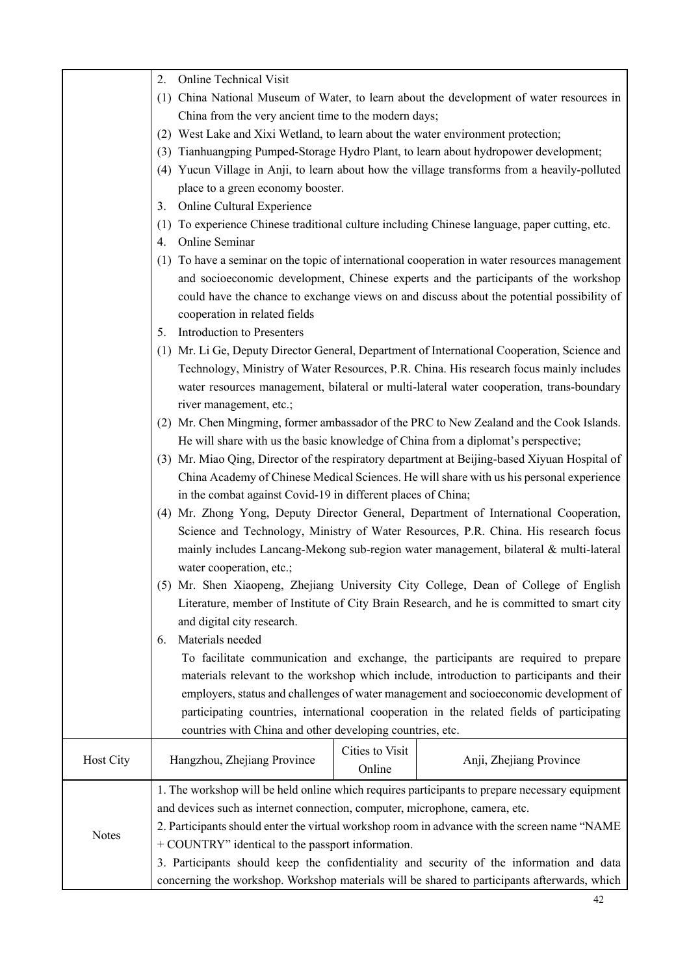|              | <b>Online Technical Visit</b><br>2.                                                            |  |  |  |
|--------------|------------------------------------------------------------------------------------------------|--|--|--|
|              | (1) China National Museum of Water, to learn about the development of water resources in       |  |  |  |
|              | China from the very ancient time to the modern days;                                           |  |  |  |
|              | (2) West Lake and Xixi Wetland, to learn about the water environment protection;               |  |  |  |
|              | (3) Tianhuangping Pumped-Storage Hydro Plant, to learn about hydropower development;           |  |  |  |
|              | (4) Yucun Village in Anji, to learn about how the village transforms from a heavily-polluted   |  |  |  |
|              | place to a green economy booster.                                                              |  |  |  |
|              | Online Cultural Experience<br>3.                                                               |  |  |  |
|              | (1) To experience Chinese traditional culture including Chinese language, paper cutting, etc.  |  |  |  |
|              | Online Seminar<br>4.                                                                           |  |  |  |
|              | (1) To have a seminar on the topic of international cooperation in water resources management  |  |  |  |
|              | and socioeconomic development, Chinese experts and the participants of the workshop            |  |  |  |
|              | could have the chance to exchange views on and discuss about the potential possibility of      |  |  |  |
|              | cooperation in related fields                                                                  |  |  |  |
|              | Introduction to Presenters<br>5.                                                               |  |  |  |
|              | (1) Mr. Li Ge, Deputy Director General, Department of International Cooperation, Science and   |  |  |  |
|              | Technology, Ministry of Water Resources, P.R. China. His research focus mainly includes        |  |  |  |
|              | water resources management, bilateral or multi-lateral water cooperation, trans-boundary       |  |  |  |
|              | river management, etc.;                                                                        |  |  |  |
|              | (2) Mr. Chen Mingming, former ambassador of the PRC to New Zealand and the Cook Islands.       |  |  |  |
|              | He will share with us the basic knowledge of China from a diplomat's perspective;              |  |  |  |
|              | (3) Mr. Miao Qing, Director of the respiratory department at Beijing-based Xiyuan Hospital of  |  |  |  |
|              | China Academy of Chinese Medical Sciences. He will share with us his personal experience       |  |  |  |
|              | in the combat against Covid-19 in different places of China;                                   |  |  |  |
|              | (4) Mr. Zhong Yong, Deputy Director General, Department of International Cooperation,          |  |  |  |
|              | Science and Technology, Ministry of Water Resources, P.R. China. His research focus            |  |  |  |
|              | mainly includes Lancang-Mekong sub-region water management, bilateral & multi-lateral          |  |  |  |
|              | water cooperation, etc.;                                                                       |  |  |  |
|              | (5) Mr. Shen Xiaopeng, Zhejiang University City College, Dean of College of English            |  |  |  |
|              | Literature, member of Institute of City Brain Research, and he is committed to smart city      |  |  |  |
|              | and digital city research.                                                                     |  |  |  |
|              | Materials needed<br>6.                                                                         |  |  |  |
|              | To facilitate communication and exchange, the participants are required to prepare             |  |  |  |
|              | materials relevant to the workshop which include, introduction to participants and their       |  |  |  |
|              | employers, status and challenges of water management and socioeconomic development of          |  |  |  |
|              | participating countries, international cooperation in the related fields of participating      |  |  |  |
|              | countries with China and other developing countries, etc.                                      |  |  |  |
|              | Cities to Visit                                                                                |  |  |  |
| Host City    | Hangzhou, Zhejiang Province<br>Anji, Zhejiang Province<br>Online                               |  |  |  |
|              | 1. The workshop will be held online which requires participants to prepare necessary equipment |  |  |  |
|              | and devices such as internet connection, computer, microphone, camera, etc.                    |  |  |  |
| <b>Notes</b> | 2. Participants should enter the virtual workshop room in advance with the screen name "NAME   |  |  |  |
|              | + COUNTRY" identical to the passport information.                                              |  |  |  |
|              | 3. Participants should keep the confidentiality and security of the information and data       |  |  |  |
|              | concerning the workshop. Workshop materials will be shared to participants afterwards, which   |  |  |  |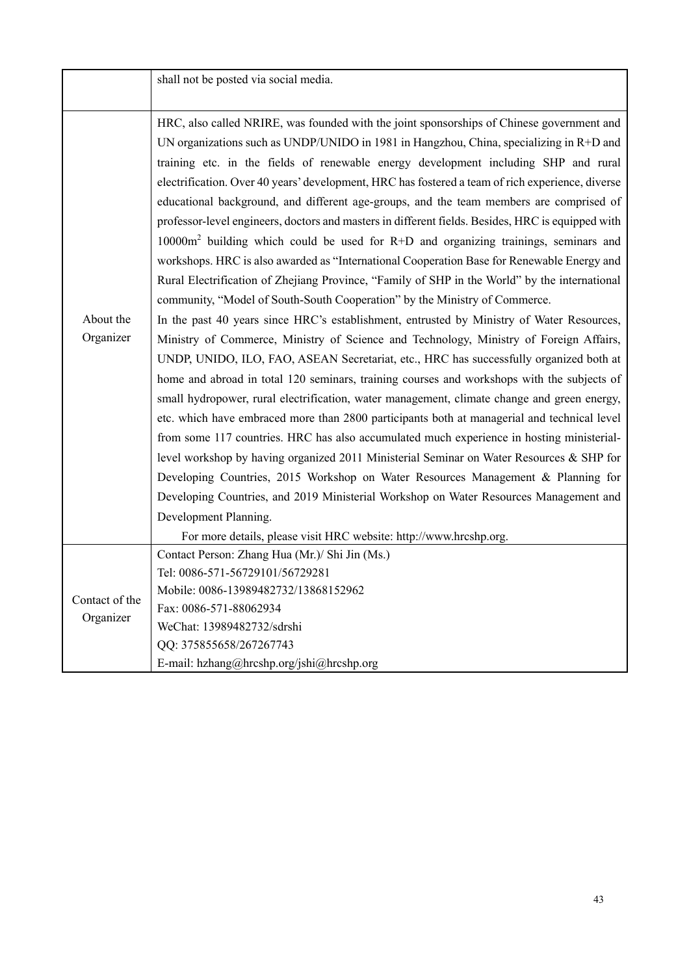|                             | shall not be posted via social media.                                                                                                                                                                                                                                                                                                                                                                                                                                                                                                                                                                                                                                                                                                                                                                                                                                                                                                                                                                                                                                                                                                                                                                                                                                                                                                                                                                                                                                                                                                                                                                                                                                                                                                                                                                                                                                                                                                                                                                     |
|-----------------------------|-----------------------------------------------------------------------------------------------------------------------------------------------------------------------------------------------------------------------------------------------------------------------------------------------------------------------------------------------------------------------------------------------------------------------------------------------------------------------------------------------------------------------------------------------------------------------------------------------------------------------------------------------------------------------------------------------------------------------------------------------------------------------------------------------------------------------------------------------------------------------------------------------------------------------------------------------------------------------------------------------------------------------------------------------------------------------------------------------------------------------------------------------------------------------------------------------------------------------------------------------------------------------------------------------------------------------------------------------------------------------------------------------------------------------------------------------------------------------------------------------------------------------------------------------------------------------------------------------------------------------------------------------------------------------------------------------------------------------------------------------------------------------------------------------------------------------------------------------------------------------------------------------------------------------------------------------------------------------------------------------------------|
| About the<br>Organizer      | HRC, also called NRIRE, was founded with the joint sponsorships of Chinese government and<br>UN organizations such as UNDP/UNIDO in 1981 in Hangzhou, China, specializing in $R+D$ and<br>training etc. in the fields of renewable energy development including SHP and rural<br>electrification. Over 40 years' development, HRC has fostered a team of rich experience, diverse<br>educational background, and different age-groups, and the team members are comprised of<br>professor-level engineers, doctors and masters in different fields. Besides, HRC is equipped with<br>$10000m2$ building which could be used for R+D and organizing trainings, seminars and<br>workshops. HRC is also awarded as "International Cooperation Base for Renewable Energy and<br>Rural Electrification of Zhejiang Province, "Family of SHP in the World" by the international<br>community, "Model of South-South Cooperation" by the Ministry of Commerce.<br>In the past 40 years since HRC's establishment, entrusted by Ministry of Water Resources,<br>Ministry of Commerce, Ministry of Science and Technology, Ministry of Foreign Affairs,<br>UNDP, UNIDO, ILO, FAO, ASEAN Secretariat, etc., HRC has successfully organized both at<br>home and abroad in total 120 seminars, training courses and workshops with the subjects of<br>small hydropower, rural electrification, water management, climate change and green energy,<br>etc. which have embraced more than 2800 participants both at managerial and technical level<br>from some 117 countries. HRC has also accumulated much experience in hosting ministerial-<br>level workshop by having organized 2011 Ministerial Seminar on Water Resources & SHP for<br>Developing Countries, 2015 Workshop on Water Resources Management & Planning for<br>Developing Countries, and 2019 Ministerial Workshop on Water Resources Management and<br>Development Planning.<br>For more details, please visit HRC website: http://www.hrcshp.org. |
| Contact of the<br>Organizer | Contact Person: Zhang Hua (Mr.)/ Shi Jin (Ms.)<br>Tel: 0086-571-56729101/56729281<br>Mobile: 0086-13989482732/13868152962<br>Fax: 0086-571-88062934<br>WeChat: 13989482732/sdrshi<br>QQ: 375855658/267267743<br>E-mail: hzhang@hrcshp.org/jshi@hrcshp.org                                                                                                                                                                                                                                                                                                                                                                                                                                                                                                                                                                                                                                                                                                                                                                                                                                                                                                                                                                                                                                                                                                                                                                                                                                                                                                                                                                                                                                                                                                                                                                                                                                                                                                                                                 |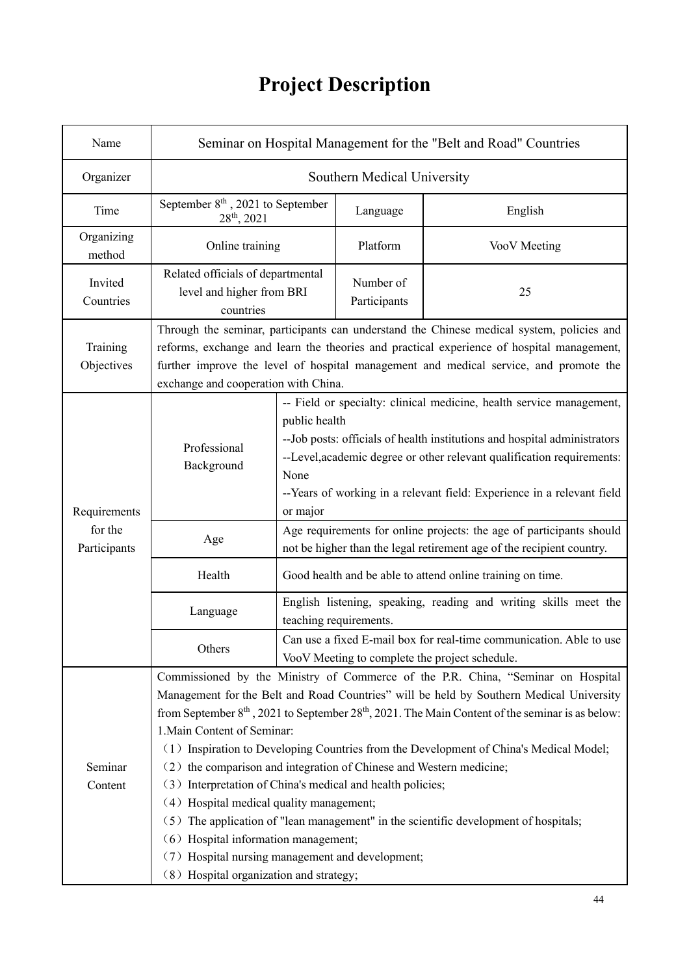# **Project Description**

| Name                    | Seminar on Hospital Management for the "Belt and Road" Countries                                                                                                                                                                                                                                                                                                                                                                                                                                                                                                                                                                                                                                                                                                                                                                                  |                                                                                                                                                                                                                                                                                                                                             |                           |              |
|-------------------------|---------------------------------------------------------------------------------------------------------------------------------------------------------------------------------------------------------------------------------------------------------------------------------------------------------------------------------------------------------------------------------------------------------------------------------------------------------------------------------------------------------------------------------------------------------------------------------------------------------------------------------------------------------------------------------------------------------------------------------------------------------------------------------------------------------------------------------------------------|---------------------------------------------------------------------------------------------------------------------------------------------------------------------------------------------------------------------------------------------------------------------------------------------------------------------------------------------|---------------------------|--------------|
| Organizer               | Southern Medical University                                                                                                                                                                                                                                                                                                                                                                                                                                                                                                                                                                                                                                                                                                                                                                                                                       |                                                                                                                                                                                                                                                                                                                                             |                           |              |
| Time                    | September $8th$ , 2021 to September<br>$28th$ , 2021                                                                                                                                                                                                                                                                                                                                                                                                                                                                                                                                                                                                                                                                                                                                                                                              |                                                                                                                                                                                                                                                                                                                                             | Language                  | English      |
| Organizing<br>method    | Online training                                                                                                                                                                                                                                                                                                                                                                                                                                                                                                                                                                                                                                                                                                                                                                                                                                   |                                                                                                                                                                                                                                                                                                                                             | Platform                  | VooV Meeting |
| Invited<br>Countries    | Related officials of departmental<br>level and higher from BRI<br>countries                                                                                                                                                                                                                                                                                                                                                                                                                                                                                                                                                                                                                                                                                                                                                                       |                                                                                                                                                                                                                                                                                                                                             | Number of<br>Participants | 25           |
| Training<br>Objectives  | Through the seminar, participants can understand the Chinese medical system, policies and<br>reforms, exchange and learn the theories and practical experience of hospital management,<br>further improve the level of hospital management and medical service, and promote the<br>exchange and cooperation with China.                                                                                                                                                                                                                                                                                                                                                                                                                                                                                                                           |                                                                                                                                                                                                                                                                                                                                             |                           |              |
| Requirements            | Professional<br>Background                                                                                                                                                                                                                                                                                                                                                                                                                                                                                                                                                                                                                                                                                                                                                                                                                        | -- Field or specialty: clinical medicine, health service management,<br>public health<br>-- Job posts: officials of health institutions and hospital administrators<br>--Level, academic degree or other relevant qualification requirements:<br>None<br>--Years of working in a relevant field: Experience in a relevant field<br>or major |                           |              |
| for the<br>Participants | Age                                                                                                                                                                                                                                                                                                                                                                                                                                                                                                                                                                                                                                                                                                                                                                                                                                               | Age requirements for online projects: the age of participants should<br>not be higher than the legal retirement age of the recipient country.                                                                                                                                                                                               |                           |              |
|                         | Health                                                                                                                                                                                                                                                                                                                                                                                                                                                                                                                                                                                                                                                                                                                                                                                                                                            | Good health and be able to attend online training on time.                                                                                                                                                                                                                                                                                  |                           |              |
|                         | Language                                                                                                                                                                                                                                                                                                                                                                                                                                                                                                                                                                                                                                                                                                                                                                                                                                          | English listening, speaking, reading and writing skills meet the<br>teaching requirements.                                                                                                                                                                                                                                                  |                           |              |
|                         | Others                                                                                                                                                                                                                                                                                                                                                                                                                                                                                                                                                                                                                                                                                                                                                                                                                                            | Can use a fixed E-mail box for real-time communication. Able to use<br>VooV Meeting to complete the project schedule.                                                                                                                                                                                                                       |                           |              |
| Seminar<br>Content      | Commissioned by the Ministry of Commerce of the P.R. China, "Seminar on Hospital<br>Management for the Belt and Road Countries" will be held by Southern Medical University<br>from September $8^{\text{th}}$ , 2021 to September 2 $8^{\text{th}}$ , 2021. The Main Content of the seminar is as below:<br>1. Main Content of Seminar:<br>(1) Inspiration to Developing Countries from the Development of China's Medical Model;<br>(2) the comparison and integration of Chinese and Western medicine;<br>(3) Interpretation of China's medical and health policies;<br>(4) Hospital medical quality management;<br>(5) The application of "lean management" in the scientific development of hospitals;<br>(6) Hospital information management;<br>(7) Hospital nursing management and development;<br>(8) Hospital organization and strategy; |                                                                                                                                                                                                                                                                                                                                             |                           |              |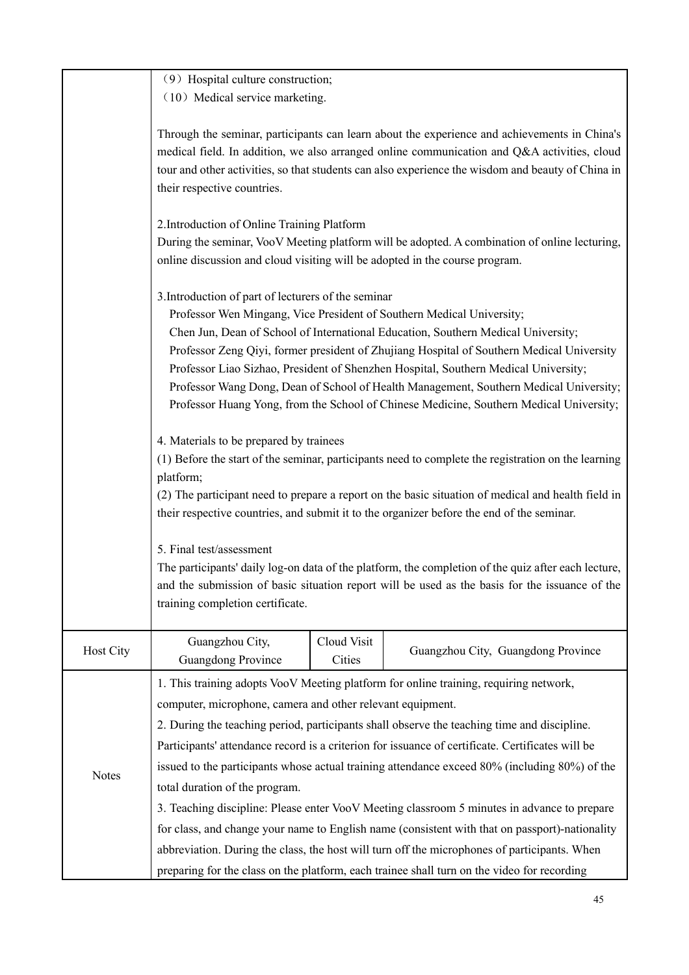|              | (9) Hospital culture construction;                                                                                                                                                                           |                       |                                                                                                                                                                                                                                                                                                  |  |  |  |
|--------------|--------------------------------------------------------------------------------------------------------------------------------------------------------------------------------------------------------------|-----------------------|--------------------------------------------------------------------------------------------------------------------------------------------------------------------------------------------------------------------------------------------------------------------------------------------------|--|--|--|
|              | (10) Medical service marketing.                                                                                                                                                                              |                       |                                                                                                                                                                                                                                                                                                  |  |  |  |
|              | their respective countries.                                                                                                                                                                                  |                       | Through the seminar, participants can learn about the experience and achievements in China's<br>medical field. In addition, we also arranged online communication and Q&A activities, cloud<br>tour and other activities, so that students can also experience the wisdom and beauty of China in |  |  |  |
|              | 2. Introduction of Online Training Platform                                                                                                                                                                  |                       |                                                                                                                                                                                                                                                                                                  |  |  |  |
|              |                                                                                                                                                                                                              |                       | During the seminar, VooV Meeting platform will be adopted. A combination of online lecturing,                                                                                                                                                                                                    |  |  |  |
|              | online discussion and cloud visiting will be adopted in the course program.                                                                                                                                  |                       |                                                                                                                                                                                                                                                                                                  |  |  |  |
|              |                                                                                                                                                                                                              |                       |                                                                                                                                                                                                                                                                                                  |  |  |  |
|              | 3. Introduction of part of lecturers of the seminar<br>Professor Wen Mingang, Vice President of Southern Medical University;                                                                                 |                       |                                                                                                                                                                                                                                                                                                  |  |  |  |
|              |                                                                                                                                                                                                              |                       | Chen Jun, Dean of School of International Education, Southern Medical University;                                                                                                                                                                                                                |  |  |  |
|              |                                                                                                                                                                                                              |                       | Professor Zeng Qiyi, former president of Zhujiang Hospital of Southern Medical University                                                                                                                                                                                                        |  |  |  |
|              |                                                                                                                                                                                                              |                       | Professor Liao Sizhao, President of Shenzhen Hospital, Southern Medical University;                                                                                                                                                                                                              |  |  |  |
|              |                                                                                                                                                                                                              |                       | Professor Wang Dong, Dean of School of Health Management, Southern Medical University;                                                                                                                                                                                                           |  |  |  |
|              |                                                                                                                                                                                                              |                       | Professor Huang Yong, from the School of Chinese Medicine, Southern Medical University;                                                                                                                                                                                                          |  |  |  |
|              | 4. Materials to be prepared by trainees                                                                                                                                                                      |                       |                                                                                                                                                                                                                                                                                                  |  |  |  |
|              |                                                                                                                                                                                                              |                       | (1) Before the start of the seminar, participants need to complete the registration on the learning                                                                                                                                                                                              |  |  |  |
|              | platform;<br>(2) The participant need to prepare a report on the basic situation of medical and health field in<br>their respective countries, and submit it to the organizer before the end of the seminar. |                       |                                                                                                                                                                                                                                                                                                  |  |  |  |
|              |                                                                                                                                                                                                              |                       |                                                                                                                                                                                                                                                                                                  |  |  |  |
|              |                                                                                                                                                                                                              |                       |                                                                                                                                                                                                                                                                                                  |  |  |  |
|              | 5. Final test/assessment                                                                                                                                                                                     |                       |                                                                                                                                                                                                                                                                                                  |  |  |  |
|              |                                                                                                                                                                                                              |                       | The participants' daily log-on data of the platform, the completion of the quiz after each lecture,                                                                                                                                                                                              |  |  |  |
|              |                                                                                                                                                                                                              |                       | and the submission of basic situation report will be used as the basis for the issuance of the                                                                                                                                                                                                   |  |  |  |
|              | training completion certificate.                                                                                                                                                                             |                       |                                                                                                                                                                                                                                                                                                  |  |  |  |
|              |                                                                                                                                                                                                              |                       |                                                                                                                                                                                                                                                                                                  |  |  |  |
| Host City    | Guangzhou City,<br>Guangdong Province                                                                                                                                                                        | Cloud Visit<br>Cities | Guangzhou City, Guangdong Province                                                                                                                                                                                                                                                               |  |  |  |
|              |                                                                                                                                                                                                              |                       | 1. This training adopts VooV Meeting platform for online training, requiring network,                                                                                                                                                                                                            |  |  |  |
|              | computer, microphone, camera and other relevant equipment.                                                                                                                                                   |                       |                                                                                                                                                                                                                                                                                                  |  |  |  |
|              | 2. During the teaching period, participants shall observe the teaching time and discipline.                                                                                                                  |                       |                                                                                                                                                                                                                                                                                                  |  |  |  |
|              |                                                                                                                                                                                                              |                       | Participants' attendance record is a criterion for issuance of certificate. Certificates will be                                                                                                                                                                                                 |  |  |  |
| <b>Notes</b> |                                                                                                                                                                                                              |                       | issued to the participants whose actual training attendance exceed 80% (including 80%) of the                                                                                                                                                                                                    |  |  |  |
|              | total duration of the program.                                                                                                                                                                               |                       |                                                                                                                                                                                                                                                                                                  |  |  |  |
|              |                                                                                                                                                                                                              |                       | 3. Teaching discipline: Please enter VooV Meeting classroom 5 minutes in advance to prepare                                                                                                                                                                                                      |  |  |  |
|              |                                                                                                                                                                                                              |                       | for class, and change your name to English name (consistent with that on passport)-nationality                                                                                                                                                                                                   |  |  |  |
|              |                                                                                                                                                                                                              |                       | abbreviation. During the class, the host will turn off the microphones of participants. When                                                                                                                                                                                                     |  |  |  |
|              | preparing for the class on the platform, each trainee shall turn on the video for recording                                                                                                                  |                       |                                                                                                                                                                                                                                                                                                  |  |  |  |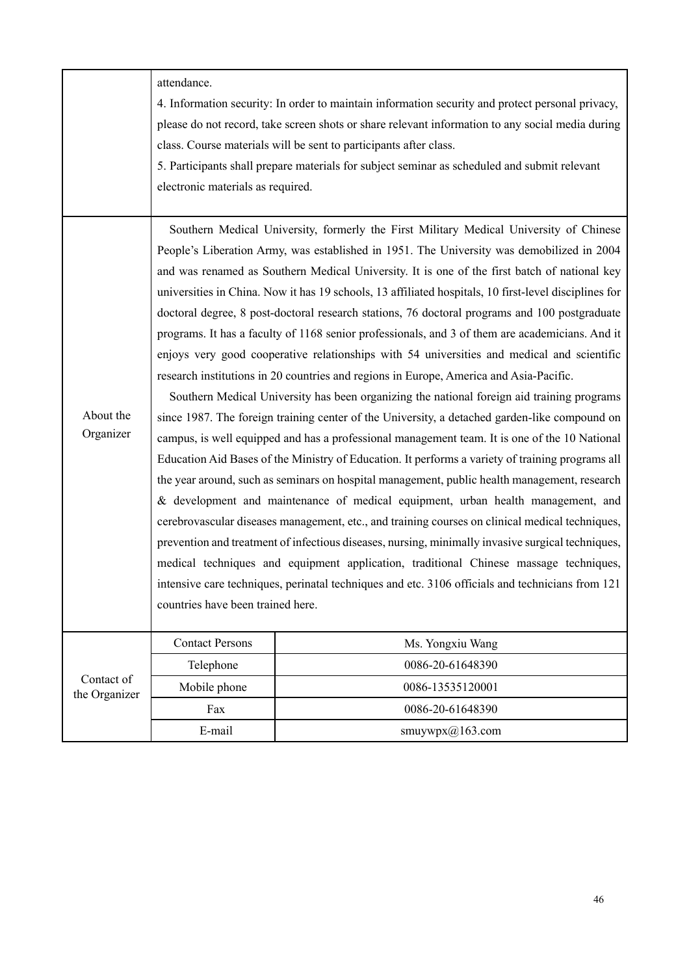|                             | attendance.<br>electronic materials as required. | 4. Information security: In order to maintain information security and protect personal privacy,<br>please do not record, take screen shots or share relevant information to any social media during<br>class. Course materials will be sent to participants after class.<br>5. Participants shall prepare materials for subject seminar as scheduled and submit relevant                                                                                                                                                                                                                                                                                                                                                                                                                                                                                                                                                                                                                                                                                                                                                                                                                                                                                                                                                                                                                                                                                                                                                                                                                                                                                                                                                                                                             |
|-----------------------------|--------------------------------------------------|---------------------------------------------------------------------------------------------------------------------------------------------------------------------------------------------------------------------------------------------------------------------------------------------------------------------------------------------------------------------------------------------------------------------------------------------------------------------------------------------------------------------------------------------------------------------------------------------------------------------------------------------------------------------------------------------------------------------------------------------------------------------------------------------------------------------------------------------------------------------------------------------------------------------------------------------------------------------------------------------------------------------------------------------------------------------------------------------------------------------------------------------------------------------------------------------------------------------------------------------------------------------------------------------------------------------------------------------------------------------------------------------------------------------------------------------------------------------------------------------------------------------------------------------------------------------------------------------------------------------------------------------------------------------------------------------------------------------------------------------------------------------------------------|
| About the<br>Organizer      | countries have been trained here.                | Southern Medical University, formerly the First Military Medical University of Chinese<br>People's Liberation Army, was established in 1951. The University was demobilized in 2004<br>and was renamed as Southern Medical University. It is one of the first batch of national key<br>universities in China. Now it has 19 schools, 13 affiliated hospitals, 10 first-level disciplines for<br>doctoral degree, 8 post-doctoral research stations, 76 doctoral programs and 100 postgraduate<br>programs. It has a faculty of 1168 senior professionals, and 3 of them are academicians. And it<br>enjoys very good cooperative relationships with 54 universities and medical and scientific<br>research institutions in 20 countries and regions in Europe, America and Asia-Pacific.<br>Southern Medical University has been organizing the national foreign aid training programs<br>since 1987. The foreign training center of the University, a detached garden-like compound on<br>campus, is well equipped and has a professional management team. It is one of the 10 National<br>Education Aid Bases of the Ministry of Education. It performs a variety of training programs all<br>the year around, such as seminars on hospital management, public health management, research<br>& development and maintenance of medical equipment, urban health management, and<br>cerebrovascular diseases management, etc., and training courses on clinical medical techniques,<br>prevention and treatment of infectious diseases, nursing, minimally invasive surgical techniques,<br>medical techniques and equipment application, traditional Chinese massage techniques,<br>intensive care techniques, perinatal techniques and etc. 3106 officials and technicians from 121 |
|                             | <b>Contact Persons</b>                           | Ms. Yongxiu Wang                                                                                                                                                                                                                                                                                                                                                                                                                                                                                                                                                                                                                                                                                                                                                                                                                                                                                                                                                                                                                                                                                                                                                                                                                                                                                                                                                                                                                                                                                                                                                                                                                                                                                                                                                                      |
|                             | Telephone                                        | 0086-20-61648390                                                                                                                                                                                                                                                                                                                                                                                                                                                                                                                                                                                                                                                                                                                                                                                                                                                                                                                                                                                                                                                                                                                                                                                                                                                                                                                                                                                                                                                                                                                                                                                                                                                                                                                                                                      |
| Contact of<br>the Organizer | Mobile phone                                     | 0086-13535120001                                                                                                                                                                                                                                                                                                                                                                                                                                                                                                                                                                                                                                                                                                                                                                                                                                                                                                                                                                                                                                                                                                                                                                                                                                                                                                                                                                                                                                                                                                                                                                                                                                                                                                                                                                      |
|                             | Fax                                              | 0086-20-61648390                                                                                                                                                                                                                                                                                                                                                                                                                                                                                                                                                                                                                                                                                                                                                                                                                                                                                                                                                                                                                                                                                                                                                                                                                                                                                                                                                                                                                                                                                                                                                                                                                                                                                                                                                                      |
|                             | E-mail                                           | smuywpx@163.com                                                                                                                                                                                                                                                                                                                                                                                                                                                                                                                                                                                                                                                                                                                                                                                                                                                                                                                                                                                                                                                                                                                                                                                                                                                                                                                                                                                                                                                                                                                                                                                                                                                                                                                                                                       |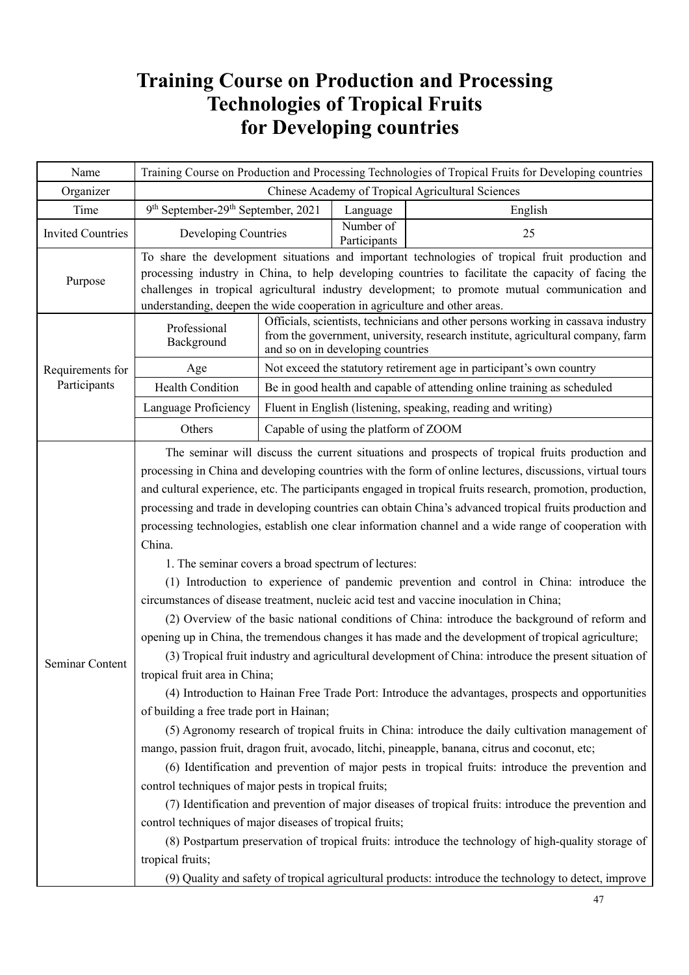### **Training Course on Production and Processing Technologies of Tropical Fruits for Developing countries**

| Name                     | Training Course on Production and Processing Technologies of Tropical Fruits for Developing countries                                                                                                                                                                                                                                                                                 |  |                                       |                                                                                                                                                                                                                                                                                                                                                                                                                                                                                                                                                                                                                                                                                                                                                                                                                                                                                                                                                                                                                                                                                                                                                                                                                                                                                                                                                                                                                                                                                                                                                                                                                                                                                                                                                                                                     |
|--------------------------|---------------------------------------------------------------------------------------------------------------------------------------------------------------------------------------------------------------------------------------------------------------------------------------------------------------------------------------------------------------------------------------|--|---------------------------------------|-----------------------------------------------------------------------------------------------------------------------------------------------------------------------------------------------------------------------------------------------------------------------------------------------------------------------------------------------------------------------------------------------------------------------------------------------------------------------------------------------------------------------------------------------------------------------------------------------------------------------------------------------------------------------------------------------------------------------------------------------------------------------------------------------------------------------------------------------------------------------------------------------------------------------------------------------------------------------------------------------------------------------------------------------------------------------------------------------------------------------------------------------------------------------------------------------------------------------------------------------------------------------------------------------------------------------------------------------------------------------------------------------------------------------------------------------------------------------------------------------------------------------------------------------------------------------------------------------------------------------------------------------------------------------------------------------------------------------------------------------------------------------------------------------------|
| Organizer                | Chinese Academy of Tropical Agricultural Sciences                                                                                                                                                                                                                                                                                                                                     |  |                                       |                                                                                                                                                                                                                                                                                                                                                                                                                                                                                                                                                                                                                                                                                                                                                                                                                                                                                                                                                                                                                                                                                                                                                                                                                                                                                                                                                                                                                                                                                                                                                                                                                                                                                                                                                                                                     |
| Time                     | 9 <sup>th</sup> September-29 <sup>th</sup> September, 2021                                                                                                                                                                                                                                                                                                                            |  | Language                              | English                                                                                                                                                                                                                                                                                                                                                                                                                                                                                                                                                                                                                                                                                                                                                                                                                                                                                                                                                                                                                                                                                                                                                                                                                                                                                                                                                                                                                                                                                                                                                                                                                                                                                                                                                                                             |
| <b>Invited Countries</b> | Developing Countries                                                                                                                                                                                                                                                                                                                                                                  |  | Number of<br>Participants             | 25                                                                                                                                                                                                                                                                                                                                                                                                                                                                                                                                                                                                                                                                                                                                                                                                                                                                                                                                                                                                                                                                                                                                                                                                                                                                                                                                                                                                                                                                                                                                                                                                                                                                                                                                                                                                  |
| Purpose                  | To share the development situations and important technologies of tropical fruit production and<br>processing industry in China, to help developing countries to facilitate the capacity of facing the<br>challenges in tropical agricultural industry development; to promote mutual communication and<br>understanding, deepen the wide cooperation in agriculture and other areas. |  |                                       |                                                                                                                                                                                                                                                                                                                                                                                                                                                                                                                                                                                                                                                                                                                                                                                                                                                                                                                                                                                                                                                                                                                                                                                                                                                                                                                                                                                                                                                                                                                                                                                                                                                                                                                                                                                                     |
|                          | Professional<br>Background                                                                                                                                                                                                                                                                                                                                                            |  | and so on in developing countries     | Officials, scientists, technicians and other persons working in cassava industry<br>from the government, university, research institute, agricultural company, farm                                                                                                                                                                                                                                                                                                                                                                                                                                                                                                                                                                                                                                                                                                                                                                                                                                                                                                                                                                                                                                                                                                                                                                                                                                                                                                                                                                                                                                                                                                                                                                                                                                 |
| Requirements for         | Age                                                                                                                                                                                                                                                                                                                                                                                   |  |                                       | Not exceed the statutory retirement age in participant's own country                                                                                                                                                                                                                                                                                                                                                                                                                                                                                                                                                                                                                                                                                                                                                                                                                                                                                                                                                                                                                                                                                                                                                                                                                                                                                                                                                                                                                                                                                                                                                                                                                                                                                                                                |
| Participants             | <b>Health Condition</b>                                                                                                                                                                                                                                                                                                                                                               |  |                                       | Be in good health and capable of attending online training as scheduled                                                                                                                                                                                                                                                                                                                                                                                                                                                                                                                                                                                                                                                                                                                                                                                                                                                                                                                                                                                                                                                                                                                                                                                                                                                                                                                                                                                                                                                                                                                                                                                                                                                                                                                             |
|                          | Language Proficiency                                                                                                                                                                                                                                                                                                                                                                  |  |                                       | Fluent in English (listening, speaking, reading and writing)                                                                                                                                                                                                                                                                                                                                                                                                                                                                                                                                                                                                                                                                                                                                                                                                                                                                                                                                                                                                                                                                                                                                                                                                                                                                                                                                                                                                                                                                                                                                                                                                                                                                                                                                        |
|                          | Others                                                                                                                                                                                                                                                                                                                                                                                |  | Capable of using the platform of ZOOM |                                                                                                                                                                                                                                                                                                                                                                                                                                                                                                                                                                                                                                                                                                                                                                                                                                                                                                                                                                                                                                                                                                                                                                                                                                                                                                                                                                                                                                                                                                                                                                                                                                                                                                                                                                                                     |
| Seminar Content          | China.<br>1. The seminar covers a broad spectrum of lectures:<br>tropical fruit area in China;<br>of building a free trade port in Hainan;<br>control techniques of major pests in tropical fruits;<br>control techniques of major diseases of tropical fruits;<br>tropical fruits;                                                                                                   |  |                                       | The seminar will discuss the current situations and prospects of tropical fruits production and<br>processing in China and developing countries with the form of online lectures, discussions, virtual tours<br>and cultural experience, etc. The participants engaged in tropical fruits research, promotion, production,<br>processing and trade in developing countries can obtain China's advanced tropical fruits production and<br>processing technologies, establish one clear information channel and a wide range of cooperation with<br>(1) Introduction to experience of pandemic prevention and control in China: introduce the<br>circumstances of disease treatment, nucleic acid test and vaccine inoculation in China;<br>(2) Overview of the basic national conditions of China: introduce the background of reform and<br>opening up in China, the tremendous changes it has made and the development of tropical agriculture;<br>(3) Tropical fruit industry and agricultural development of China: introduce the present situation of<br>(4) Introduction to Hainan Free Trade Port: Introduce the advantages, prospects and opportunities<br>(5) Agronomy research of tropical fruits in China: introduce the daily cultivation management of<br>mango, passion fruit, dragon fruit, avocado, litchi, pineapple, banana, citrus and coconut, etc;<br>(6) Identification and prevention of major pests in tropical fruits: introduce the prevention and<br>(7) Identification and prevention of major diseases of tropical fruits: introduce the prevention and<br>(8) Postpartum preservation of tropical fruits: introduce the technology of high-quality storage of<br>(9) Quality and safety of tropical agricultural products: introduce the technology to detect, improve |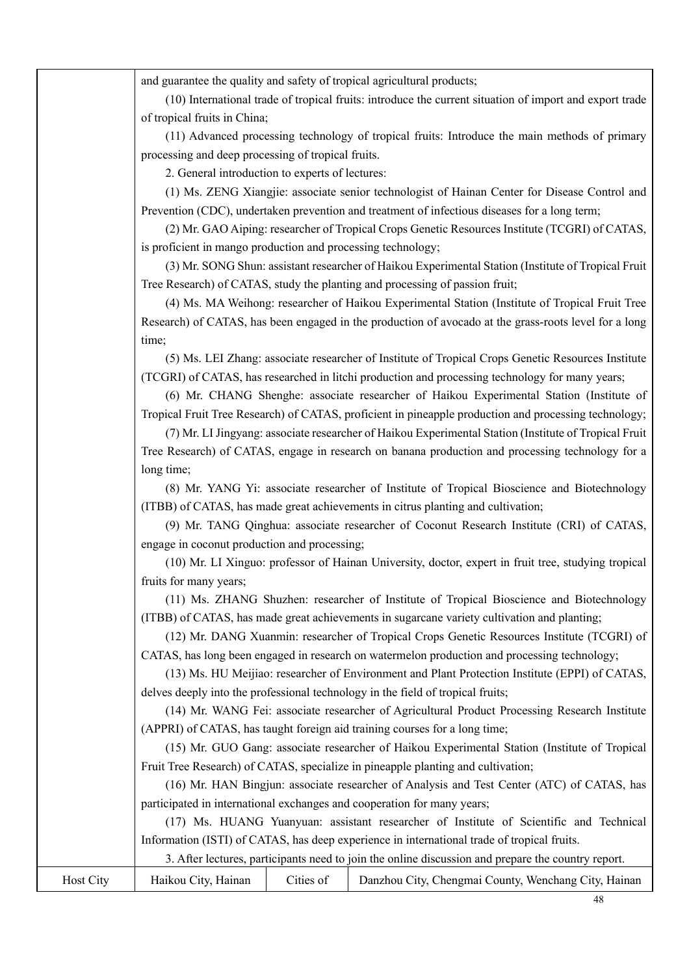and guarantee the quality and safety of tropical agricultural products;

(10) International trade of tropical fruits: introduce the current situation of import and export trade of tropical fruits in China;

(11) Advanced processing technology of tropical fruits: Introduce the main methods of primary processing and deep processing of tropical fruits.

2. General introduction to experts of lectures:

(1) Ms. ZENG Xiangjie: associate senior technologist of Hainan Center for Disease Control and Prevention (CDC), undertaken prevention and treatment of infectious diseases for a long term;

(2) Mr. GAO Aiping: researcher of Tropical Crops Genetic Resources Institute (TCGRI) of CATAS, is proficient in mango production and processing technology;

(3) Mr. SONG Shun: assistant researcher of Haikou Experimental Station (Institute of Tropical Fruit Tree Research) of CATAS, study the planting and processing of passion fruit;

(4) Ms. MA Weihong: researcher of Haikou Experimental Station (Institute of Tropical Fruit Tree Research) of CATAS, has been engaged in the production of avocado at the grass-roots level for a long time;

(5) Ms. LEI Zhang: associate researcher of Institute of Tropical Crops Genetic Resources Institute (TCGRI) of CATAS, has researched in litchi production and processing technology for many years;

(6) Mr. CHANG Shenghe: associate researcher of Haikou Experimental Station (Institute of Tropical Fruit Tree Research) of CATAS, proficient in pineapple production and processing technology;

(7) Mr. LI Jingyang: associate researcher of Haikou Experimental Station (Institute of Tropical Fruit Tree Research) of CATAS, engage in research on banana production and processing technology for a long time;

(8) Mr. YANG Yi: associate researcher of Institute of Tropical Bioscience and Biotechnology (ITBB) of CATAS, has made great achievements in citrus planting and cultivation;

(9) Mr. TANG Qinghua: associate researcher of Coconut Research Institute (CRI) of CATAS, engage in coconut production and processing;

(10) Mr. LI Xinguo: professor of Hainan University, doctor, expert in fruit tree, studying tropical fruits for many years;

(11) Ms. ZHANG Shuzhen: researcher of Institute of Tropical Bioscience and Biotechnology (ITBB) of CATAS, has made great achievements in sugarcane variety cultivation and planting;

(12) Mr. DANG Xuanmin: researcher of Tropical Crops Genetic Resources Institute (TCGRI) of CATAS, has long been engaged in research on watermelon production and processing technology;

(13) Ms. HU Meijiao: researcher of Environment and Plant Protection Institute (EPPI) of CATAS, delves deeply into the professional technology in the field of tropical fruits;

(14) Mr. WANG Fei: associate researcher of Agricultural Product Processing Research Institute (APPRI) of CATAS, has taught foreign aid training courses for a long time;

(15) Mr. GUO Gang: associate researcher of Haikou Experimental Station (Institute of Tropical Fruit Tree Research) of CATAS, specialize in pineapple planting and cultivation;

(16) Mr. HAN Bingjun: associate researcher of Analysis and Test Center (ATC) of CATAS, has participated in international exchanges and cooperation for many years;

(17) Ms. HUANG Yuanyuan: assistant researcher of Institute of Scientific and Technical Information (ISTI) of CATAS, has deep experience in international trade of tropical fruits.

| . After lectures, participants need to join the online discussion and prepare the country report. |  |  |  |
|---------------------------------------------------------------------------------------------------|--|--|--|
|                                                                                                   |  |  |  |

| Host City | Haikou City, Hainan |  | Cities of Danzhou City, Chengmai County, Wenchang City, Hainan |
|-----------|---------------------|--|----------------------------------------------------------------|
|-----------|---------------------|--|----------------------------------------------------------------|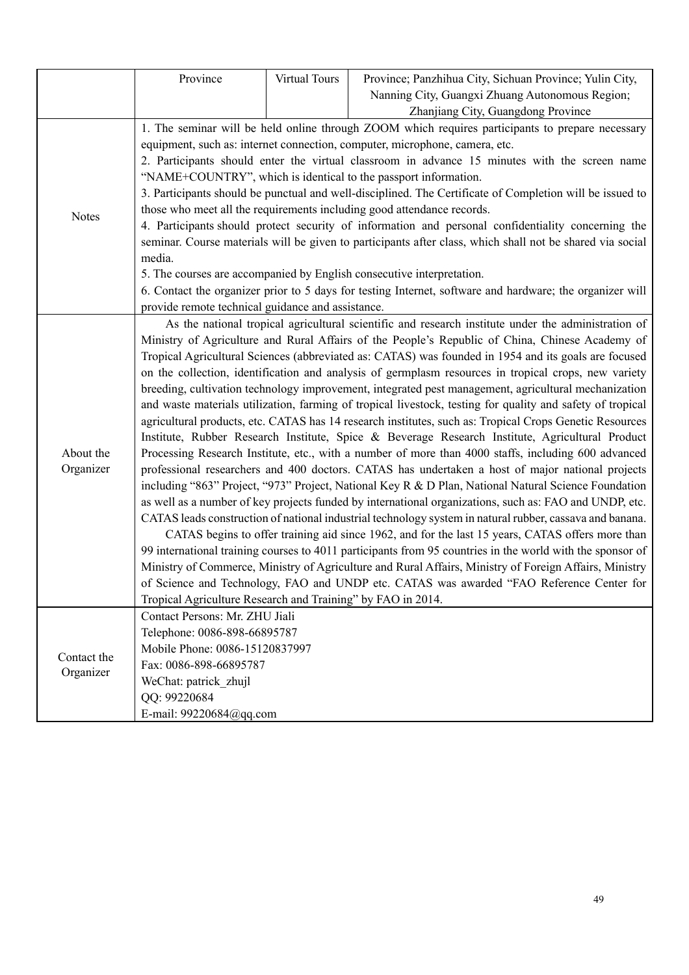|              | Province                                                                                                                                                                                                       | Virtual Tours | Province; Panzhihua City, Sichuan Province; Yulin City,                                                   |  |  |  |
|--------------|----------------------------------------------------------------------------------------------------------------------------------------------------------------------------------------------------------------|---------------|-----------------------------------------------------------------------------------------------------------|--|--|--|
|              |                                                                                                                                                                                                                |               | Nanning City, Guangxi Zhuang Autonomous Region;                                                           |  |  |  |
|              |                                                                                                                                                                                                                |               | Zhanjiang City, Guangdong Province                                                                        |  |  |  |
|              |                                                                                                                                                                                                                |               | 1. The seminar will be held online through ZOOM which requires participants to prepare necessary          |  |  |  |
|              |                                                                                                                                                                                                                |               | equipment, such as: internet connection, computer, microphone, camera, etc.                               |  |  |  |
|              |                                                                                                                                                                                                                |               | 2. Participants should enter the virtual classroom in advance 15 minutes with the screen name             |  |  |  |
|              |                                                                                                                                                                                                                |               | "NAME+COUNTRY", which is identical to the passport information.                                           |  |  |  |
|              |                                                                                                                                                                                                                |               | 3. Participants should be punctual and well-disciplined. The Certificate of Completion will be issued to  |  |  |  |
| <b>Notes</b> |                                                                                                                                                                                                                |               | those who meet all the requirements including good attendance records.                                    |  |  |  |
|              |                                                                                                                                                                                                                |               | 4. Participants should protect security of information and personal confidentiality concerning the        |  |  |  |
|              |                                                                                                                                                                                                                |               | seminar. Course materials will be given to participants after class, which shall not be shared via social |  |  |  |
|              | media.                                                                                                                                                                                                         |               |                                                                                                           |  |  |  |
|              |                                                                                                                                                                                                                |               | 5. The courses are accompanied by English consecutive interpretation.                                     |  |  |  |
|              |                                                                                                                                                                                                                |               | 6. Contact the organizer prior to 5 days for testing Internet, software and hardware; the organizer will  |  |  |  |
|              | provide remote technical guidance and assistance.                                                                                                                                                              |               |                                                                                                           |  |  |  |
|              |                                                                                                                                                                                                                |               | As the national tropical agricultural scientific and research institute under the administration of       |  |  |  |
|              | Ministry of Agriculture and Rural Affairs of the People's Republic of China, Chinese Academy of                                                                                                                |               |                                                                                                           |  |  |  |
|              | Tropical Agricultural Sciences (abbreviated as: CATAS) was founded in 1954 and its goals are focused                                                                                                           |               |                                                                                                           |  |  |  |
|              | on the collection, identification and analysis of germplasm resources in tropical crops, new variety                                                                                                           |               |                                                                                                           |  |  |  |
|              | breeding, cultivation technology improvement, integrated pest management, agricultural mechanization                                                                                                           |               |                                                                                                           |  |  |  |
|              | and waste materials utilization, farming of tropical livestock, testing for quality and safety of tropical                                                                                                     |               |                                                                                                           |  |  |  |
|              | agricultural products, etc. CATAS has 14 research institutes, such as: Tropical Crops Genetic Resources                                                                                                        |               |                                                                                                           |  |  |  |
| About the    | Institute, Rubber Research Institute, Spice & Beverage Research Institute, Agricultural Product<br>Processing Research Institute, etc., with a number of more than 4000 staffs, including 600 advanced         |               |                                                                                                           |  |  |  |
| Organizer    |                                                                                                                                                                                                                |               |                                                                                                           |  |  |  |
|              | professional researchers and 400 doctors. CATAS has undertaken a host of major national projects                                                                                                               |               |                                                                                                           |  |  |  |
|              | including "863" Project, "973" Project, National Key R & D Plan, National Natural Science Foundation<br>as well as a number of key projects funded by international organizations, such as: FAO and UNDP, etc. |               |                                                                                                           |  |  |  |
|              |                                                                                                                                                                                                                |               |                                                                                                           |  |  |  |
|              | CATAS leads construction of national industrial technology system in natural rubber, cassava and banana.<br>CATAS begins to offer training aid since 1962, and for the last 15 years, CATAS offers more than   |               |                                                                                                           |  |  |  |
|              | 99 international training courses to 4011 participants from 95 countries in the world with the sponsor of                                                                                                      |               |                                                                                                           |  |  |  |
|              | Ministry of Commerce, Ministry of Agriculture and Rural Affairs, Ministry of Foreign Affairs, Ministry                                                                                                         |               |                                                                                                           |  |  |  |
|              |                                                                                                                                                                                                                |               | of Science and Technology, FAO and UNDP etc. CATAS was awarded "FAO Reference Center for                  |  |  |  |
|              | Tropical Agriculture Research and Training" by FAO in 2014.                                                                                                                                                    |               |                                                                                                           |  |  |  |
|              | Contact Persons: Mr. ZHU Jiali                                                                                                                                                                                 |               |                                                                                                           |  |  |  |
|              | Telephone: 0086-898-66895787                                                                                                                                                                                   |               |                                                                                                           |  |  |  |
|              | Mobile Phone: 0086-15120837997                                                                                                                                                                                 |               |                                                                                                           |  |  |  |
| Contact the  | Fax: 0086-898-66895787                                                                                                                                                                                         |               |                                                                                                           |  |  |  |
| Organizer    | WeChat: patrick zhujl                                                                                                                                                                                          |               |                                                                                                           |  |  |  |
|              | QQ: 99220684                                                                                                                                                                                                   |               |                                                                                                           |  |  |  |
|              | E-mail: 99220684@qq.com                                                                                                                                                                                        |               |                                                                                                           |  |  |  |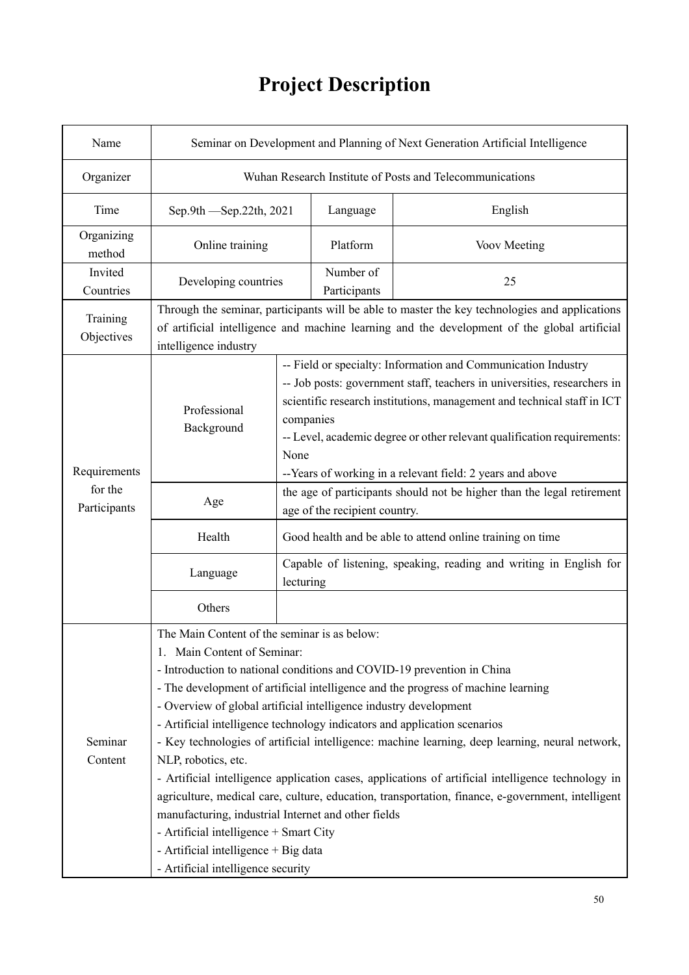# **Project Description**

| Name                    | Seminar on Development and Planning of Next Generation Artificial Intelligence                                                                                                                                                                                                                                                                                                                                                                                                                                                                                                                                                                                                                                                                                                                                                                                                                                   |                                                                                                                                                                                                                                                                                                                                                                                   |                                                                                                         |                                                                                                                                                                                                |  |  |  |
|-------------------------|------------------------------------------------------------------------------------------------------------------------------------------------------------------------------------------------------------------------------------------------------------------------------------------------------------------------------------------------------------------------------------------------------------------------------------------------------------------------------------------------------------------------------------------------------------------------------------------------------------------------------------------------------------------------------------------------------------------------------------------------------------------------------------------------------------------------------------------------------------------------------------------------------------------|-----------------------------------------------------------------------------------------------------------------------------------------------------------------------------------------------------------------------------------------------------------------------------------------------------------------------------------------------------------------------------------|---------------------------------------------------------------------------------------------------------|------------------------------------------------------------------------------------------------------------------------------------------------------------------------------------------------|--|--|--|
| Organizer               |                                                                                                                                                                                                                                                                                                                                                                                                                                                                                                                                                                                                                                                                                                                                                                                                                                                                                                                  | Wuhan Research Institute of Posts and Telecommunications                                                                                                                                                                                                                                                                                                                          |                                                                                                         |                                                                                                                                                                                                |  |  |  |
| Time                    | Sep.9th - Sep.22th, 2021                                                                                                                                                                                                                                                                                                                                                                                                                                                                                                                                                                                                                                                                                                                                                                                                                                                                                         |                                                                                                                                                                                                                                                                                                                                                                                   | Language                                                                                                | English                                                                                                                                                                                        |  |  |  |
| Organizing<br>method    | Online training                                                                                                                                                                                                                                                                                                                                                                                                                                                                                                                                                                                                                                                                                                                                                                                                                                                                                                  |                                                                                                                                                                                                                                                                                                                                                                                   | Platform                                                                                                | Voov Meeting                                                                                                                                                                                   |  |  |  |
| Invited<br>Countries    | Developing countries                                                                                                                                                                                                                                                                                                                                                                                                                                                                                                                                                                                                                                                                                                                                                                                                                                                                                             |                                                                                                                                                                                                                                                                                                                                                                                   | Number of<br>Participants                                                                               | 25                                                                                                                                                                                             |  |  |  |
| Training<br>Objectives  | intelligence industry                                                                                                                                                                                                                                                                                                                                                                                                                                                                                                                                                                                                                                                                                                                                                                                                                                                                                            |                                                                                                                                                                                                                                                                                                                                                                                   |                                                                                                         | Through the seminar, participants will be able to master the key technologies and applications<br>of artificial intelligence and machine learning and the development of the global artificial |  |  |  |
| Requirements            | Professional<br>Background                                                                                                                                                                                                                                                                                                                                                                                                                                                                                                                                                                                                                                                                                                                                                                                                                                                                                       | -- Field or specialty: Information and Communication Industry<br>-- Job posts: government staff, teachers in universities, researchers in<br>scientific research institutions, management and technical staff in ICT<br>companies<br>-- Level, academic degree or other relevant qualification requirements:<br>None<br>--Years of working in a relevant field: 2 years and above |                                                                                                         |                                                                                                                                                                                                |  |  |  |
| for the<br>Participants | Age                                                                                                                                                                                                                                                                                                                                                                                                                                                                                                                                                                                                                                                                                                                                                                                                                                                                                                              |                                                                                                                                                                                                                                                                                                                                                                                   | the age of participants should not be higher than the legal retirement<br>age of the recipient country. |                                                                                                                                                                                                |  |  |  |
|                         | Health                                                                                                                                                                                                                                                                                                                                                                                                                                                                                                                                                                                                                                                                                                                                                                                                                                                                                                           | Good health and be able to attend online training on time                                                                                                                                                                                                                                                                                                                         |                                                                                                         |                                                                                                                                                                                                |  |  |  |
|                         | Language                                                                                                                                                                                                                                                                                                                                                                                                                                                                                                                                                                                                                                                                                                                                                                                                                                                                                                         | Capable of listening, speaking, reading and writing in English for<br>lecturing                                                                                                                                                                                                                                                                                                   |                                                                                                         |                                                                                                                                                                                                |  |  |  |
|                         | Others                                                                                                                                                                                                                                                                                                                                                                                                                                                                                                                                                                                                                                                                                                                                                                                                                                                                                                           |                                                                                                                                                                                                                                                                                                                                                                                   |                                                                                                         |                                                                                                                                                                                                |  |  |  |
| Seminar<br>Content      | The Main Content of the seminar is as below:<br>1. Main Content of Seminar:<br>- Introduction to national conditions and COVID-19 prevention in China<br>- The development of artificial intelligence and the progress of machine learning<br>- Overview of global artificial intelligence industry development<br>- Artificial intelligence technology indicators and application scenarios<br>- Key technologies of artificial intelligence: machine learning, deep learning, neural network,<br>NLP, robotics, etc.<br>- Artificial intelligence application cases, applications of artificial intelligence technology in<br>agriculture, medical care, culture, education, transportation, finance, e-government, intelligent<br>manufacturing, industrial Internet and other fields<br>- Artificial intelligence + Smart City<br>- Artificial intelligence + Big data<br>- Artificial intelligence security |                                                                                                                                                                                                                                                                                                                                                                                   |                                                                                                         |                                                                                                                                                                                                |  |  |  |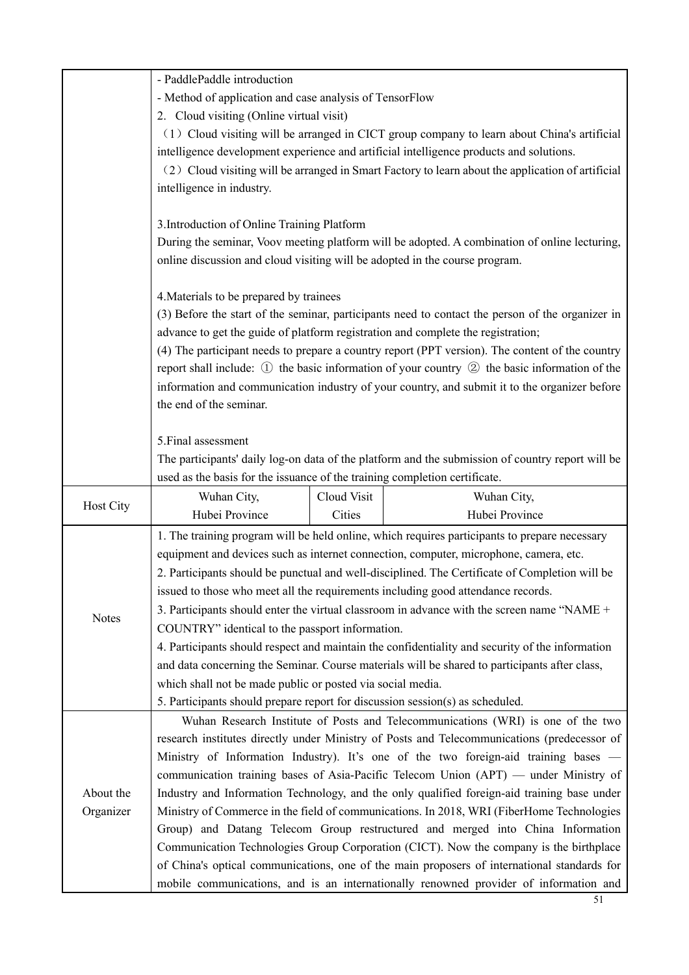|              | - PaddlePaddle introduction                                                                    |             |                                                                                                            |  |  |  |
|--------------|------------------------------------------------------------------------------------------------|-------------|------------------------------------------------------------------------------------------------------------|--|--|--|
|              | - Method of application and case analysis of TensorFlow                                        |             |                                                                                                            |  |  |  |
|              | 2. Cloud visiting (Online virtual visit)                                                       |             |                                                                                                            |  |  |  |
|              | (1) Cloud visiting will be arranged in CICT group company to learn about China's artificial    |             |                                                                                                            |  |  |  |
|              |                                                                                                |             | intelligence development experience and artificial intelligence products and solutions.                    |  |  |  |
|              |                                                                                                |             | (2) Cloud visiting will be arranged in Smart Factory to learn about the application of artificial          |  |  |  |
|              | intelligence in industry.                                                                      |             |                                                                                                            |  |  |  |
|              |                                                                                                |             |                                                                                                            |  |  |  |
|              | 3. Introduction of Online Training Platform                                                    |             |                                                                                                            |  |  |  |
|              |                                                                                                |             | During the seminar, Voov meeting platform will be adopted. A combination of online lecturing,              |  |  |  |
|              | online discussion and cloud visiting will be adopted in the course program.                    |             |                                                                                                            |  |  |  |
|              | 4. Materials to be prepared by trainees                                                        |             |                                                                                                            |  |  |  |
|              |                                                                                                |             | (3) Before the start of the seminar, participants need to contact the person of the organizer in           |  |  |  |
|              |                                                                                                |             | advance to get the guide of platform registration and complete the registration;                           |  |  |  |
|              |                                                                                                |             | (4) The participant needs to prepare a country report (PPT version). The content of the country            |  |  |  |
|              |                                                                                                |             | report shall include: $\Omega$ the basic information of your country $\Omega$ the basic information of the |  |  |  |
|              |                                                                                                |             | information and communication industry of your country, and submit it to the organizer before              |  |  |  |
|              | the end of the seminar.                                                                        |             |                                                                                                            |  |  |  |
|              |                                                                                                |             |                                                                                                            |  |  |  |
|              | 5. Final assessment                                                                            |             |                                                                                                            |  |  |  |
|              |                                                                                                |             | The participants' daily log-on data of the platform and the submission of country report will be           |  |  |  |
|              | used as the basis for the issuance of the training completion certificate.                     |             |                                                                                                            |  |  |  |
| Host City    | Wuhan City,                                                                                    | Cloud Visit | Wuhan City,                                                                                                |  |  |  |
|              | Hubei Province                                                                                 | Cities      | Hubei Province                                                                                             |  |  |  |
|              |                                                                                                |             | 1. The training program will be held online, which requires participants to prepare necessary              |  |  |  |
|              | equipment and devices such as internet connection, computer, microphone, camera, etc.          |             |                                                                                                            |  |  |  |
|              | 2. Participants should be punctual and well-disciplined. The Certificate of Completion will be |             |                                                                                                            |  |  |  |
|              | issued to those who meet all the requirements including good attendance records.               |             |                                                                                                            |  |  |  |
| <b>Notes</b> | 3. Participants should enter the virtual classroom in advance with the screen name "NAME +     |             |                                                                                                            |  |  |  |
|              | COUNTRY" identical to the passport information.                                                |             |                                                                                                            |  |  |  |
|              |                                                                                                |             | 4. Participants should respect and maintain the confidentiality and security of the information            |  |  |  |
|              | and data concerning the Seminar. Course materials will be shared to participants after class,  |             |                                                                                                            |  |  |  |
|              | which shall not be made public or posted via social media.                                     |             |                                                                                                            |  |  |  |
|              | 5. Participants should prepare report for discussion session(s) as scheduled.                  |             |                                                                                                            |  |  |  |
|              |                                                                                                |             | Wuhan Research Institute of Posts and Telecommunications (WRI) is one of the two                           |  |  |  |
|              | research institutes directly under Ministry of Posts and Telecommunications (predecessor of    |             |                                                                                                            |  |  |  |
|              |                                                                                                |             | Ministry of Information Industry). It's one of the two foreign-aid training bases -                        |  |  |  |
|              |                                                                                                |             | communication training bases of Asia-Pacific Telecom Union (APT) — under Ministry of                       |  |  |  |
| About the    |                                                                                                |             | Industry and Information Technology, and the only qualified foreign-aid training base under                |  |  |  |
| Organizer    |                                                                                                |             | Ministry of Commerce in the field of communications. In 2018, WRI (FiberHome Technologies                  |  |  |  |
|              |                                                                                                |             | Group) and Datang Telecom Group restructured and merged into China Information                             |  |  |  |
|              |                                                                                                |             | Communication Technologies Group Corporation (CICT). Now the company is the birthplace                     |  |  |  |
|              |                                                                                                |             | of China's optical communications, one of the main proposers of international standards for                |  |  |  |
|              |                                                                                                |             | mobile communications, and is an internationally renowned provider of information and                      |  |  |  |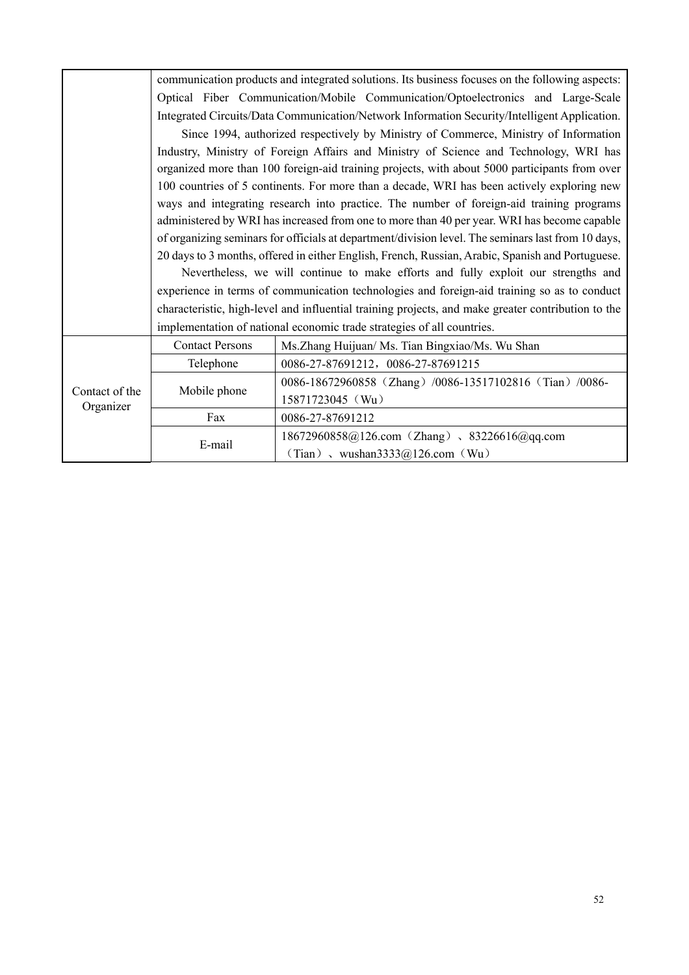|                | communication products and integrated solutions. Its business focuses on the following aspects:                                                                                                                                                                                         |                                                                                                    |  |  |  |
|----------------|-----------------------------------------------------------------------------------------------------------------------------------------------------------------------------------------------------------------------------------------------------------------------------------------|----------------------------------------------------------------------------------------------------|--|--|--|
|                |                                                                                                                                                                                                                                                                                         | Optical Fiber Communication/Mobile Communication/Optoelectronics and Large-Scale                   |  |  |  |
|                |                                                                                                                                                                                                                                                                                         | Integrated Circuits/Data Communication/Network Information Security/Intelligent Application.       |  |  |  |
|                | Since 1994, authorized respectively by Ministry of Commerce, Ministry of Information<br>Industry, Ministry of Foreign Affairs and Ministry of Science and Technology, WRI has                                                                                                           |                                                                                                    |  |  |  |
|                |                                                                                                                                                                                                                                                                                         |                                                                                                    |  |  |  |
|                | organized more than 100 foreign-aid training projects, with about 5000 participants from over<br>100 countries of 5 continents. For more than a decade, WRI has been actively exploring new<br>ways and integrating research into practice. The number of foreign-aid training programs |                                                                                                    |  |  |  |
|                |                                                                                                                                                                                                                                                                                         |                                                                                                    |  |  |  |
|                |                                                                                                                                                                                                                                                                                         |                                                                                                    |  |  |  |
|                | administered by WRI has increased from one to more than 40 per year. WRI has become capable                                                                                                                                                                                             |                                                                                                    |  |  |  |
|                | of organizing seminars for officials at department/division level. The seminars last from 10 days,                                                                                                                                                                                      |                                                                                                    |  |  |  |
|                |                                                                                                                                                                                                                                                                                         | 20 days to 3 months, offered in either English, French, Russian, Arabic, Spanish and Portuguese.   |  |  |  |
|                |                                                                                                                                                                                                                                                                                         | Nevertheless, we will continue to make efforts and fully exploit our strengths and                 |  |  |  |
|                |                                                                                                                                                                                                                                                                                         | experience in terms of communication technologies and foreign-aid training so as to conduct        |  |  |  |
|                |                                                                                                                                                                                                                                                                                         | characteristic, high-level and influential training projects, and make greater contribution to the |  |  |  |
|                |                                                                                                                                                                                                                                                                                         | implementation of national economic trade strategies of all countries.                             |  |  |  |
|                | <b>Contact Persons</b>                                                                                                                                                                                                                                                                  | Ms.Zhang Huijuan/ Ms. Tian Bingxiao/Ms. Wu Shan                                                    |  |  |  |
|                | Telephone                                                                                                                                                                                                                                                                               | 0086-27-87691212, 0086-27-87691215                                                                 |  |  |  |
| Contact of the | Mobile phone                                                                                                                                                                                                                                                                            | 0086-18672960858 (Zhang) /0086-13517102816 (Tian) /0086-                                           |  |  |  |
| Organizer      |                                                                                                                                                                                                                                                                                         | 15871723045 (Wu)                                                                                   |  |  |  |
|                | Fax                                                                                                                                                                                                                                                                                     | 0086-27-87691212                                                                                   |  |  |  |
|                | E-mail                                                                                                                                                                                                                                                                                  | 18672960858@126.com (Zhang) 、83226616@qq.com                                                       |  |  |  |
|                |                                                                                                                                                                                                                                                                                         | (Tian), wushan3333@126.com (Wu)                                                                    |  |  |  |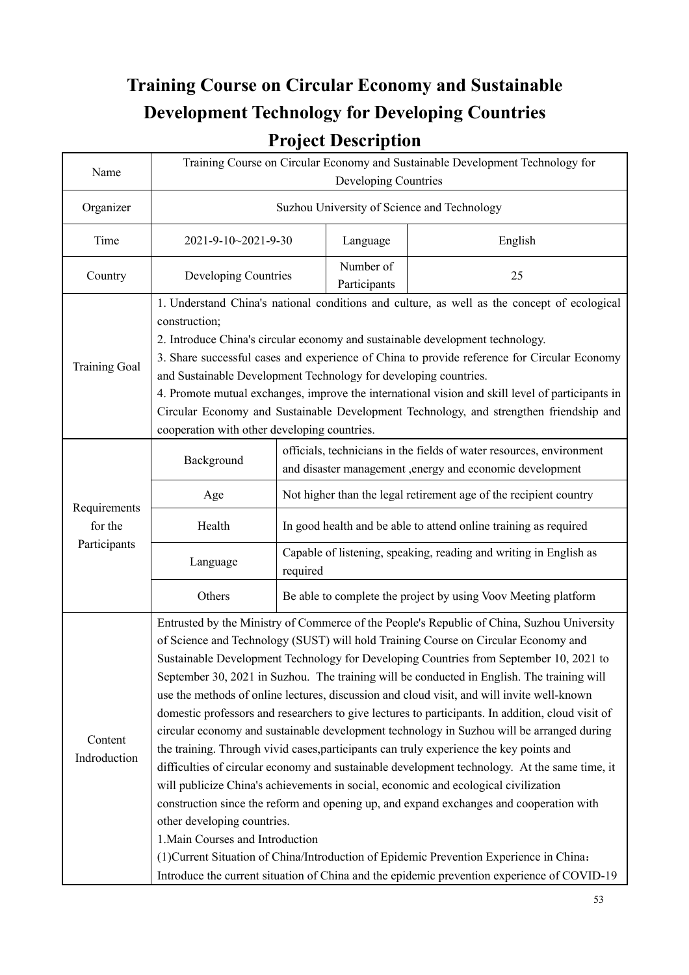## **Training Course on Circular Economy and Sustainable Development Technology for Developing Countries Project Description**

| Name                    | Training Course on Circular Economy and Sustainable Development Technology for<br>Developing Countries                                                                                                                                                                                                                                                                                                                                                                                                                                                                                                                                                                                                                                                                                                                                                                                                                                                                                                                                                                                                                                                                                                                                                                                                              |                                                                                                                                   |                           |                                                                   |  |  |
|-------------------------|---------------------------------------------------------------------------------------------------------------------------------------------------------------------------------------------------------------------------------------------------------------------------------------------------------------------------------------------------------------------------------------------------------------------------------------------------------------------------------------------------------------------------------------------------------------------------------------------------------------------------------------------------------------------------------------------------------------------------------------------------------------------------------------------------------------------------------------------------------------------------------------------------------------------------------------------------------------------------------------------------------------------------------------------------------------------------------------------------------------------------------------------------------------------------------------------------------------------------------------------------------------------------------------------------------------------|-----------------------------------------------------------------------------------------------------------------------------------|---------------------------|-------------------------------------------------------------------|--|--|
| Organizer               |                                                                                                                                                                                                                                                                                                                                                                                                                                                                                                                                                                                                                                                                                                                                                                                                                                                                                                                                                                                                                                                                                                                                                                                                                                                                                                                     |                                                                                                                                   |                           | Suzhou University of Science and Technology                       |  |  |
| Time                    | 2021-9-10~2021-9-30                                                                                                                                                                                                                                                                                                                                                                                                                                                                                                                                                                                                                                                                                                                                                                                                                                                                                                                                                                                                                                                                                                                                                                                                                                                                                                 |                                                                                                                                   | Language                  | English                                                           |  |  |
| Country                 | Developing Countries                                                                                                                                                                                                                                                                                                                                                                                                                                                                                                                                                                                                                                                                                                                                                                                                                                                                                                                                                                                                                                                                                                                                                                                                                                                                                                |                                                                                                                                   | Number of<br>Participants | 25                                                                |  |  |
| <b>Training Goal</b>    | 1. Understand China's national conditions and culture, as well as the concept of ecological<br>construction;<br>2. Introduce China's circular economy and sustainable development technology.<br>3. Share successful cases and experience of China to provide reference for Circular Economy<br>and Sustainable Development Technology for developing countries.<br>4. Promote mutual exchanges, improve the international vision and skill level of participants in<br>Circular Economy and Sustainable Development Technology, and strengthen friendship and<br>cooperation with other developing countries.                                                                                                                                                                                                                                                                                                                                                                                                                                                                                                                                                                                                                                                                                                      |                                                                                                                                   |                           |                                                                   |  |  |
|                         | Background                                                                                                                                                                                                                                                                                                                                                                                                                                                                                                                                                                                                                                                                                                                                                                                                                                                                                                                                                                                                                                                                                                                                                                                                                                                                                                          | officials, technicians in the fields of water resources, environment<br>and disaster management , energy and economic development |                           |                                                                   |  |  |
| Requirements            | Age                                                                                                                                                                                                                                                                                                                                                                                                                                                                                                                                                                                                                                                                                                                                                                                                                                                                                                                                                                                                                                                                                                                                                                                                                                                                                                                 |                                                                                                                                   |                           | Not higher than the legal retirement age of the recipient country |  |  |
| for the                 | Health                                                                                                                                                                                                                                                                                                                                                                                                                                                                                                                                                                                                                                                                                                                                                                                                                                                                                                                                                                                                                                                                                                                                                                                                                                                                                                              | In good health and be able to attend online training as required                                                                  |                           |                                                                   |  |  |
| Participants            | Language                                                                                                                                                                                                                                                                                                                                                                                                                                                                                                                                                                                                                                                                                                                                                                                                                                                                                                                                                                                                                                                                                                                                                                                                                                                                                                            | Capable of listening, speaking, reading and writing in English as<br>required                                                     |                           |                                                                   |  |  |
|                         | Others                                                                                                                                                                                                                                                                                                                                                                                                                                                                                                                                                                                                                                                                                                                                                                                                                                                                                                                                                                                                                                                                                                                                                                                                                                                                                                              |                                                                                                                                   |                           | Be able to complete the project by using Voov Meeting platform    |  |  |
| Content<br>Indroduction | Entrusted by the Ministry of Commerce of the People's Republic of China, Suzhou University<br>of Science and Technology (SUST) will hold Training Course on Circular Economy and<br>Sustainable Development Technology for Developing Countries from September 10, 2021 to<br>September 30, 2021 in Suzhou. The training will be conducted in English. The training will<br>use the methods of online lectures, discussion and cloud visit, and will invite well-known<br>domestic professors and researchers to give lectures to participants. In addition, cloud visit of<br>circular economy and sustainable development technology in Suzhou will be arranged during<br>the training. Through vivid cases, participants can truly experience the key points and<br>difficulties of circular economy and sustainable development technology. At the same time, it<br>will publicize China's achievements in social, economic and ecological civilization<br>construction since the reform and opening up, and expand exchanges and cooperation with<br>other developing countries.<br>1. Main Courses and Introduction<br>(1) Current Situation of China/Introduction of Epidemic Prevention Experience in China:<br>Introduce the current situation of China and the epidemic prevention experience of COVID-19 |                                                                                                                                   |                           |                                                                   |  |  |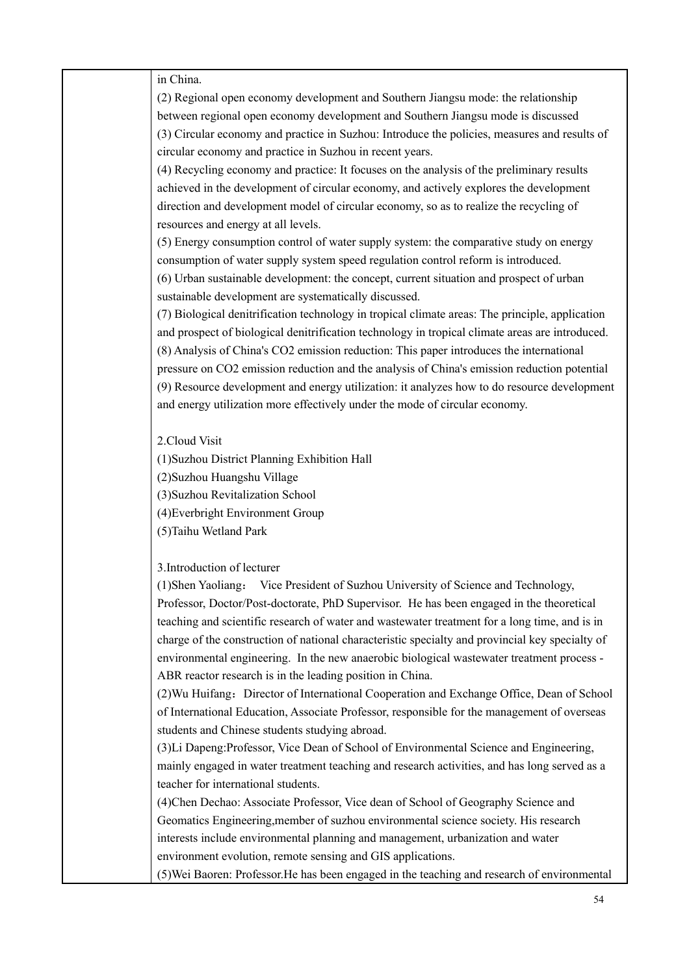in China.

(2) Regional open economy development and Southern Jiangsu mode: the relationship between regional open economy development and Southern Jiangsu mode is discussed (3) Circular economy and practice in Suzhou: Introduce the policies, measures and results of circular economy and practice in Suzhou in recent years.

(4) Recycling economy and practice: It focuses on the analysis of the preliminary results achieved in the development of circular economy, and actively explores the development direction and development model of circular economy, so as to realize the recycling of resources and energy at all levels.

(5) Energy consumption control of water supply system: the comparative study on energy consumption of water supply system speed regulation control reform is introduced. (6) Urban sustainable development: the concept, current situation and prospect of urban

sustainable development are systematically discussed.

(7) Biological denitrification technology in tropical climate areas: The principle, application and prospect of biological denitrification technology in tropical climate areas are introduced. (8) Analysis of China's CO2 emission reduction: This paper introduces the international pressure on CO2 emission reduction and the analysis of China's emission reduction potential (9) Resource development and energy utilization: it analyzes how to do resource development and energy utilization more effectively under the mode of circular economy.

2.Cloud Visit

(1)Suzhou District Planning Exhibition Hall

(2)Suzhou Huangshu Village

(3)Suzhou Revitalization School

(4)Everbright Environment Group

(5)Taihu Wetland Park

3.Introduction of lecturer

(1)Shen Yaoliang: Vice President of Suzhou University of Science and Technology, Professor, Doctor/Post-doctorate, PhD Supervisor. He has been engaged in the theoretical teaching and scientific research of water and wastewater treatment for a long time, and is in charge of the construction of national characteristic specialty and provincial key specialty of environmental engineering. In the new anaerobic biological wastewater treatment process - ABR reactor research is in the leading position in China.

(2) Wu Huifang: Director of International Cooperation and Exchange Office, Dean of School of International Education, Associate Professor, responsible for the management of overseas students and Chinese students studying abroad.

(3)Li Dapeng:Professor, Vice Dean of School of Environmental Science and Engineering, mainly engaged in water treatment teaching and research activities, and has long served as a teacher for international students.

(4)Chen Dechao: Associate Professor, Vice dean of School of Geography Science and Geomatics Engineering,member of suzhou environmental science society. His research interests include environmental planning and management, urbanization and water environment evolution, remote sensing and GIS applications.

(5)Wei Baoren: Professor.He has been engaged in the teaching and research of environmental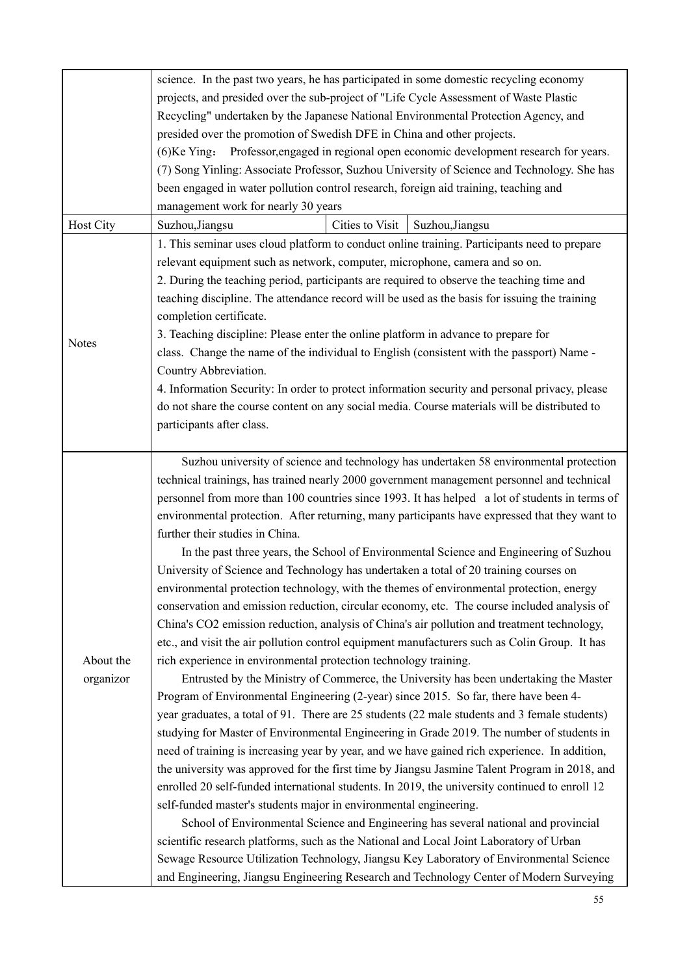|              | science. In the past two years, he has participated in some domestic recycling economy                                                                                             |                                                                                                |                                                                                                |  |  |  |  |
|--------------|------------------------------------------------------------------------------------------------------------------------------------------------------------------------------------|------------------------------------------------------------------------------------------------|------------------------------------------------------------------------------------------------|--|--|--|--|
|              | projects, and presided over the sub-project of "Life Cycle Assessment of Waste Plastic                                                                                             |                                                                                                |                                                                                                |  |  |  |  |
|              | Recycling" undertaken by the Japanese National Environmental Protection Agency, and                                                                                                |                                                                                                |                                                                                                |  |  |  |  |
|              | presided over the promotion of Swedish DFE in China and other projects.                                                                                                            |                                                                                                |                                                                                                |  |  |  |  |
|              | (6) Ke Ying: Professor, engaged in regional open economic development research for years.                                                                                          |                                                                                                |                                                                                                |  |  |  |  |
|              |                                                                                                                                                                                    |                                                                                                | (7) Song Yinling: Associate Professor, Suzhou University of Science and Technology. She has    |  |  |  |  |
|              | been engaged in water pollution control research, foreign aid training, teaching and                                                                                               |                                                                                                |                                                                                                |  |  |  |  |
|              | management work for nearly 30 years                                                                                                                                                |                                                                                                |                                                                                                |  |  |  |  |
| Host City    | Suzhou, Jiangsu                                                                                                                                                                    | Cities to Visit                                                                                | Suzhou, Jiangsu                                                                                |  |  |  |  |
|              |                                                                                                                                                                                    |                                                                                                |                                                                                                |  |  |  |  |
|              | 1. This seminar uses cloud platform to conduct online training. Participants need to prepare                                                                                       |                                                                                                |                                                                                                |  |  |  |  |
|              | relevant equipment such as network, computer, microphone, camera and so on.                                                                                                        |                                                                                                |                                                                                                |  |  |  |  |
|              | 2. During the teaching period, participants are required to observe the teaching time and                                                                                          |                                                                                                |                                                                                                |  |  |  |  |
|              | teaching discipline. The attendance record will be used as the basis for issuing the training                                                                                      |                                                                                                |                                                                                                |  |  |  |  |
|              | completion certificate.                                                                                                                                                            |                                                                                                |                                                                                                |  |  |  |  |
| <b>Notes</b> | 3. Teaching discipline: Please enter the online platform in advance to prepare for                                                                                                 |                                                                                                |                                                                                                |  |  |  |  |
|              | class. Change the name of the individual to English (consistent with the passport) Name -                                                                                          |                                                                                                |                                                                                                |  |  |  |  |
|              | Country Abbreviation.                                                                                                                                                              |                                                                                                |                                                                                                |  |  |  |  |
|              |                                                                                                                                                                                    | 4. Information Security: In order to protect information security and personal privacy, please |                                                                                                |  |  |  |  |
|              | do not share the course content on any social media. Course materials will be distributed to                                                                                       |                                                                                                |                                                                                                |  |  |  |  |
|              | participants after class.                                                                                                                                                          |                                                                                                |                                                                                                |  |  |  |  |
|              |                                                                                                                                                                                    |                                                                                                |                                                                                                |  |  |  |  |
|              |                                                                                                                                                                                    | Suzhou university of science and technology has undertaken 58 environmental protection         |                                                                                                |  |  |  |  |
|              | technical trainings, has trained nearly 2000 government management personnel and technical                                                                                         |                                                                                                |                                                                                                |  |  |  |  |
|              |                                                                                                                                                                                    |                                                                                                | personnel from more than 100 countries since 1993. It has helped a lot of students in terms of |  |  |  |  |
|              |                                                                                                                                                                                    |                                                                                                | environmental protection. After returning, many participants have expressed that they want to  |  |  |  |  |
|              | further their studies in China.                                                                                                                                                    |                                                                                                |                                                                                                |  |  |  |  |
|              |                                                                                                                                                                                    |                                                                                                | In the past three years, the School of Environmental Science and Engineering of Suzhou         |  |  |  |  |
|              | University of Science and Technology has undertaken a total of 20 training courses on                                                                                              |                                                                                                |                                                                                                |  |  |  |  |
|              | environmental protection technology, with the themes of environmental protection, energy                                                                                           |                                                                                                |                                                                                                |  |  |  |  |
|              | conservation and emission reduction, circular economy, etc. The course included analysis of                                                                                        |                                                                                                |                                                                                                |  |  |  |  |
|              | China's CO2 emission reduction, analysis of China's air pollution and treatment technology,                                                                                        |                                                                                                |                                                                                                |  |  |  |  |
|              | etc., and visit the air pollution control equipment manufacturers such as Colin Group. It has                                                                                      |                                                                                                |                                                                                                |  |  |  |  |
| About the    | rich experience in environmental protection technology training.                                                                                                                   |                                                                                                |                                                                                                |  |  |  |  |
| organizor    | Entrusted by the Ministry of Commerce, the University has been undertaking the Master                                                                                              |                                                                                                |                                                                                                |  |  |  |  |
|              | Program of Environmental Engineering (2-year) since 2015. So far, there have been 4-                                                                                               |                                                                                                |                                                                                                |  |  |  |  |
|              | year graduates, a total of 91. There are 25 students (22 male students and 3 female students)                                                                                      |                                                                                                |                                                                                                |  |  |  |  |
|              | studying for Master of Environmental Engineering in Grade 2019. The number of students in                                                                                          |                                                                                                |                                                                                                |  |  |  |  |
|              | need of training is increasing year by year, and we have gained rich experience. In addition,                                                                                      |                                                                                                |                                                                                                |  |  |  |  |
|              |                                                                                                                                                                                    |                                                                                                | the university was approved for the first time by Jiangsu Jasmine Talent Program in 2018, and  |  |  |  |  |
|              | enrolled 20 self-funded international students. In 2019, the university continued to enroll 12                                                                                     |                                                                                                |                                                                                                |  |  |  |  |
|              | self-funded master's students major in environmental engineering.                                                                                                                  |                                                                                                |                                                                                                |  |  |  |  |
|              |                                                                                                                                                                                    |                                                                                                |                                                                                                |  |  |  |  |
|              |                                                                                                                                                                                    | School of Environmental Science and Engineering has several national and provincial            |                                                                                                |  |  |  |  |
|              | scientific research platforms, such as the National and Local Joint Laboratory of Urban<br>Sewage Resource Utilization Technology, Jiangsu Key Laboratory of Environmental Science |                                                                                                |                                                                                                |  |  |  |  |
|              |                                                                                                                                                                                    |                                                                                                |                                                                                                |  |  |  |  |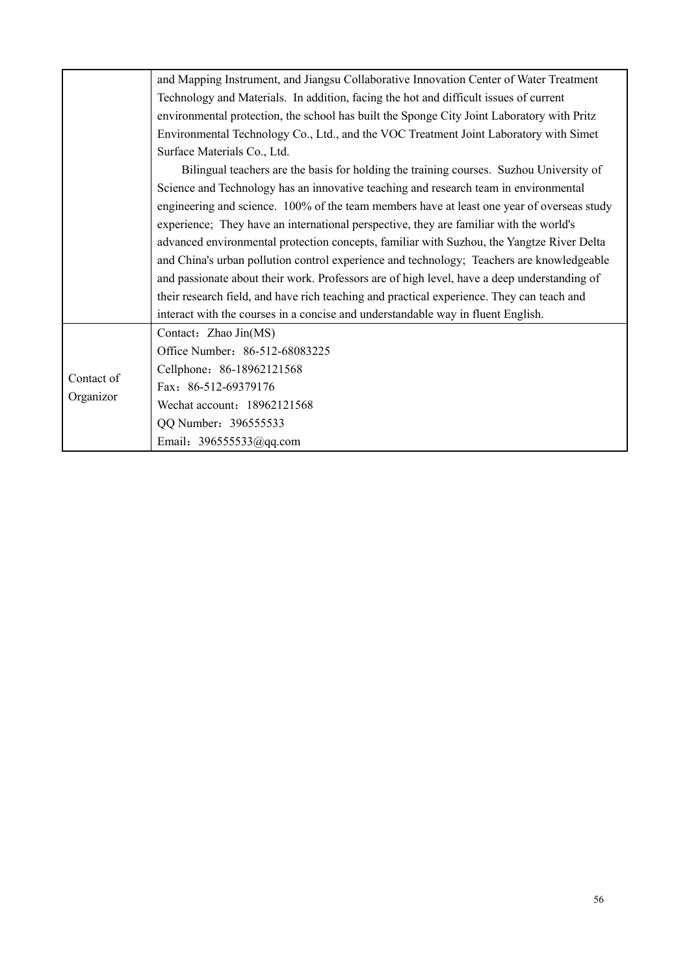|            | and Mapping Instrument, and Jiangsu Collaborative Innovation Center of Water Treatment      |  |  |  |  |
|------------|---------------------------------------------------------------------------------------------|--|--|--|--|
|            | Technology and Materials. In addition, facing the hot and difficult issues of current       |  |  |  |  |
|            | environmental protection, the school has built the Sponge City Joint Laboratory with Pritz  |  |  |  |  |
|            | Environmental Technology Co., Ltd., and the VOC Treatment Joint Laboratory with Simet       |  |  |  |  |
|            | Surface Materials Co., Ltd.                                                                 |  |  |  |  |
|            | Bilingual teachers are the basis for holding the training courses. Suzhou University of     |  |  |  |  |
|            | Science and Technology has an innovative teaching and research team in environmental        |  |  |  |  |
|            | engineering and science. 100% of the team members have at least one year of overseas study  |  |  |  |  |
|            | experience; They have an international perspective, they are familiar with the world's      |  |  |  |  |
|            | advanced environmental protection concepts, familiar with Suzhou, the Yangtze River Delta   |  |  |  |  |
|            | and China's urban pollution control experience and technology; Teachers are knowledgeable   |  |  |  |  |
|            | and passionate about their work. Professors are of high level, have a deep understanding of |  |  |  |  |
|            | their research field, and have rich teaching and practical experience. They can teach and   |  |  |  |  |
|            | interact with the courses in a concise and understandable way in fluent English.            |  |  |  |  |
|            | Contact: Zhao Jin(MS)                                                                       |  |  |  |  |
|            | Office Number: 86-512-68083225                                                              |  |  |  |  |
| Contact of | Cellphone: 86-18962121568                                                                   |  |  |  |  |
| Organizor  | Fax: 86-512-69379176                                                                        |  |  |  |  |
|            | Wechat account: 18962121568                                                                 |  |  |  |  |
|            | QQ Number: 396555533                                                                        |  |  |  |  |
|            | Email: 396555533@qq.com                                                                     |  |  |  |  |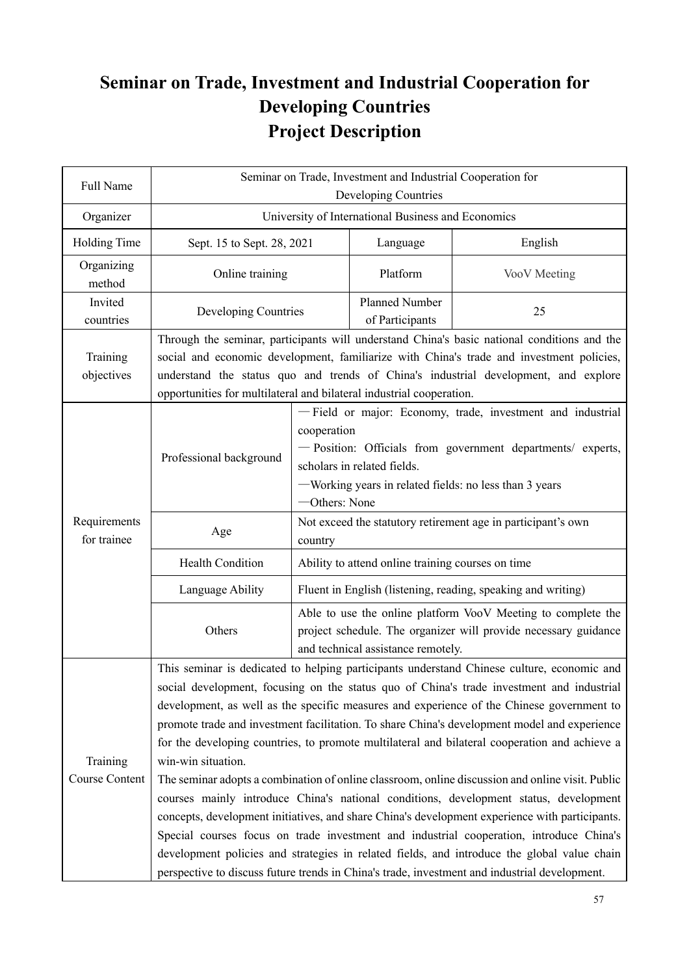## **Seminar on Trade, Investment and Industrial Cooperation for Developing Countries Project Description**

| Full Name                   | Seminar on Trade, Investment and Industrial Cooperation for<br>Developing Countries                                                                                                                                                                                                                                                                                                                                                                                                                                                                                                    |                                                                                                                                                                                                                                                                                |                                                                                                                                                                                                                     |                                                                                            |  |
|-----------------------------|----------------------------------------------------------------------------------------------------------------------------------------------------------------------------------------------------------------------------------------------------------------------------------------------------------------------------------------------------------------------------------------------------------------------------------------------------------------------------------------------------------------------------------------------------------------------------------------|--------------------------------------------------------------------------------------------------------------------------------------------------------------------------------------------------------------------------------------------------------------------------------|---------------------------------------------------------------------------------------------------------------------------------------------------------------------------------------------------------------------|--------------------------------------------------------------------------------------------|--|
| Organizer                   | University of International Business and Economics                                                                                                                                                                                                                                                                                                                                                                                                                                                                                                                                     |                                                                                                                                                                                                                                                                                |                                                                                                                                                                                                                     |                                                                                            |  |
| Holding Time                | Sept. 15 to Sept. 28, 2021                                                                                                                                                                                                                                                                                                                                                                                                                                                                                                                                                             |                                                                                                                                                                                                                                                                                | Language                                                                                                                                                                                                            | English                                                                                    |  |
| Organizing<br>method        | Online training                                                                                                                                                                                                                                                                                                                                                                                                                                                                                                                                                                        |                                                                                                                                                                                                                                                                                | Platform                                                                                                                                                                                                            | VooV Meeting                                                                               |  |
| Invited<br>countries        | Developing Countries                                                                                                                                                                                                                                                                                                                                                                                                                                                                                                                                                                   |                                                                                                                                                                                                                                                                                | <b>Planned Number</b><br>of Participants                                                                                                                                                                            | 25                                                                                         |  |
| Training<br>objectives      |                                                                                                                                                                                                                                                                                                                                                                                                                                                                                                                                                                                        | Through the seminar, participants will understand China's basic national conditions and the<br>social and economic development, familiarize with China's trade and investment policies,<br>understand the status quo and trends of China's industrial development, and explore |                                                                                                                                                                                                                     |                                                                                            |  |
|                             | opportunities for multilateral and bilateral industrial cooperation.                                                                                                                                                                                                                                                                                                                                                                                                                                                                                                                   |                                                                                                                                                                                                                                                                                |                                                                                                                                                                                                                     |                                                                                            |  |
|                             | Professional background                                                                                                                                                                                                                                                                                                                                                                                                                                                                                                                                                                | cooperation<br>-Others: None                                                                                                                                                                                                                                                   | - Field or major: Economy, trade, investment and industrial<br>- Position: Officials from government departments/ experts,<br>scholars in related fields.<br>-Working years in related fields: no less than 3 years |                                                                                            |  |
| Requirements<br>for trainee | Age                                                                                                                                                                                                                                                                                                                                                                                                                                                                                                                                                                                    | country                                                                                                                                                                                                                                                                        |                                                                                                                                                                                                                     | Not exceed the statutory retirement age in participant's own                               |  |
|                             | <b>Health Condition</b>                                                                                                                                                                                                                                                                                                                                                                                                                                                                                                                                                                | Ability to attend online training courses on time                                                                                                                                                                                                                              |                                                                                                                                                                                                                     |                                                                                            |  |
|                             | Language Ability                                                                                                                                                                                                                                                                                                                                                                                                                                                                                                                                                                       | Fluent in English (listening, reading, speaking and writing)                                                                                                                                                                                                                   |                                                                                                                                                                                                                     |                                                                                            |  |
|                             | Others                                                                                                                                                                                                                                                                                                                                                                                                                                                                                                                                                                                 | Able to use the online platform VooV Meeting to complete the<br>project schedule. The organizer will provide necessary guidance<br>and technical assistance remotely.                                                                                                          |                                                                                                                                                                                                                     |                                                                                            |  |
|                             |                                                                                                                                                                                                                                                                                                                                                                                                                                                                                                                                                                                        |                                                                                                                                                                                                                                                                                |                                                                                                                                                                                                                     | This seminar is dedicated to helping participants understand Chinese culture, economic and |  |
|                             | social development, focusing on the status quo of China's trade investment and industrial<br>development, as well as the specific measures and experience of the Chinese government to<br>promote trade and investment facilitation. To share China's development model and experience<br>for the developing countries, to promote multilateral and bilateral cooperation and achieve a                                                                                                                                                                                                |                                                                                                                                                                                                                                                                                |                                                                                                                                                                                                                     |                                                                                            |  |
| Training<br>Course Content  | win-win situation.                                                                                                                                                                                                                                                                                                                                                                                                                                                                                                                                                                     |                                                                                                                                                                                                                                                                                |                                                                                                                                                                                                                     |                                                                                            |  |
|                             | The seminar adopts a combination of online classroom, online discussion and online visit. Public<br>courses mainly introduce China's national conditions, development status, development<br>concepts, development initiatives, and share China's development experience with participants.<br>Special courses focus on trade investment and industrial cooperation, introduce China's<br>development policies and strategies in related fields, and introduce the global value chain<br>perspective to discuss future trends in China's trade, investment and industrial development. |                                                                                                                                                                                                                                                                                |                                                                                                                                                                                                                     |                                                                                            |  |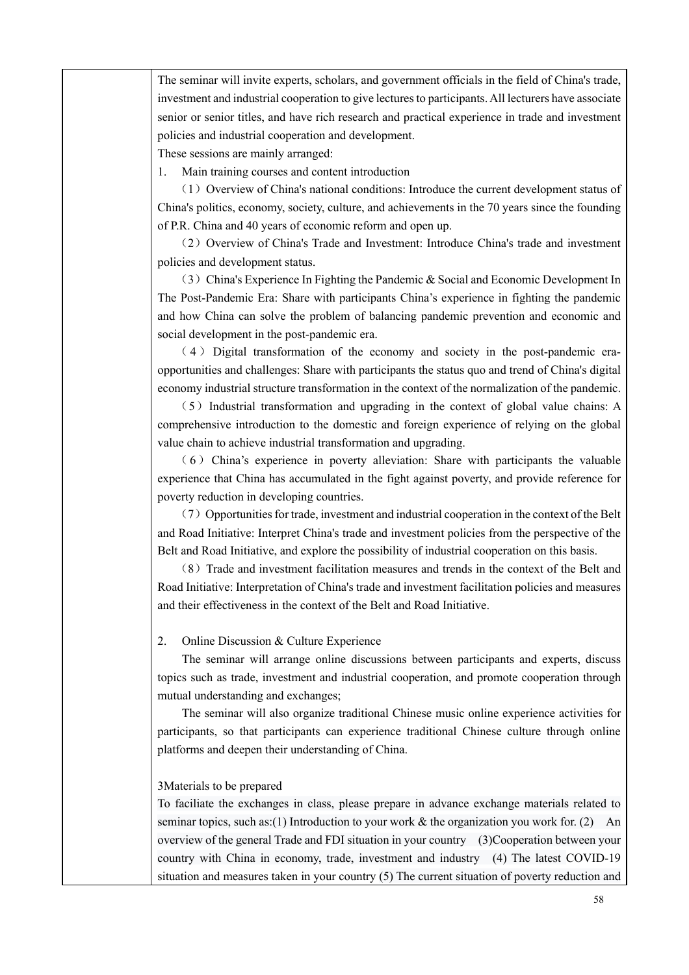The seminar will invite experts, scholars, and government officials in the field of China's trade, investment and industrial cooperation to give lectures to participants. All lecturers have associate senior or senior titles, and have rich research and practical experience in trade and investment policies and industrial cooperation and development.

These sessions are mainly arranged:

1. Main training courses and content introduction

(1)Overview of China's national conditions: Introduce the current development status of China's politics, economy, society, culture, and achievements in the 70 years since the founding of P.R. China and 40 years of economic reform and open up.

(2)Overview of China's Trade and Investment: Introduce China's trade and investment policies and development status.

(3)China's Experience In Fighting the Pandemic & Social and Economic Development In The Post-Pandemic Era: Share with participants China's experience in fighting the pandemic and how China can solve the problem of balancing pandemic prevention and economic and social development in the post-pandemic era.

( 4 ) Digital transformation of the economy and society in the post-pandemic eraopportunities and challenges: Share with participants the status quo and trend of China's digital economy industrial structure transformation in the context of the normalization of the pandemic.

 $(5)$  Industrial transformation and upgrading in the context of global value chains: A comprehensive introduction to the domestic and foreign experience of relying on the global value chain to achieve industrial transformation and upgrading.

 $(6)$  China's experience in poverty alleviation: Share with participants the valuable experience that China has accumulated in the fight against poverty, and provide reference for poverty reduction in developing countries.

 $(7)$  Opportunities for trade, investment and industrial cooperation in the context of the Belt and Road Initiative: Interpret China's trade and investment policies from the perspective of the Belt and Road Initiative, and explore the possibility of industrial cooperation on this basis.

(8)Trade and investment facilitation measures and trends in the context of the Belt and Road Initiative: Interpretation of China's trade and investment facilitation policies and measures and their effectiveness in the context of the Belt and Road Initiative.

#### 2. Online Discussion & Culture Experience

The seminar will arrange online discussions between participants and experts, discuss topics such as trade, investment and industrial cooperation, and promote cooperation through mutual understanding and exchanges;

The seminar will also organize traditional Chinese music online experience activities for participants, so that participants can experience traditional Chinese culture through online platforms and deepen their understanding of China.

#### 3Materials to be prepared

To faciliate the exchanges in class, please prepare in advance exchange materials related to seminar topics, such as:(1) Introduction to your work  $\&$  the organization you work for. (2) An overview of the general Trade and FDI situation in your country (3)Cooperation between your country with China in economy, trade, investment and industry (4) The latest COVID-19 situation and measures taken in your country (5) The current situation of poverty reduction and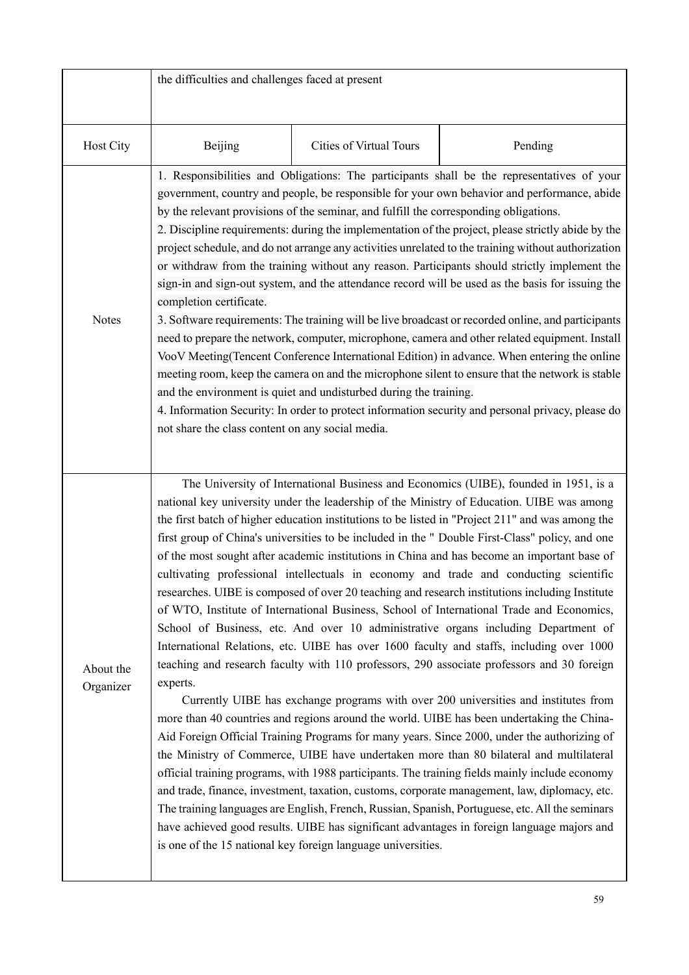|                        | the difficulties and challenges faced at present                                                                                                                                                                                                                                                                                                                                                                                                                                                                                                                                                                                                                                                                                                                                                                                                                                                                                                                                                                                                                                                                                                                                                                                                                                                                                                                        |                                                              |                                                                                                                                                                                                                                                                                                                                                                                                                                                                                                                                                                                                                                                                                                                                                                                                                                                                                                                                                                                                                                                                                                                                                                                                                                                                                                                                                                                                                                                                                                                                                                                                                                                                                                                                                                                                                                                  |  |  |
|------------------------|-------------------------------------------------------------------------------------------------------------------------------------------------------------------------------------------------------------------------------------------------------------------------------------------------------------------------------------------------------------------------------------------------------------------------------------------------------------------------------------------------------------------------------------------------------------------------------------------------------------------------------------------------------------------------------------------------------------------------------------------------------------------------------------------------------------------------------------------------------------------------------------------------------------------------------------------------------------------------------------------------------------------------------------------------------------------------------------------------------------------------------------------------------------------------------------------------------------------------------------------------------------------------------------------------------------------------------------------------------------------------|--------------------------------------------------------------|--------------------------------------------------------------------------------------------------------------------------------------------------------------------------------------------------------------------------------------------------------------------------------------------------------------------------------------------------------------------------------------------------------------------------------------------------------------------------------------------------------------------------------------------------------------------------------------------------------------------------------------------------------------------------------------------------------------------------------------------------------------------------------------------------------------------------------------------------------------------------------------------------------------------------------------------------------------------------------------------------------------------------------------------------------------------------------------------------------------------------------------------------------------------------------------------------------------------------------------------------------------------------------------------------------------------------------------------------------------------------------------------------------------------------------------------------------------------------------------------------------------------------------------------------------------------------------------------------------------------------------------------------------------------------------------------------------------------------------------------------------------------------------------------------------------------------------------------------|--|--|
| Host City              | Beijing                                                                                                                                                                                                                                                                                                                                                                                                                                                                                                                                                                                                                                                                                                                                                                                                                                                                                                                                                                                                                                                                                                                                                                                                                                                                                                                                                                 | Cities of Virtual Tours                                      | Pending                                                                                                                                                                                                                                                                                                                                                                                                                                                                                                                                                                                                                                                                                                                                                                                                                                                                                                                                                                                                                                                                                                                                                                                                                                                                                                                                                                                                                                                                                                                                                                                                                                                                                                                                                                                                                                          |  |  |
| <b>Notes</b>           | 1. Responsibilities and Obligations: The participants shall be the representatives of your<br>government, country and people, be responsible for your own behavior and performance, abide<br>by the relevant provisions of the seminar, and fulfill the corresponding obligations.<br>2. Discipline requirements: during the implementation of the project, please strictly abide by the<br>project schedule, and do not arrange any activities unrelated to the training without authorization<br>or withdraw from the training without any reason. Participants should strictly implement the<br>sign-in and sign-out system, and the attendance record will be used as the basis for issuing the<br>completion certificate.<br>3. Software requirements: The training will be live broadcast or recorded online, and participants<br>need to prepare the network, computer, microphone, camera and other related equipment. Install<br>VooV Meeting (Tencent Conference International Edition) in advance. When entering the online<br>meeting room, keep the camera on and the microphone silent to ensure that the network is stable<br>and the environment is quiet and undisturbed during the training.<br>4. Information Security: In order to protect information security and personal privacy, please do<br>not share the class content on any social media. |                                                              |                                                                                                                                                                                                                                                                                                                                                                                                                                                                                                                                                                                                                                                                                                                                                                                                                                                                                                                                                                                                                                                                                                                                                                                                                                                                                                                                                                                                                                                                                                                                                                                                                                                                                                                                                                                                                                                  |  |  |
| About the<br>Organizer | experts.                                                                                                                                                                                                                                                                                                                                                                                                                                                                                                                                                                                                                                                                                                                                                                                                                                                                                                                                                                                                                                                                                                                                                                                                                                                                                                                                                                | is one of the 15 national key foreign language universities. | The University of International Business and Economics (UIBE), founded in 1951, is a<br>national key university under the leadership of the Ministry of Education. UIBE was among<br>the first batch of higher education institutions to be listed in "Project 211" and was among the<br>first group of China's universities to be included in the " Double First-Class" policy, and one<br>of the most sought after academic institutions in China and has become an important base of<br>cultivating professional intellectuals in economy and trade and conducting scientific<br>researches. UIBE is composed of over 20 teaching and research institutions including Institute<br>of WTO, Institute of International Business, School of International Trade and Economics,<br>School of Business, etc. And over 10 administrative organs including Department of<br>International Relations, etc. UIBE has over 1600 faculty and staffs, including over 1000<br>teaching and research faculty with 110 professors, 290 associate professors and 30 foreign<br>Currently UIBE has exchange programs with over 200 universities and institutes from<br>more than 40 countries and regions around the world. UIBE has been undertaking the China-<br>Aid Foreign Official Training Programs for many years. Since 2000, under the authorizing of<br>the Ministry of Commerce, UIBE have undertaken more than 80 bilateral and multilateral<br>official training programs, with 1988 participants. The training fields mainly include economy<br>and trade, finance, investment, taxation, customs, corporate management, law, diplomacy, etc.<br>The training languages are English, French, Russian, Spanish, Portuguese, etc. All the seminars<br>have achieved good results. UIBE has significant advantages in foreign language majors and |  |  |

 $\mathsf{l}$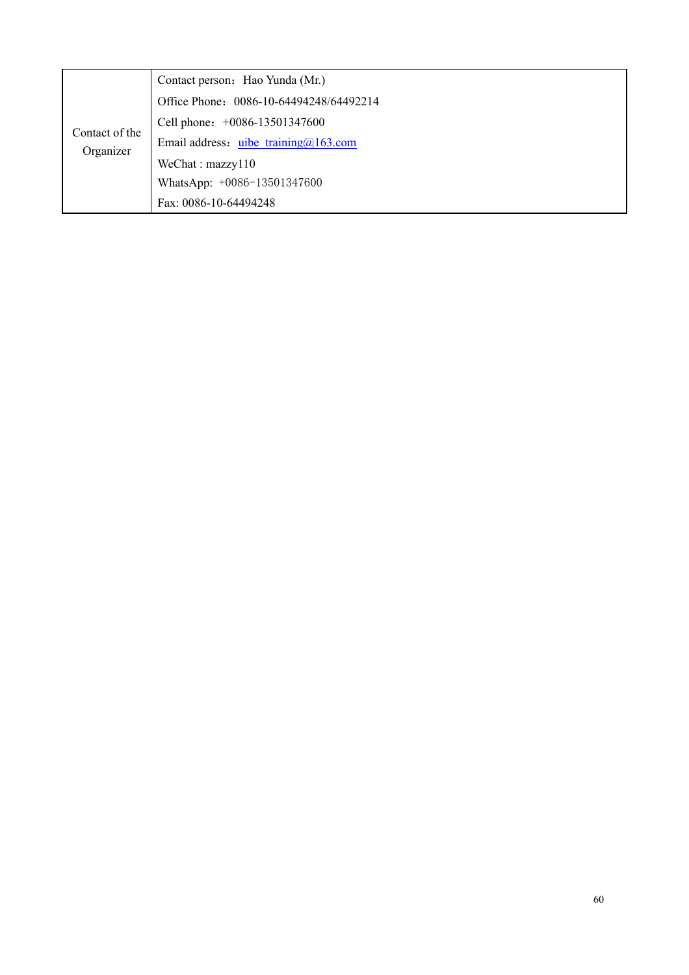| Contact of the<br>Organizer | Contact person: Hao Yunda (Mr.)          |
|-----------------------------|------------------------------------------|
|                             | Office Phone: 0086-10-64494248/64492214  |
|                             | Cell phone: +0086-13501347600            |
|                             | Email address: uibe training $@163$ .com |
|                             | We Chat: maxzy110                        |
|                             | WhatsApp: +0086-13501347600              |
|                             | Fax: 0086-10-64494248                    |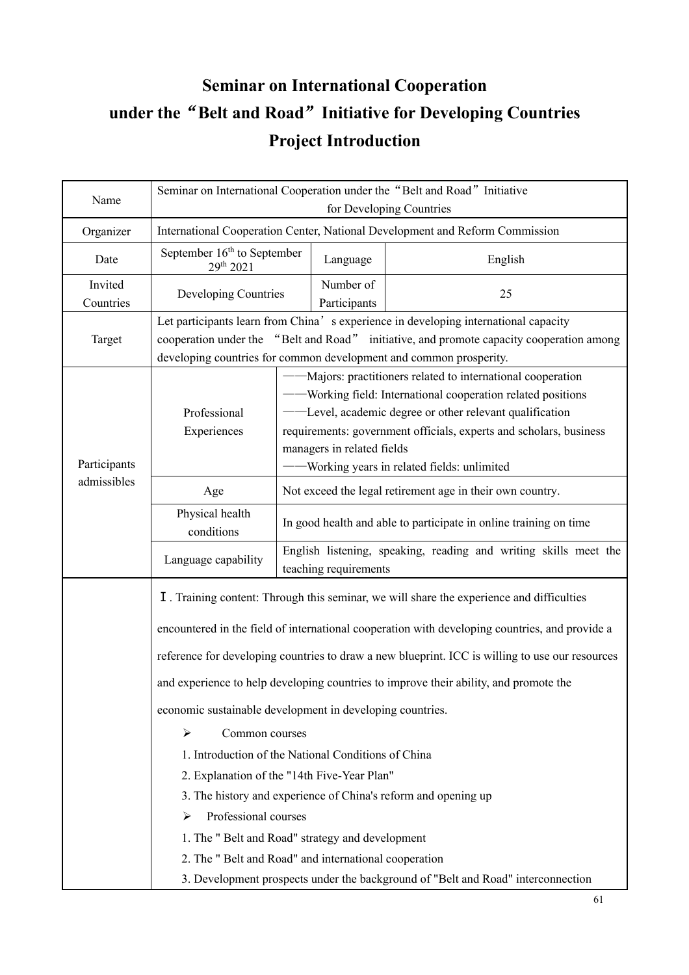# **Seminar on International Cooperation under the**"**Belt and Road**"**Initiative for Developing Countries Project Introduction**

| Name                 | Seminar on International Cooperation under the "Belt and Road" Initiative<br>for Developing Countries                                                                                                                                                                                                                                                                                                                                                                                                                                                                                                                                                                                                                                                                                                            |                                                                                                                                                                                                                                                                                                                                             |          |         |  |
|----------------------|------------------------------------------------------------------------------------------------------------------------------------------------------------------------------------------------------------------------------------------------------------------------------------------------------------------------------------------------------------------------------------------------------------------------------------------------------------------------------------------------------------------------------------------------------------------------------------------------------------------------------------------------------------------------------------------------------------------------------------------------------------------------------------------------------------------|---------------------------------------------------------------------------------------------------------------------------------------------------------------------------------------------------------------------------------------------------------------------------------------------------------------------------------------------|----------|---------|--|
| Organizer            | International Cooperation Center, National Development and Reform Commission                                                                                                                                                                                                                                                                                                                                                                                                                                                                                                                                                                                                                                                                                                                                     |                                                                                                                                                                                                                                                                                                                                             |          |         |  |
| Date                 | September $16th$ to September<br>29th 2021                                                                                                                                                                                                                                                                                                                                                                                                                                                                                                                                                                                                                                                                                                                                                                       |                                                                                                                                                                                                                                                                                                                                             | Language | English |  |
| Invited<br>Countries |                                                                                                                                                                                                                                                                                                                                                                                                                                                                                                                                                                                                                                                                                                                                                                                                                  | Developing Countries                                                                                                                                                                                                                                                                                                                        |          | 25      |  |
| Target               | Let participants learn from China's experience in developing international capacity<br>cooperation under the "Belt and Road" initiative, and promote capacity cooperation among<br>developing countries for common development and common prosperity.                                                                                                                                                                                                                                                                                                                                                                                                                                                                                                                                                            |                                                                                                                                                                                                                                                                                                                                             |          |         |  |
| Participants         | Professional<br>Experiences                                                                                                                                                                                                                                                                                                                                                                                                                                                                                                                                                                                                                                                                                                                                                                                      | -Majors: practitioners related to international cooperation<br>- Working field: International cooperation related positions<br>- Level, academic degree or other relevant qualification<br>requirements: government officials, experts and scholars, business<br>managers in related fields<br>- Working years in related fields: unlimited |          |         |  |
| admissibles          | Age                                                                                                                                                                                                                                                                                                                                                                                                                                                                                                                                                                                                                                                                                                                                                                                                              | Not exceed the legal retirement age in their own country.                                                                                                                                                                                                                                                                                   |          |         |  |
|                      | Physical health<br>conditions                                                                                                                                                                                                                                                                                                                                                                                                                                                                                                                                                                                                                                                                                                                                                                                    | In good health and able to participate in online training on time                                                                                                                                                                                                                                                                           |          |         |  |
|                      | Language capability                                                                                                                                                                                                                                                                                                                                                                                                                                                                                                                                                                                                                                                                                                                                                                                              | English listening, speaking, reading and writing skills meet the<br>teaching requirements                                                                                                                                                                                                                                                   |          |         |  |
|                      | I. Training content: Through this seminar, we will share the experience and difficulties<br>encountered in the field of international cooperation with developing countries, and provide a<br>reference for developing countries to draw a new blueprint. ICC is willing to use our resources<br>and experience to help developing countries to improve their ability, and promote the<br>economic sustainable development in developing countries.<br>$\blacktriangleright$<br>Common courses<br>1. Introduction of the National Conditions of China<br>2. Explanation of the "14th Five-Year Plan"<br>3. The history and experience of China's reform and opening up<br>Professional courses<br>⋗<br>1. The " Belt and Road" strategy and development<br>2. The " Belt and Road" and international cooperation |                                                                                                                                                                                                                                                                                                                                             |          |         |  |
|                      |                                                                                                                                                                                                                                                                                                                                                                                                                                                                                                                                                                                                                                                                                                                                                                                                                  |                                                                                                                                                                                                                                                                                                                                             |          |         |  |
|                      |                                                                                                                                                                                                                                                                                                                                                                                                                                                                                                                                                                                                                                                                                                                                                                                                                  |                                                                                                                                                                                                                                                                                                                                             |          |         |  |
|                      |                                                                                                                                                                                                                                                                                                                                                                                                                                                                                                                                                                                                                                                                                                                                                                                                                  |                                                                                                                                                                                                                                                                                                                                             |          |         |  |
|                      |                                                                                                                                                                                                                                                                                                                                                                                                                                                                                                                                                                                                                                                                                                                                                                                                                  |                                                                                                                                                                                                                                                                                                                                             |          |         |  |
|                      |                                                                                                                                                                                                                                                                                                                                                                                                                                                                                                                                                                                                                                                                                                                                                                                                                  |                                                                                                                                                                                                                                                                                                                                             |          |         |  |
|                      | 3. Development prospects under the background of "Belt and Road" interconnection                                                                                                                                                                                                                                                                                                                                                                                                                                                                                                                                                                                                                                                                                                                                 |                                                                                                                                                                                                                                                                                                                                             |          |         |  |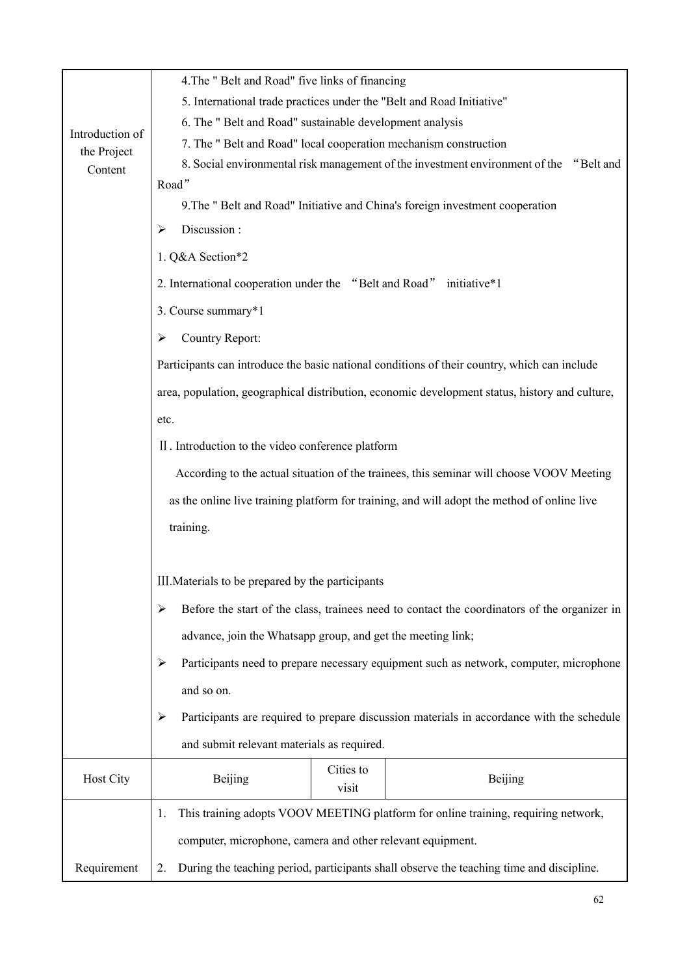|                  | 4. The " Belt and Road" five links of financing                                                                                                                          |  |  |  |  |  |
|------------------|--------------------------------------------------------------------------------------------------------------------------------------------------------------------------|--|--|--|--|--|
|                  | 5. International trade practices under the "Belt and Road Initiative"                                                                                                    |  |  |  |  |  |
| Introduction of  | 6. The " Belt and Road" sustainable development analysis                                                                                                                 |  |  |  |  |  |
| the Project      | 7. The " Belt and Road" local cooperation mechanism construction                                                                                                         |  |  |  |  |  |
| Content          | 8. Social environmental risk management of the investment environment of the "Belt and                                                                                   |  |  |  |  |  |
|                  | Road"                                                                                                                                                                    |  |  |  |  |  |
|                  | 9. The " Belt and Road" Initiative and China's foreign investment cooperation                                                                                            |  |  |  |  |  |
|                  | Discussion:<br>⋗                                                                                                                                                         |  |  |  |  |  |
|                  | 1. Q&A Section*2                                                                                                                                                         |  |  |  |  |  |
|                  | 2. International cooperation under the "Belt and Road"<br>initiative*1                                                                                                   |  |  |  |  |  |
|                  | 3. Course summary*1                                                                                                                                                      |  |  |  |  |  |
|                  | Country Report:<br>⋗                                                                                                                                                     |  |  |  |  |  |
|                  | Participants can introduce the basic national conditions of their country, which can include                                                                             |  |  |  |  |  |
|                  | area, population, geographical distribution, economic development status, history and culture,                                                                           |  |  |  |  |  |
|                  | etc.                                                                                                                                                                     |  |  |  |  |  |
|                  | II. Introduction to the video conference platform                                                                                                                        |  |  |  |  |  |
|                  | According to the actual situation of the trainees, this seminar will choose VOOV Meeting                                                                                 |  |  |  |  |  |
|                  | as the online live training platform for training, and will adopt the method of online live                                                                              |  |  |  |  |  |
|                  | training.                                                                                                                                                                |  |  |  |  |  |
|                  |                                                                                                                                                                          |  |  |  |  |  |
|                  | III. Materials to be prepared by the participants                                                                                                                        |  |  |  |  |  |
|                  | Before the start of the class, trainees need to contact the coordinators of the organizer in<br>≻                                                                        |  |  |  |  |  |
|                  | advance, join the Whatsapp group, and get the meeting link;<br>Participants need to prepare necessary equipment such as network, computer, microphone<br>➤<br>and so on. |  |  |  |  |  |
|                  |                                                                                                                                                                          |  |  |  |  |  |
|                  |                                                                                                                                                                          |  |  |  |  |  |
|                  | Participants are required to prepare discussion materials in accordance with the schedule<br>≻                                                                           |  |  |  |  |  |
|                  | and submit relevant materials as required.                                                                                                                               |  |  |  |  |  |
| <b>Host City</b> | Cities to<br>Beijing<br>Beijing<br>visit                                                                                                                                 |  |  |  |  |  |
|                  | This training adopts VOOV MEETING platform for online training, requiring network,<br>1.                                                                                 |  |  |  |  |  |
|                  | computer, microphone, camera and other relevant equipment.                                                                                                               |  |  |  |  |  |
|                  |                                                                                                                                                                          |  |  |  |  |  |
| Requirement      | During the teaching period, participants shall observe the teaching time and discipline.<br>2.                                                                           |  |  |  |  |  |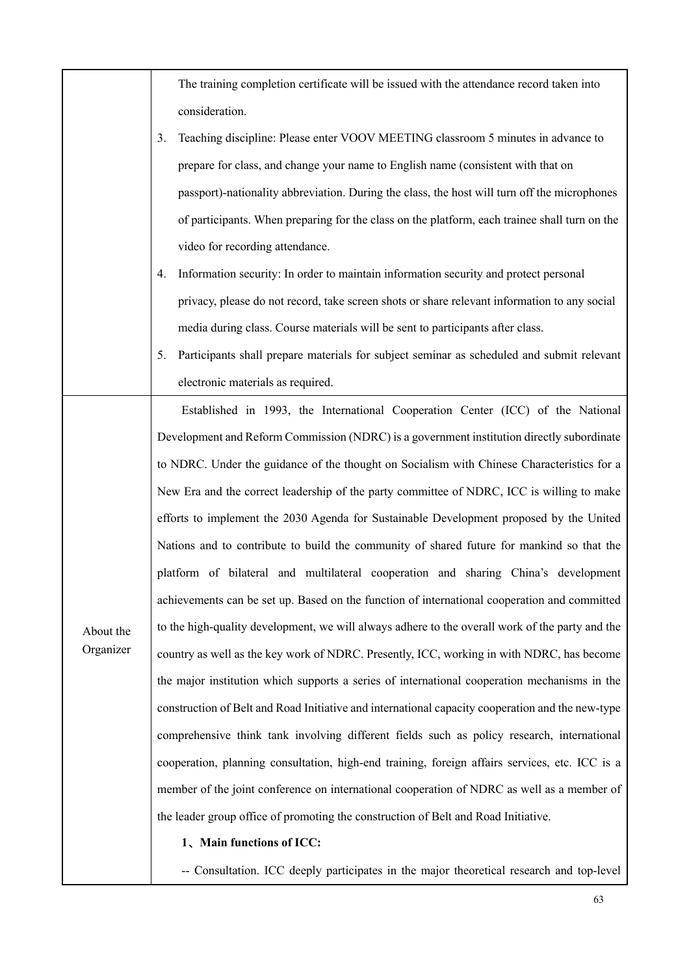|                        | The training completion certificate will be issued with the attendance record taken into         |  |  |  |  |
|------------------------|--------------------------------------------------------------------------------------------------|--|--|--|--|
|                        | consideration.                                                                                   |  |  |  |  |
|                        | Teaching discipline: Please enter VOOV MEETING classroom 5 minutes in advance to<br>3.           |  |  |  |  |
|                        | prepare for class, and change your name to English name (consistent with that on                 |  |  |  |  |
|                        | passport)-nationality abbreviation. During the class, the host will turn off the microphones     |  |  |  |  |
|                        | of participants. When preparing for the class on the platform, each trainee shall turn on the    |  |  |  |  |
|                        | video for recording attendance.                                                                  |  |  |  |  |
|                        | Information security: In order to maintain information security and protect personal<br>4.       |  |  |  |  |
|                        | privacy, please do not record, take screen shots or share relevant information to any social     |  |  |  |  |
|                        | media during class. Course materials will be sent to participants after class.                   |  |  |  |  |
|                        | Participants shall prepare materials for subject seminar as scheduled and submit relevant<br>5.  |  |  |  |  |
|                        | electronic materials as required.                                                                |  |  |  |  |
|                        | Established in 1993, the International Cooperation Center (ICC) of the National                  |  |  |  |  |
|                        | Development and Reform Commission (NDRC) is a government institution directly subordinate        |  |  |  |  |
|                        | to NDRC. Under the guidance of the thought on Socialism with Chinese Characteristics for a       |  |  |  |  |
|                        | New Era and the correct leadership of the party committee of NDRC, ICC is willing to make        |  |  |  |  |
|                        | efforts to implement the 2030 Agenda for Sustainable Development proposed by the United          |  |  |  |  |
|                        | Nations and to contribute to build the community of shared future for mankind so that the        |  |  |  |  |
|                        | platform of bilateral and multilateral cooperation and sharing China's development               |  |  |  |  |
|                        | achievements can be set up. Based on the function of international cooperation and committed     |  |  |  |  |
| About the<br>Organizer | to the high-quality development, we will always adhere to the overall work of the party and the  |  |  |  |  |
|                        | country as well as the key work of NDRC. Presently, ICC, working in with NDRC, has become        |  |  |  |  |
|                        | the major institution which supports a series of international cooperation mechanisms in the     |  |  |  |  |
|                        | construction of Belt and Road Initiative and international capacity cooperation and the new-type |  |  |  |  |
|                        | comprehensive think tank involving different fields such as policy research, international       |  |  |  |  |
|                        | cooperation, planning consultation, high-end training, foreign affairs services, etc. ICC is a   |  |  |  |  |
|                        | member of the joint conference on international cooperation of NDRC as well as a member of       |  |  |  |  |
|                        | the leader group office of promoting the construction of Belt and Road Initiative.               |  |  |  |  |
|                        | 1、Main functions of ICC:                                                                         |  |  |  |  |
|                        | -- Consultation. ICC deeply participates in the major theoretical research and top-level         |  |  |  |  |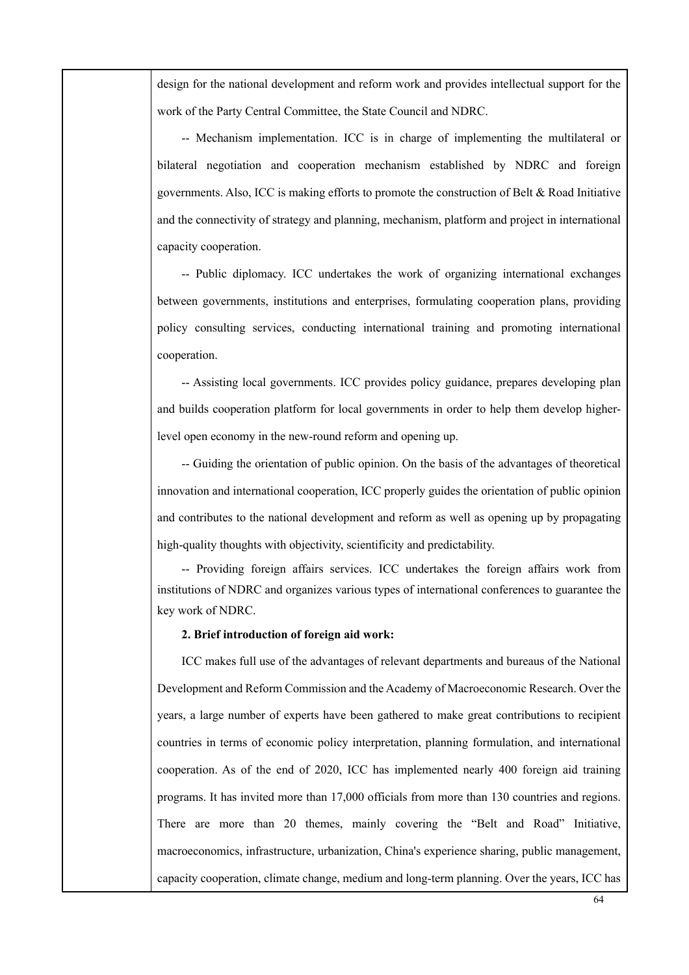design for the national development and reform work and provides intellectual support for the work of the Party Central Committee, the State Council and NDRC.

-- Mechanism implementation. ICC is in charge of implementing the multilateral or bilateral negotiation and cooperation mechanism established by NDRC and foreign governments. Also, ICC is making efforts to promote the construction of Belt & Road Initiative and the connectivity of strategy and planning, mechanism, platform and project in international capacity cooperation.

-- Public diplomacy. ICC undertakes the work of organizing international exchanges between governments, institutions and enterprises, formulating cooperation plans, providing policy consulting services, conducting international training and promoting international cooperation.

-- Assisting local governments. ICC provides policy guidance, prepares developing plan and builds cooperation platform for local governments in order to help them develop higherlevel open economy in the new-round reform and opening up.

-- Guiding the orientation of public opinion. On the basis of the advantages of theoretical innovation and international cooperation, ICC properly guides the orientation of public opinion and contributes to the national development and reform as well as opening up by propagating high-quality thoughts with objectivity, scientificity and predictability.

-- Providing foreign affairs services. ICC undertakes the foreign affairs work from institutions of NDRC and organizes various types of international conferences to guarantee the key work of NDRC.

#### **2. Brief introduction of foreign aid work:**

ICC makes full use of the advantages of relevant departments and bureaus of the National Development and Reform Commission and the Academy of Macroeconomic Research. Over the years, a large number of experts have been gathered to make great contributions to recipient countries in terms of economic policy interpretation, planning formulation, and international cooperation. As of the end of 2020, ICC has implemented nearly 400 foreign aid training programs. It has invited more than 17,000 officials from more than 130 countries and regions. There are more than 20 themes, mainly covering the "Belt and Road" Initiative, macroeconomics, infrastructure, urbanization, China's experience sharing, public management, capacity cooperation, climate change, medium and long-term planning. Over the years, ICC has